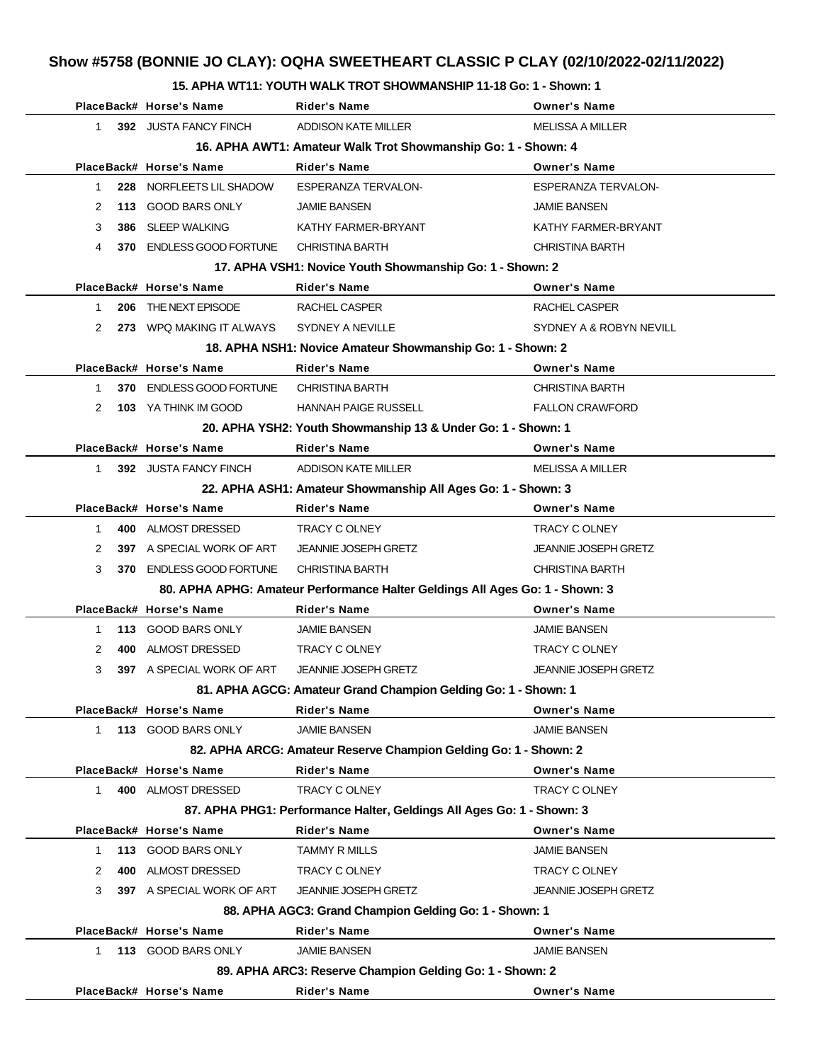# **Show #5758 (BONNIE JO CLAY): OQHA SWEETHEART CLASSIC P CLAY (02/10/2022-02/11/2022)**

#### **15. APHA WT11: YOUTH WALK TROT SHOWMANSHIP 11-18 Go: 1 - Shown: 1**

|              | PlaceBack# Horse's Name      | <b>Rider's Name</b>                                                          | <b>Owner's Name</b>         |
|--------------|------------------------------|------------------------------------------------------------------------------|-----------------------------|
| 1            | 392 JUSTA FANCY FINCH        | ADDISON KATE MILLER                                                          | <b>MELISSA A MILLER</b>     |
|              |                              | 16. APHA AWT1: Amateur Walk Trot Showmanship Go: 1 - Shown: 4                |                             |
|              | PlaceBack# Horse's Name      | <b>Rider's Name</b>                                                          | <b>Owner's Name</b>         |
| 228<br>1     | NORFLEETS LIL SHADOW         | <b>ESPERANZA TERVALON-</b>                                                   | ESPERANZA TERVALON-         |
| 2            | 113 GOOD BARS ONLY           | <b>JAMIE BANSEN</b>                                                          | <b>JAMIE BANSEN</b>         |
| 3<br>386     | SLEEP WALKING                | KATHY FARMER-BRYANT                                                          | KATHY FARMER-BRYANT         |
| 4            | 370 ENDLESS GOOD FORTUNE     | <b>CHRISTINA BARTH</b>                                                       | <b>CHRISTINA BARTH</b>      |
|              |                              | 17. APHA VSH1: Novice Youth Showmanship Go: 1 - Shown: 2                     |                             |
|              | PlaceBack# Horse's Name      | <b>Rider's Name</b>                                                          | <b>Owner's Name</b>         |
| 206<br>1     | THE NEXT EPISODE             | RACHEL CASPER                                                                | RACHEL CASPER               |
| 2            | 273 WPQ MAKING IT ALWAYS     | SYDNEY A NEVILLE                                                             | SYDNEY A & ROBYN NEVILL     |
|              |                              | 18. APHA NSH1: Novice Amateur Showmanship Go: 1 - Shown: 2                   |                             |
|              | PlaceBack# Horse's Name      | <b>Rider's Name</b>                                                          | <b>Owner's Name</b>         |
| $\mathbf{1}$ | 370 ENDLESS GOOD FORTUNE     | <b>CHRISTINA BARTH</b>                                                       | <b>CHRISTINA BARTH</b>      |
| 2            | 103 YA THINK IM GOOD         | <b>HANNAH PAIGE RUSSELL</b>                                                  | <b>FALLON CRAWFORD</b>      |
|              |                              | 20. APHA YSH2: Youth Showmanship 13 & Under Go: 1 - Shown: 1                 |                             |
|              | PlaceBack# Horse's Name      | <b>Rider's Name</b>                                                          | <b>Owner's Name</b>         |
| $\mathbf{1}$ | <b>392 JUSTA FANCY FINCH</b> | <b>ADDISON KATE MILLER</b>                                                   | <b>MELISSA A MILLER</b>     |
|              |                              | 22. APHA ASH1: Amateur Showmanship All Ages Go: 1 - Shown: 3                 |                             |
|              | PlaceBack# Horse's Name      | <b>Rider's Name</b>                                                          | <b>Owner's Name</b>         |
| 1            | 400 ALMOST DRESSED           | TRACY C OLNEY                                                                | TRACY C OLNEY               |
| 2            | 397 A SPECIAL WORK OF ART    | <b>JEANNIE JOSEPH GRETZ</b>                                                  | <b>JEANNIE JOSEPH GRETZ</b> |
| 3<br>370     | ENDLESS GOOD FORTUNE         | <b>CHRISTINA BARTH</b>                                                       | <b>CHRISTINA BARTH</b>      |
|              |                              | 80. APHA APHG: Amateur Performance Halter Geldings All Ages Go: 1 - Shown: 3 |                             |
|              | PlaceBack# Horse's Name      | <b>Rider's Name</b>                                                          | <b>Owner's Name</b>         |
| 1            | 113 GOOD BARS ONLY           | <b>JAMIE BANSEN</b>                                                          | <b>JAMIE BANSEN</b>         |
| 2<br>400     | ALMOST DRESSED               | TRACY C OLNEY                                                                | TRACY C OLNEY               |
| 3            | 397 A SPECIAL WORK OF ART    | <b>JEANNIE JOSEPH GRETZ</b>                                                  | <b>JEANNIE JOSEPH GRETZ</b> |
|              |                              | 81. APHA AGCG: Amateur Grand Champion Gelding Go: 1 - Shown: 1               |                             |
|              | PlaceBack# Horse's Name      | <b>Rider's Name</b>                                                          | <b>Owner's Name</b>         |
| $\mathbf 1$  | 113 GOOD BARS ONLY           | <b>JAMIE BANSEN</b>                                                          | <b>JAMIE BANSEN</b>         |
|              |                              | 82. APHA ARCG: Amateur Reserve Champion Gelding Go: 1 - Shown: 2             |                             |
|              | PlaceBack# Horse's Name      | <b>Rider's Name</b>                                                          | <b>Owner's Name</b>         |
| $\mathbf{1}$ | 400 ALMOST DRESSED           | <b>TRACY C OLNEY</b>                                                         | TRACY C OLNEY               |
|              |                              | 87. APHA PHG1: Performance Halter, Geldings All Ages Go: 1 - Shown: 3        |                             |
|              | PlaceBack# Horse's Name      | <b>Rider's Name</b>                                                          | <b>Owner's Name</b>         |
| 1            | 113 GOOD BARS ONLY           | <b>TAMMY R MILLS</b>                                                         | <b>JAMIE BANSEN</b>         |
| 400<br>2     | ALMOST DRESSED               | TRACY C OLNEY                                                                | TRACY C OLNEY               |
| 3            | 397 A SPECIAL WORK OF ART    | <b>JEANNIE JOSEPH GRETZ</b>                                                  | <b>JEANNIE JOSEPH GRETZ</b> |
|              |                              | 88. APHA AGC3: Grand Champion Gelding Go: 1 - Shown: 1                       |                             |
|              | PlaceBack# Horse's Name      | <b>Rider's Name</b>                                                          | <b>Owner's Name</b>         |
| $\mathbf{1}$ | 113 GOOD BARS ONLY           | <b>JAMIE BANSEN</b>                                                          | <b>JAMIE BANSEN</b>         |
|              |                              | 89. APHA ARC3: Reserve Champion Gelding Go: 1 - Shown: 2                     |                             |
|              | PlaceBack# Horse's Name      | <b>Rider's Name</b>                                                          | <b>Owner's Name</b>         |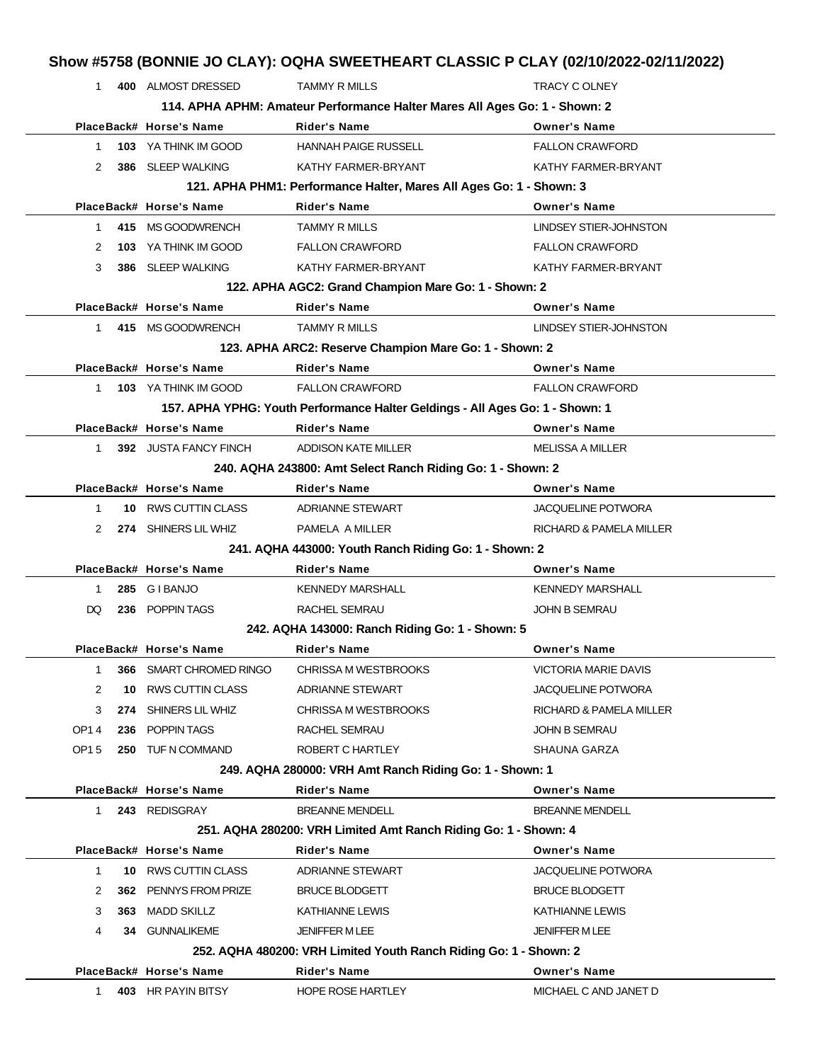| 1            |     | 400 ALMOST DRESSED          | <b>TAMMY R MILLS</b>                                                          | TRACY C OLNEY             |
|--------------|-----|-----------------------------|-------------------------------------------------------------------------------|---------------------------|
|              |     |                             | 114. APHA APHM: Amateur Performance Halter Mares All Ages Go: 1 - Shown: 2    |                           |
|              |     | PlaceBack# Horse's Name     | <b>Rider's Name</b>                                                           | <b>Owner's Name</b>       |
| 1.           |     | <b>103 YA THINK IM GOOD</b> | <b>HANNAH PAIGE RUSSELL</b>                                                   | <b>FALLON CRAWFORD</b>    |
| 2            | 386 | SLEEP WALKING               | KATHY FARMER-BRYANT                                                           | KATHY FARMER-BRYANT       |
|              |     |                             | 121. APHA PHM1: Performance Halter, Mares All Ages Go: 1 - Shown: 3           |                           |
|              |     | PlaceBack# Horse's Name     | <b>Rider's Name</b>                                                           | <b>Owner's Name</b>       |
| 1.           |     | 415 MS GOODWRENCH           | <b>TAMMY R MILLS</b>                                                          | LINDSEY STIER-JOHNSTON    |
| 2            | 103 | YA THINK IM GOOD            | <b>FALLON CRAWFORD</b>                                                        | <b>FALLON CRAWFORD</b>    |
| 3            |     | 386 SLEEP WALKING           | KATHY FARMER-BRYANT                                                           | KATHY FARMER-BRYANT       |
|              |     |                             | 122. APHA AGC2: Grand Champion Mare Go: 1 - Shown: 2                          |                           |
|              |     | PlaceBack# Horse's Name     | <b>Rider's Name</b>                                                           | <b>Owner's Name</b>       |
|              |     | 1 415 MS GOODWRENCH         | <b>TAMMY R MILLS</b>                                                          | LINDSEY STIER-JOHNSTON    |
|              |     |                             | 123. APHA ARC2: Reserve Champion Mare Go: 1 - Shown: 2                        |                           |
|              |     | PlaceBack# Horse's Name     | <b>Rider's Name</b>                                                           | <b>Owner's Name</b>       |
| $\mathbf{1}$ |     | 103 YA THINK IM GOOD        | <b>FALLON CRAWFORD</b>                                                        | <b>FALLON CRAWFORD</b>    |
|              |     |                             | 157. APHA YPHG: Youth Performance Halter Geldings - All Ages Go: 1 - Shown: 1 |                           |
|              |     | PlaceBack# Horse's Name     | <b>Rider's Name</b>                                                           | <b>Owner's Name</b>       |
| $1 \quad$    |     | 392 JUSTA FANCY FINCH       | ADDISON KATE MILLER                                                           | <b>MELISSA A MILLER</b>   |
|              |     |                             | 240. AQHA 243800: Amt Select Ranch Riding Go: 1 - Shown: 2                    |                           |
|              |     | PlaceBack# Horse's Name     | <b>Rider's Name</b>                                                           | <b>Owner's Name</b>       |
| 1            | 10. | RWS CUTTIN CLASS            | ADRIANNE STEWART                                                              | <b>JACQUELINE POTWORA</b> |
| 2            |     | 274 SHINERS LIL WHIZ        | PAMELA A MILLER                                                               | RICHARD & PAMELA MILLER   |
|              |     |                             | 241. AQHA 443000: Youth Ranch Riding Go: 1 - Shown: 2                         |                           |
|              |     | PlaceBack# Horse's Name     | <b>Rider's Name</b>                                                           | <b>Owner's Name</b>       |
| 1            | 285 | <b>GIBANJO</b>              | <b>KENNEDY MARSHALL</b>                                                       | <b>KENNEDY MARSHALL</b>   |
| DQ           |     | 236 POPPIN TAGS             | RACHEL SEMRAU                                                                 | <b>JOHN B SEMRAU</b>      |
|              |     |                             | 242. AQHA 143000: Ranch Riding Go: 1 - Shown: 5                               |                           |
|              |     | PlaceBack# Horse's Name     | <b>Rider's Name</b>                                                           | <b>Owner's Name</b>       |
| 1            | 366 | SMART CHROMED RINGO         | CHRISSA M WESTBROOKS                                                          | VICTORIA MARIE DAVIS      |
| 2            | 10  | RWS CUTTIN CLASS            | ADRIANNE STEWART                                                              | JACQUELINE POTWORA        |
| 3            | 274 | SHINERS LIL WHIZ            | <b>CHRISSA M WESTBROOKS</b>                                                   | RICHARD & PAMELA MILLER   |
| OP14         |     | 236 POPPIN TAGS             | RACHEL SEMRAU                                                                 | <b>JOHN B SEMRAU</b>      |
| <b>OP15</b>  |     | 250 TUF N COMMAND           | ROBERT C HARTLEY                                                              | SHAUNA GARZA              |
|              |     |                             | 249. AQHA 280000: VRH Amt Ranch Riding Go: 1 - Shown: 1                       |                           |
|              |     | PlaceBack# Horse's Name     | <b>Rider's Name</b>                                                           | <b>Owner's Name</b>       |
| $\mathbf{1}$ |     | 243 REDISGRAY               | <b>BREANNE MENDELL</b>                                                        | <b>BREANNE MENDELL</b>    |
|              |     |                             | 251. AQHA 280200: VRH Limited Amt Ranch Riding Go: 1 - Shown: 4               |                           |
|              |     | PlaceBack# Horse's Name     | <b>Rider's Name</b>                                                           | <b>Owner's Name</b>       |
|              |     | 10 RWS CUTTIN CLASS         | ADRIANNE STEWART                                                              | <b>JACQUELINE POTWORA</b> |
| $\mathbf{1}$ |     | PENNYS FROM PRIZE           | <b>BRUCE BLODGETT</b>                                                         | <b>BRUCE BLODGETT</b>     |
| 2            | 362 |                             |                                                                               |                           |
| 3            | 363 | MADD SKILLZ                 | <b>KATHIANNE LEWIS</b>                                                        | KATHIANNE LEWIS           |
| 4            |     | 34 GUNNALIKEME              | <b>JENIFFER M LEE</b>                                                         | <b>JENIFFER MLEE</b>      |
|              |     |                             | 252. AQHA 480200: VRH Limited Youth Ranch Riding Go: 1 - Shown: 2             |                           |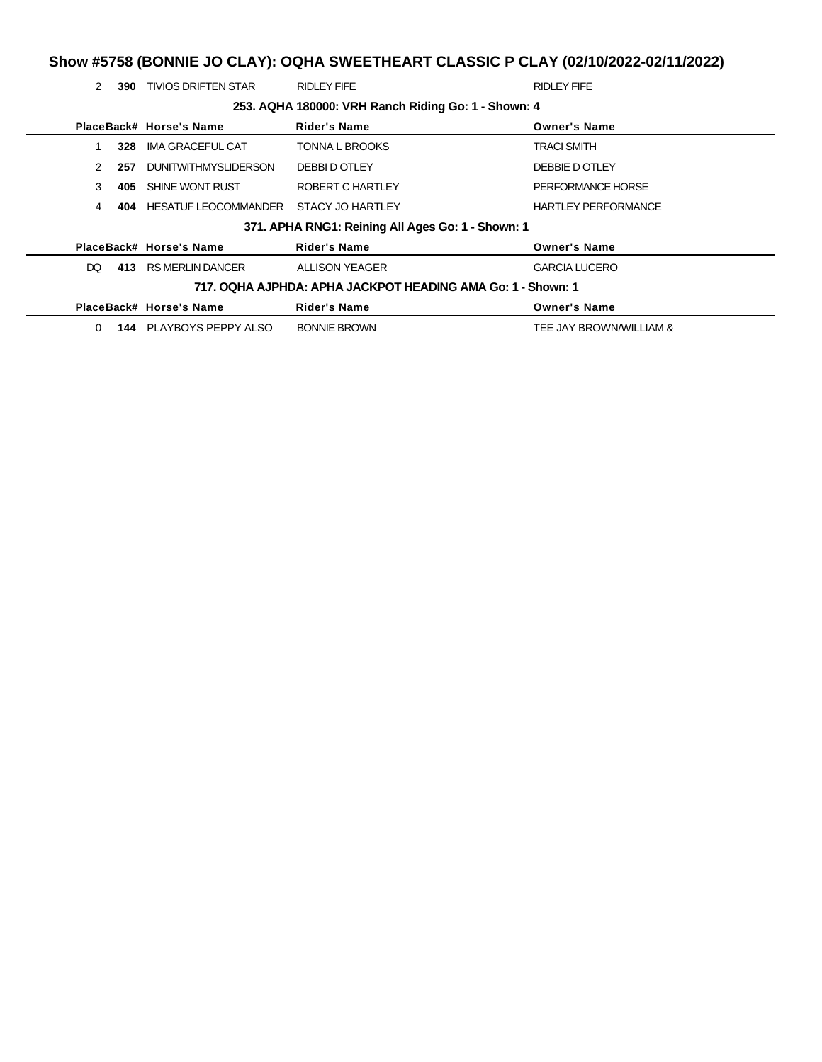#### **Show #5758 (BONNIE JO CLAY): OQHA SWEETHEART CLASSIC P CLAY (02/10/2022-02/11/2022)**

2 **390** TIVIOS DRIFTEN STAR RIDLEY FIFE RIDLEY FIFE **253. AQHA 180000: VRH Ranch Riding Go: 1 - Shown: 4 PlaceBack# Horse's Name Rider's Name Owner's Name** 1 **328** IMA GRACEFUL CAT TONNA L BROOKS TRACI SMITH 2 **257** DUNITWITHMYSLIDERSON DEBBI D OTLEY **DEBBIE D OTLEY** DEBBIE D OTLEY 3 **405** SHINE WONT RUST ROBERT C HARTLEY PERFORMANCE HORSE 4 **404** HESATUF LEOCOMMANDER STACY JO HARTLEY **HARTLEY PERFORMANCE 371. APHA RNG1: Reining All Ages Go: 1 - Shown: 1 PlaceBack# Horse's Name Rider's Name Owner's Name** DQ **413** RS MERLIN DANCER ALLISON YEAGER GARCIA LUCERO **717. OQHA AJPHDA: APHA JACKPOT HEADING AMA Go: 1 - Shown: 1 PlaceBack# Horse's Name Rider's Name Owner's Name** 0 **144** PLAYBOYS PEPPY ALSO BONNIE BROWN TEE JAY BROWN TEE JAY BROWN/WILLIAM &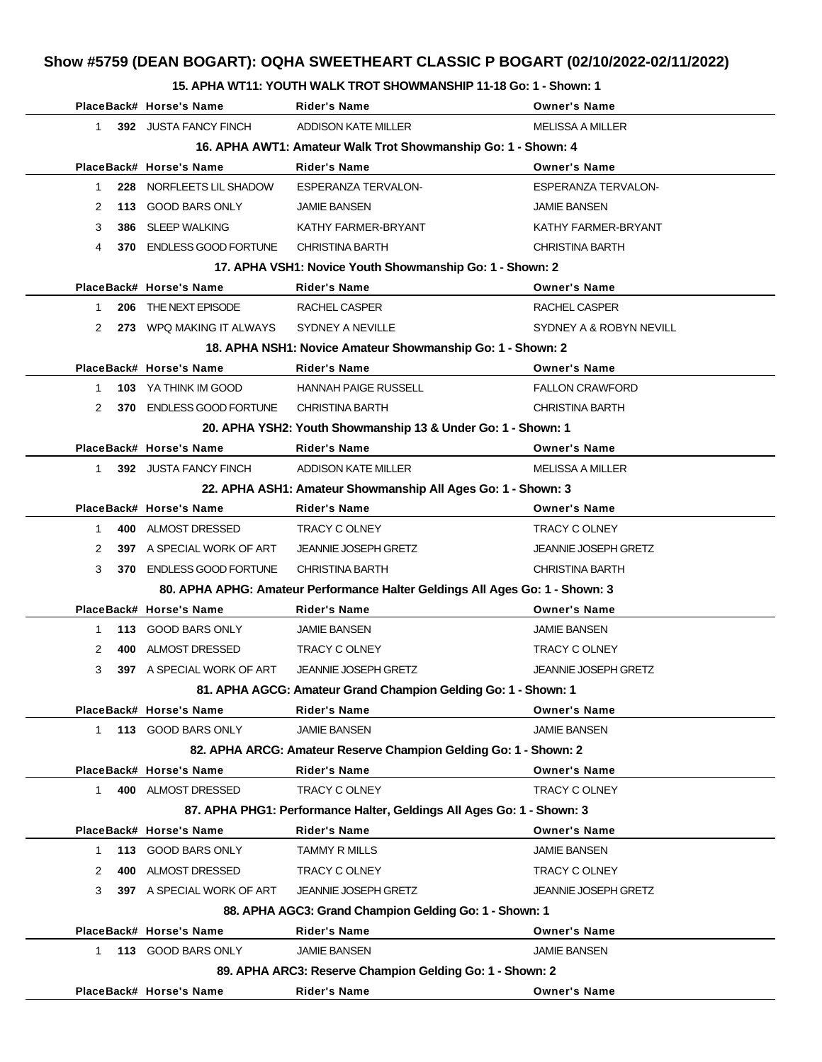#### **15. APHA WT11: YOUTH WALK TROT SHOWMANSHIP 11-18 Go: 1 - Shown: 1**

|              | PlaceBack# Horse's Name     | <b>Rider's Name</b>                                                          | <b>Owner's Name</b>         |
|--------------|-----------------------------|------------------------------------------------------------------------------|-----------------------------|
| $\mathbf{1}$ | 392 JUSTA FANCY FINCH       | ADDISON KATE MILLER                                                          | <b>MELISSA A MILLER</b>     |
|              |                             | 16. APHA AWT1: Amateur Walk Trot Showmanship Go: 1 - Shown: 4                |                             |
|              | PlaceBack# Horse's Name     | <b>Rider's Name</b>                                                          | <b>Owner's Name</b>         |
| 1            | 228 NORFLEETS LIL SHADOW    | ESPERANZA TERVALON-                                                          | ESPERANZA TERVALON-         |
| 2            | 113 GOOD BARS ONLY          | <b>JAMIE BANSEN</b>                                                          | <b>JAMIE BANSEN</b>         |
| 3<br>386     | SLEEP WALKING               | KATHY FARMER-BRYANT                                                          | KATHY FARMER-BRYANT         |
| 4            | 370 ENDLESS GOOD FORTUNE    | <b>CHRISTINA BARTH</b>                                                       | <b>CHRISTINA BARTH</b>      |
|              |                             | 17. APHA VSH1: Novice Youth Showmanship Go: 1 - Shown: 2                     |                             |
|              | PlaceBack# Horse's Name     | Rider's Name                                                                 | <b>Owner's Name</b>         |
| $\mathbf{1}$ | 206 THE NEXT EPISODE        | RACHEL CASPER                                                                | RACHEL CASPER               |
| 2            | 273 WPQ MAKING IT ALWAYS    | SYDNEY A NEVILLE                                                             | SYDNEY A & ROBYN NEVILL     |
|              |                             | 18. APHA NSH1: Novice Amateur Showmanship Go: 1 - Shown: 2                   |                             |
|              | PlaceBack# Horse's Name     | <b>Rider's Name</b>                                                          | <b>Owner's Name</b>         |
| 1            | <b>103 YA THINK IM GOOD</b> | <b>HANNAH PAIGE RUSSELL</b>                                                  | <b>FALLON CRAWFORD</b>      |
| 2            | 370 ENDLESS GOOD FORTUNE    | <b>CHRISTINA BARTH</b>                                                       | <b>CHRISTINA BARTH</b>      |
|              |                             | 20. APHA YSH2: Youth Showmanship 13 & Under Go: 1 - Shown: 1                 |                             |
|              | PlaceBack# Horse's Name     | <b>Rider's Name</b>                                                          | <b>Owner's Name</b>         |
| $\mathbf{1}$ | 392 JUSTA FANCY FINCH       | ADDISON KATE MILLER                                                          | <b>MELISSA A MILLER</b>     |
|              |                             | 22. APHA ASH1: Amateur Showmanship All Ages Go: 1 - Shown: 3                 |                             |
|              | PlaceBack# Horse's Name     | <b>Rider's Name</b>                                                          | <b>Owner's Name</b>         |
| $\mathbf{1}$ | 400 ALMOST DRESSED          | TRACY C OLNEY                                                                | TRACY C OLNEY               |
| 2            | 397 A SPECIAL WORK OF ART   | <b>JEANNIE JOSEPH GRETZ</b>                                                  | <b>JEANNIE JOSEPH GRETZ</b> |
| 3            | 370 ENDLESS GOOD FORTUNE    | <b>CHRISTINA BARTH</b>                                                       | <b>CHRISTINA BARTH</b>      |
|              |                             | 80. APHA APHG: Amateur Performance Halter Geldings All Ages Go: 1 - Shown: 3 |                             |
|              | PlaceBack# Horse's Name     | Rider's Name                                                                 | <b>Owner's Name</b>         |
| 1            | 113 GOOD BARS ONLY          | <b>JAMIE BANSEN</b>                                                          | <b>JAMIE BANSEN</b>         |
| 2            | 400 ALMOST DRESSED          | TRACY C OLNEY                                                                | <b>TRACY C OLNEY</b>        |
| 3            | 397 A SPECIAL WORK OF ART   | <b>JEANNIE JOSEPH GRETZ</b>                                                  | <b>JEANNIE JOSEPH GRETZ</b> |
|              |                             | 81. APHA AGCG: Amateur Grand Champion Gelding Go: 1 - Shown: 1               |                             |
|              | PlaceBack# Horse's Name     | <b>Rider's Name</b>                                                          | <b>Owner's Name</b>         |
| 1            | 113 GOOD BARS ONLY          | <b>JAMIE BANSEN</b>                                                          | <b>JAMIE BANSEN</b>         |
|              |                             | 82. APHA ARCG: Amateur Reserve Champion Gelding Go: 1 - Shown: 2             |                             |
|              | PlaceBack# Horse's Name     | <b>Rider's Name</b>                                                          | <b>Owner's Name</b>         |
| $\mathbf{1}$ | 400 ALMOST DRESSED          | <b>TRACY C OLNEY</b>                                                         | TRACY C OLNEY               |
|              |                             | 87. APHA PHG1: Performance Halter, Geldings All Ages Go: 1 - Shown: 3        |                             |
|              | PlaceBack# Horse's Name     | <b>Rider's Name</b>                                                          | <b>Owner's Name</b>         |
| 1            | 113 GOOD BARS ONLY          | <b>TAMMY R MILLS</b>                                                         | <b>JAMIE BANSEN</b>         |
| 400<br>2     | ALMOST DRESSED              | TRACY C OLNEY                                                                | TRACY C OLNEY               |
| 3            | 397 A SPECIAL WORK OF ART   | <b>JEANNIE JOSEPH GRETZ</b>                                                  | <b>JEANNIE JOSEPH GRETZ</b> |
|              |                             | 88. APHA AGC3: Grand Champion Gelding Go: 1 - Shown: 1                       |                             |
|              | PlaceBack# Horse's Name     | <b>Rider's Name</b>                                                          | <b>Owner's Name</b>         |
| $\mathbf{1}$ | 113 GOOD BARS ONLY          | <b>JAMIE BANSEN</b>                                                          | <b>JAMIE BANSEN</b>         |
|              |                             | 89. APHA ARC3: Reserve Champion Gelding Go: 1 - Shown: 2                     |                             |
|              | PlaceBack# Horse's Name     | <b>Rider's Name</b>                                                          | <b>Owner's Name</b>         |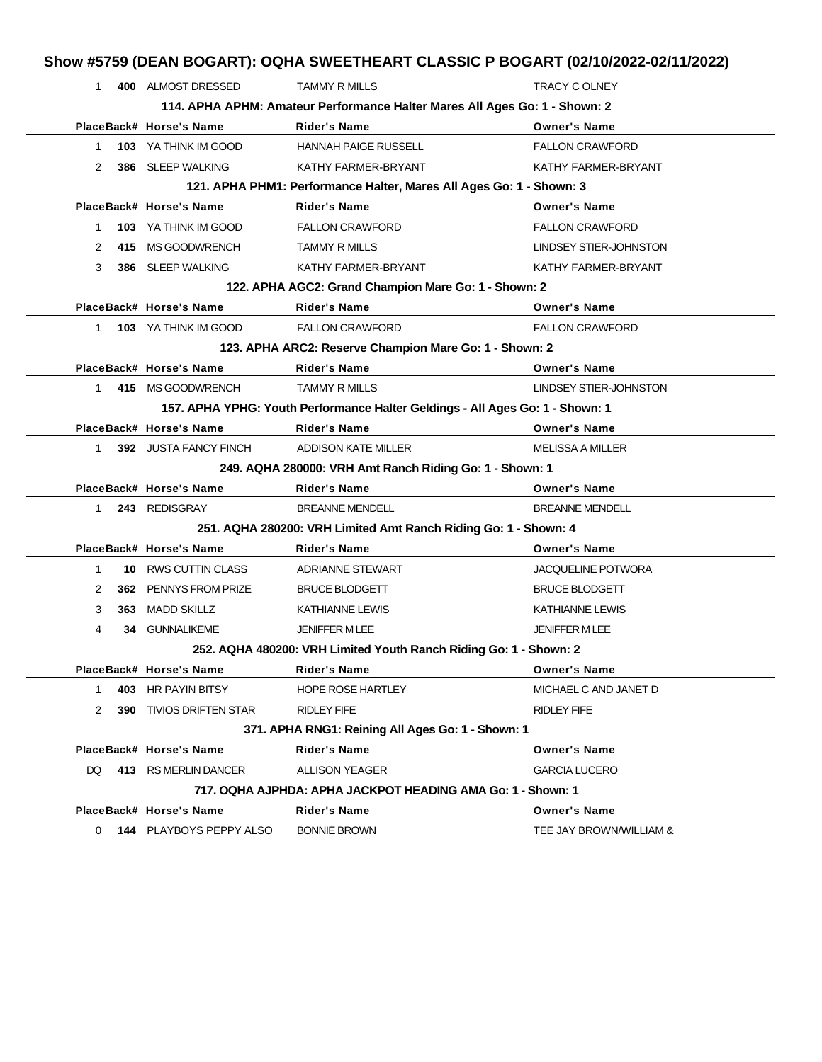| $\mathbf{1}$ |      | 400 ALMOST DRESSED             | <b>TAMMY R MILLS</b>                                                          | <b>TRACY C OLNEY</b>      |
|--------------|------|--------------------------------|-------------------------------------------------------------------------------|---------------------------|
|              |      |                                | 114. APHA APHM: Amateur Performance Halter Mares All Ages Go: 1 - Shown: 2    |                           |
|              |      | PlaceBack# Horse's Name        | <b>Rider's Name</b>                                                           | <b>Owner's Name</b>       |
| 1            |      | 103 YA THINK IM GOOD           | <b>HANNAH PAIGE RUSSELL</b>                                                   | <b>FALLON CRAWFORD</b>    |
| 2            | 386  | SLEEP WALKING                  | KATHY FARMER-BRYANT                                                           | KATHY FARMER-BRYANT       |
|              |      |                                | 121. APHA PHM1: Performance Halter, Mares All Ages Go: 1 - Shown: 3           |                           |
|              |      | PlaceBack# Horse's Name        | <b>Rider's Name</b>                                                           | <b>Owner's Name</b>       |
| 1            |      | 103 YA THINK IM GOOD           | <b>FALLON CRAWFORD</b>                                                        | <b>FALLON CRAWFORD</b>    |
| 2            | 415  | MS GOODWRENCH                  | <b>TAMMY R MILLS</b>                                                          | LINDSEY STIER-JOHNSTON    |
| 3            |      | 386 SLEEP WALKING              | KATHY FARMER-BRYANT                                                           | KATHY FARMER-BRYANT       |
|              |      |                                | 122. APHA AGC2: Grand Champion Mare Go: 1 - Shown: 2                          |                           |
|              |      | PlaceBack# Horse's Name        | <b>Rider's Name</b>                                                           | <b>Owner's Name</b>       |
| $\mathbf{1}$ |      | 103 YA THINK IM GOOD           | <b>FALLON CRAWFORD</b>                                                        | <b>FALLON CRAWFORD</b>    |
|              |      |                                | 123. APHA ARC2: Reserve Champion Mare Go: 1 - Shown: 2                        |                           |
|              |      | PlaceBack# Horse's Name        | <b>Rider's Name</b>                                                           | <b>Owner's Name</b>       |
| $\mathbf{1}$ |      | 415 MS GOODWRENCH              | <b>TAMMY R MILLS</b>                                                          | LINDSEY STIER-JOHNSTON    |
|              |      |                                | 157. APHA YPHG: Youth Performance Halter Geldings - All Ages Go: 1 - Shown: 1 |                           |
|              |      | PlaceBack# Horse's Name        | <b>Rider's Name</b>                                                           | <b>Owner's Name</b>       |
| 1            |      | 392 JUSTA FANCY FINCH          | ADDISON KATE MILLER                                                           | <b>MELISSA A MILLER</b>   |
|              |      |                                | 249. AQHA 280000: VRH Amt Ranch Riding Go: 1 - Shown: 1                       |                           |
|              |      | PlaceBack# Horse's Name        | <b>Rider's Name</b>                                                           | <b>Owner's Name</b>       |
| 1            |      | 243 REDISGRAY                  | <b>BREANNE MENDELL</b>                                                        | <b>BREANNE MENDELL</b>    |
|              |      |                                | 251. AQHA 280200: VRH Limited Amt Ranch Riding Go: 1 - Shown: 4               |                           |
|              |      | PlaceBack# Horse's Name        | <b>Rider's Name</b>                                                           | <b>Owner's Name</b>       |
| $\mathbf{1}$ | 10   | <b>RWS CUTTIN CLASS</b>        | ADRIANNE STEWART                                                              | <b>JACQUELINE POTWORA</b> |
| 2            | 362. | PENNYS FROM PRIZE              | <b>BRUCE BLODGETT</b>                                                         | <b>BRUCE BLODGETT</b>     |
| 3            | 363  | <b>MADD SKILLZ</b>             | <b>KATHIANNE LEWIS</b>                                                        | <b>KATHIANNE LEWIS</b>    |
| 4            | 34   | <b>GUNNALIKEME</b>             | <b>JENIFFER MLEE</b>                                                          | <b>JENIFFER MLEE</b>      |
|              |      |                                | 252. AQHA 480200: VRH Limited Youth Ranch Riding Go: 1 - Shown: 2             |                           |
|              |      | PlaceBack# Horse's Name        | <b>Rider's Name</b>                                                           | <b>Owner's Name</b>       |
| 1            | 403  | <b>HR PAYIN BITSY</b>          | <b>HOPE ROSE HARTLEY</b>                                                      | MICHAEL C AND JANET D     |
| 2            |      | <b>390 TIVIOS DRIFTEN STAR</b> | <b>RIDLEY FIFE</b>                                                            | RIDLEY FIFE               |
|              |      |                                | 371. APHA RNG1: Reining All Ages Go: 1 - Shown: 1                             |                           |
|              |      | PlaceBack# Horse's Name        | <b>Rider's Name</b>                                                           | <b>Owner's Name</b>       |
| DQ           |      | 413 RS MERLIN DANCER           | <b>ALLISON YEAGER</b>                                                         | <b>GARCIA LUCERO</b>      |
|              |      |                                | 717. OQHA AJPHDA: APHA JACKPOT HEADING AMA Go: 1 - Shown: 1                   |                           |
|              |      | PlaceBack# Horse's Name        | <b>Rider's Name</b>                                                           | <b>Owner's Name</b>       |
| $\Omega$     |      | 144 PLAYBOYS PEPPY ALSO        | <b>BONNIE BROWN</b>                                                           | TEE JAY BROWN/WILLIAM &   |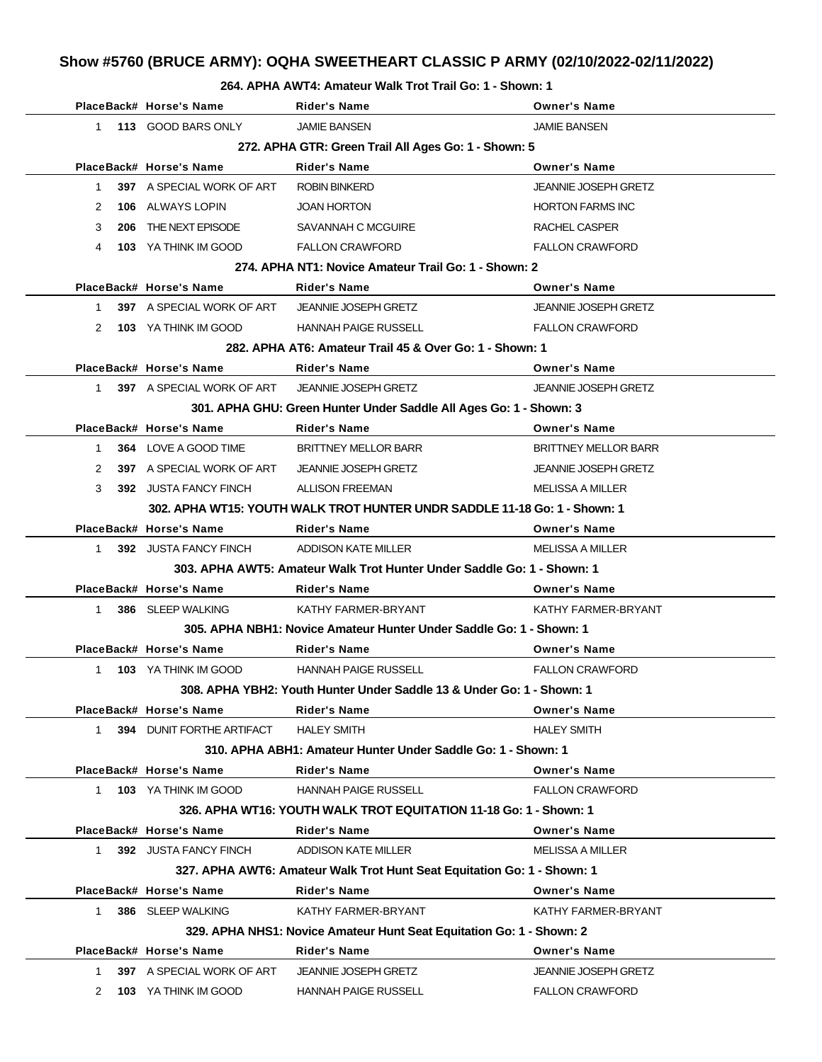# **Show #5760 (BRUCE ARMY): OQHA SWEETHEART CLASSIC P ARMY (02/10/2022-02/11/2022)**

#### **264. APHA AWT4: Amateur Walk Trot Trail Go: 1 - Shown: 1**

|           | PlaceBack# Horse's Name          | <b>Rider's Name</b>                                                       | <b>Owner's Name</b>         |
|-----------|----------------------------------|---------------------------------------------------------------------------|-----------------------------|
|           | 1 113 GOOD BARS ONLY             | <b>JAMIE BANSEN</b>                                                       | <b>JAMIE BANSEN</b>         |
|           |                                  | 272. APHA GTR: Green Trail All Ages Go: 1 - Shown: 5                      |                             |
|           | PlaceBack# Horse's Name          | <b>Rider's Name</b>                                                       | <b>Owner's Name</b>         |
| 1.        | <b>397</b> A SPECIAL WORK OF ART | <b>ROBIN BINKERD</b>                                                      | <b>JEANNIE JOSEPH GRETZ</b> |
| 2         | <b>106 ALWAYS LOPIN</b>          | <b>JOAN HORTON</b>                                                        | <b>HORTON FARMS INC</b>     |
| 3         | 206 THE NEXT EPISODE             | SAVANNAH C MCGUIRE                                                        | RACHEL CASPER               |
| 4         | 103 YA THINK IM GOOD             | <b>FALLON CRAWFORD</b>                                                    | <b>FALLON CRAWFORD</b>      |
|           |                                  | 274. APHA NT1: Novice Amateur Trail Go: 1 - Shown: 2                      |                             |
|           | PlaceBack# Horse's Name          | <b>Rider's Name</b>                                                       | <b>Owner's Name</b>         |
|           | 1 397 A SPECIAL WORK OF ART      | <b>JEANNIE JOSEPH GRETZ</b>                                               | <b>JEANNIE JOSEPH GRETZ</b> |
|           | 2 103 YA THINK IM GOOD           | <b>HANNAH PAIGE RUSSELL</b>                                               | <b>FALLON CRAWFORD</b>      |
|           |                                  | 282. APHA AT6: Amateur Trail 45 & Over Go: 1 - Shown: 1                   |                             |
|           | PlaceBack# Horse's Name          | <b>Rider's Name</b>                                                       | <b>Owner's Name</b>         |
|           | 1 397 A SPECIAL WORK OF ART      | <b>JEANNIE JOSEPH GRETZ</b>                                               | <b>JEANNIE JOSEPH GRETZ</b> |
|           |                                  | 301. APHA GHU: Green Hunter Under Saddle All Ages Go: 1 - Shown: 3        |                             |
|           | PlaceBack# Horse's Name          | <b>Rider's Name</b>                                                       | <b>Owner's Name</b>         |
| $1 \quad$ | 364 LOVE A GOOD TIME             | <b>BRITTNEY MELLOR BARR</b>                                               | <b>BRITTNEY MELLOR BARR</b> |
| 2         | 397 A SPECIAL WORK OF ART        | <b>JEANNIE JOSEPH GRETZ</b>                                               | <b>JEANNIE JOSEPH GRETZ</b> |
| 3         | 392 JUSTA FANCY FINCH            | ALLISON FREEMAN                                                           | MELISSA A MILLER            |
|           |                                  | 302. APHA WT15: YOUTH WALK TROT HUNTER UNDR SADDLE 11-18 Go: 1 - Shown: 1 |                             |
|           | PlaceBack# Horse's Name          | <b>Rider's Name</b>                                                       | <b>Owner's Name</b>         |
|           | 1 392 JUSTA FANCY FINCH          | ADDISON KATE MILLER                                                       | MELISSA A MILLER            |
|           |                                  | 303. APHA AWT5: Amateur Walk Trot Hunter Under Saddle Go: 1 - Shown: 1    |                             |
|           | PlaceBack# Horse's Name          | <b>Rider's Name</b>                                                       | <b>Owner's Name</b>         |
| $1 \quad$ | 386 SLEEP WALKING                | KATHY FARMER-BRYANT                                                       | KATHY FARMER-BRYANT         |
|           |                                  | 305. APHA NBH1: Novice Amateur Hunter Under Saddle Go: 1 - Shown: 1       |                             |
|           | PlaceBack# Horse's Name          | <b>Rider's Name</b>                                                       | <b>Owner's Name</b>         |
| 1         | 103 YA THINK IM GOOD             | <b>HANNAH PAIGE RUSSELL</b>                                               | <b>FALLON CRAWFORD</b>      |
|           |                                  | 308. APHA YBH2: Youth Hunter Under Saddle 13 & Under Go: 1 - Shown: 1     |                             |
|           | PlaceBack# Horse's Name          | Rider's Name                                                              | <b>Owner's Name</b>         |
| $1 \quad$ | <b>394 DUNIT FORTHE ARTIFACT</b> | <b>HALEY SMITH</b>                                                        | <b>HALEY SMITH</b>          |
|           |                                  | 310. APHA ABH1: Amateur Hunter Under Saddle Go: 1 - Shown: 1              |                             |
|           | PlaceBack# Horse's Name          | <b>Rider's Name</b>                                                       | <b>Owner's Name</b>         |
|           | 1 103 YA THINK IM GOOD           | <b>HANNAH PAIGE RUSSELL</b>                                               | <b>FALLON CRAWFORD</b>      |
|           |                                  | 326. APHA WT16: YOUTH WALK TROT EQUITATION 11-18 Go: 1 - Shown: 1         |                             |
|           | PlaceBack# Horse's Name          | <b>Rider's Name</b>                                                       | <b>Owner's Name</b>         |
| $1 \quad$ | 392 JUSTA FANCY FINCH            | ADDISON KATE MILLER                                                       | MELISSA A MILLER            |
|           |                                  | 327. APHA AWT6: Amateur Walk Trot Hunt Seat Equitation Go: 1 - Shown: 1   |                             |
|           | PlaceBack# Horse's Name          | <b>Rider's Name</b>                                                       | <b>Owner's Name</b>         |
| $1 \quad$ | 386 SLEEP WALKING                | KATHY FARMER-BRYANT                                                       | KATHY FARMER-BRYANT         |
|           |                                  | 329. APHA NHS1: Novice Amateur Hunt Seat Equitation Go: 1 - Shown: 2      |                             |
|           | PlaceBack# Horse's Name          | <b>Rider's Name</b>                                                       | <b>Owner's Name</b>         |
| 1         | 397 A SPECIAL WORK OF ART        | <b>JEANNIE JOSEPH GRETZ</b>                                               | <b>JEANNIE JOSEPH GRETZ</b> |
| 2         | 103 YA THINK IM GOOD             | <b>HANNAH PAIGE RUSSELL</b>                                               | <b>FALLON CRAWFORD</b>      |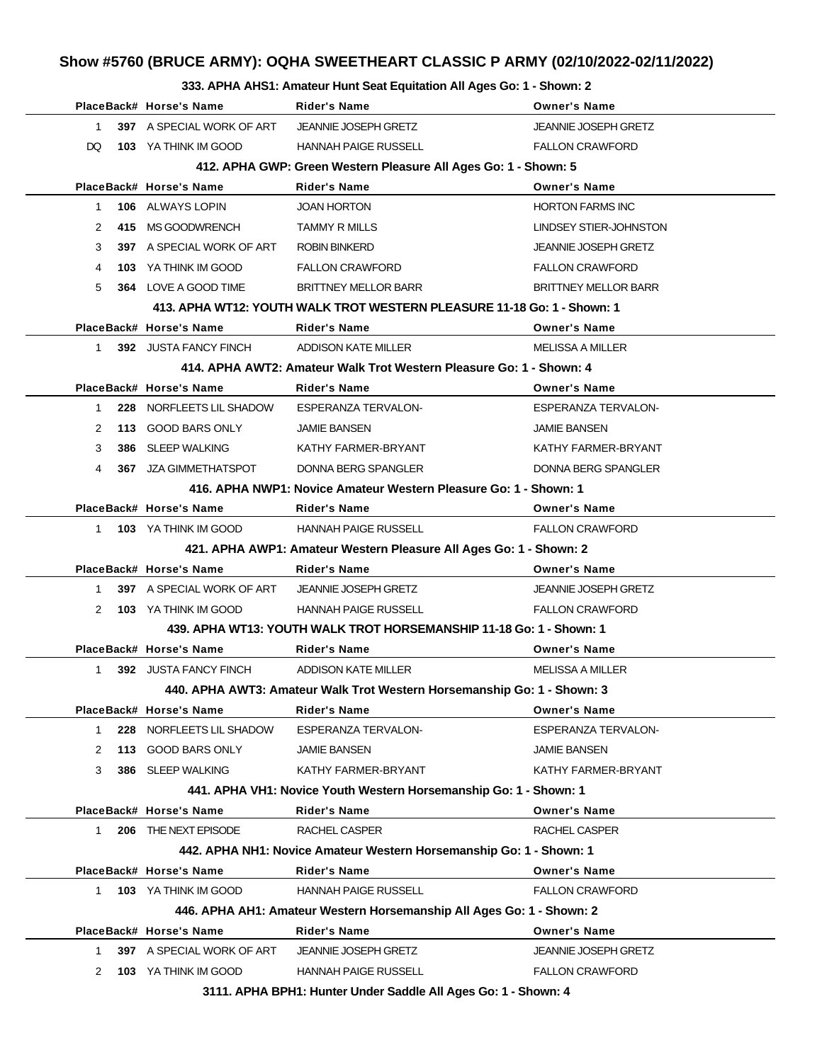## **Show #5760 (BRUCE ARMY): OQHA SWEETHEART CLASSIC P ARMY (02/10/2022-02/11/2022)**

#### **333. APHA AHS1: Amateur Hunt Seat Equitation All Ages Go: 1 - Shown: 2**

|              | PlaceBack# Horse's Name                          | <b>Rider's Name</b>                                                     | <b>Owner's Name</b>         |
|--------------|--------------------------------------------------|-------------------------------------------------------------------------|-----------------------------|
| 1            | 397 A SPECIAL WORK OF ART JEANNIE JOSEPH GRETZ   |                                                                         | <b>JEANNIE JOSEPH GRETZ</b> |
| DQ.          | <b>103</b> YA THINK IM GOOD                      | HANNAH PAIGE RUSSELL                                                    | <b>FALLON CRAWFORD</b>      |
|              |                                                  | 412. APHA GWP: Green Western Pleasure All Ages Go: 1 - Shown: 5         |                             |
|              | PlaceBack# Horse's Name                          | <b>Rider's Name</b>                                                     | <b>Owner's Name</b>         |
| $\mathbf{1}$ | <b>106</b> ALWAYS LOPIN                          | <b>JOAN HORTON</b>                                                      | <b>HORTON FARMS INC</b>     |
| 2            | 415 MS GOODWRENCH                                | <b>TAMMY R MILLS</b>                                                    | LINDSEY STIER-JOHNSTON      |
| 3            | 397 A SPECIAL WORK OF ART ROBIN BINKERD          |                                                                         | <b>JEANNIE JOSEPH GRETZ</b> |
| 4            | 103 YA THINK IM GOOD                             | <b>FALLON CRAWFORD</b>                                                  | <b>FALLON CRAWFORD</b>      |
| 5            | 364 LOVE A GOOD TIME                             | <b>BRITTNEY MELLOR BARR</b>                                             | <b>BRITTNEY MELLOR BARR</b> |
|              |                                                  | 413. APHA WT12: YOUTH WALK TROT WESTERN PLEASURE 11-18 Go: 1 - Shown: 1 |                             |
|              | PlaceBack# Horse's Name                          | <b>Rider's Name</b>                                                     | <b>Owner's Name</b>         |
| $1 \quad$    | <b>392 JUSTA FANCY FINCH</b>                     | ADDISON KATE MILLER                                                     | MELISSA A MILLER            |
|              |                                                  | 414, APHA AWT2: Amateur Walk Trot Western Pleasure Go: 1 - Shown: 4     |                             |
|              | PlaceBack# Horse's Name                          | <b>Rider's Name</b>                                                     | <b>Owner's Name</b>         |
| $1 \quad$    | 228 NORFLEETS LIL SHADOW                         | <b>ESPERANZA TERVALON-</b>                                              | <b>ESPERANZA TERVALON-</b>  |
| 2            | <b>113 GOOD BARS ONLY</b>                        | <b>JAMIE BANSEN</b>                                                     | <b>JAMIE BANSEN</b>         |
| 3            | 386 SLEEP WALKING                                | KATHY FARMER-BRYANT                                                     | KATHY FARMER-BRYANT         |
| 4            | <b>367 JZA GIMMETHATSPOT</b>                     | DONNA BERG SPANGLER                                                     | <b>DONNA BERG SPANGLER</b>  |
|              |                                                  | 416. APHA NWP1: Novice Amateur Western Pleasure Go: 1 - Shown: 1        |                             |
|              | PlaceBack# Horse's Name                          | <b>Rider's Name</b>                                                     | <b>Owner's Name</b>         |
|              | 1 103 YA THINK IM GOOD                           | HANNAH PAIGE RUSSELL                                                    | <b>FALLON CRAWFORD</b>      |
|              |                                                  | 421. APHA AWP1: Amateur Western Pleasure All Ages Go: 1 - Shown: 2      |                             |
|              | PlaceBack# Horse's Name                          | <b>Rider's Name</b>                                                     | <b>Owner's Name</b>         |
| 1            | 397 A SPECIAL WORK OF ART                        | JEANNIE JOSEPH GRETZ                                                    | <b>JEANNIE JOSEPH GRETZ</b> |
| 2            | <b>103</b> YA THINK IM GOOD                      | HANNAH PAIGE RUSSELL                                                    | <b>FALLON CRAWFORD</b>      |
|              |                                                  | 439. APHA WT13: YOUTH WALK TROT HORSEMANSHIP 11-18 Go: 1 - Shown: 1     |                             |
|              | PlaceBack# Horse's Name                          | <b>Rider's Name</b>                                                     | <b>Owner's Name</b>         |
| 1            | <b>392 JUSTA FANCY FINCH ADDISON KATE MILLER</b> |                                                                         | <b>MELISSA A MILLER</b>     |
|              |                                                  | 440. APHA AWT3: Amateur Walk Trot Western Horsemanship Go: 1 - Shown: 3 |                             |
|              | PlaceBack# Horse's Name                          | Rider's Name                                                            | <b>Owner's Name</b>         |
| 1            | 228 NORFLEETS LIL SHADOW                         | <b>ESPERANZA TERVALON-</b>                                              | <b>ESPERANZA TERVALON-</b>  |
| 2            | 113 GOOD BARS ONLY                               | <b>JAMIE BANSEN</b>                                                     | <b>JAMIE BANSEN</b>         |
| 3            | 386 SLEEP WALKING                                | KATHY FARMER-BRYANT                                                     | KATHY FARMER-BRYANT         |
|              |                                                  | 441. APHA VH1: Novice Youth Western Horsemanship Go: 1 - Shown: 1       |                             |
|              | PlaceBack# Horse's Name                          | <b>Rider's Name</b>                                                     | <b>Owner's Name</b>         |
| 1            | 206 THE NEXT EPISODE                             | RACHEL CASPER                                                           | RACHEL CASPER               |
|              |                                                  | 442. APHA NH1: Novice Amateur Western Horsemanship Go: 1 - Shown: 1     |                             |
|              | PlaceBack# Horse's Name                          | <b>Rider's Name</b>                                                     | <b>Owner's Name</b>         |
| $\mathbf{1}$ | 103 YA THINK IM GOOD                             | <b>HANNAH PAIGE RUSSELL</b>                                             | <b>FALLON CRAWFORD</b>      |
|              |                                                  | 446. APHA AH1: Amateur Western Horsemanship All Ages Go: 1 - Shown: 2   |                             |
|              | PlaceBack# Horse's Name                          | <b>Rider's Name</b>                                                     | <b>Owner's Name</b>         |
| 1.           | 397 A SPECIAL WORK OF ART                        | <b>JEANNIE JOSEPH GRETZ</b>                                             | <b>JEANNIE JOSEPH GRETZ</b> |
| 2            | <b>103</b> YA THINK IM GOOD                      | <b>HANNAH PAIGE RUSSELL</b>                                             | <b>FALLON CRAWFORD</b>      |
|              |                                                  | 3111. APHA BPH1: Hunter Under Saddle All Ages Go: 1 - Shown: 4          |                             |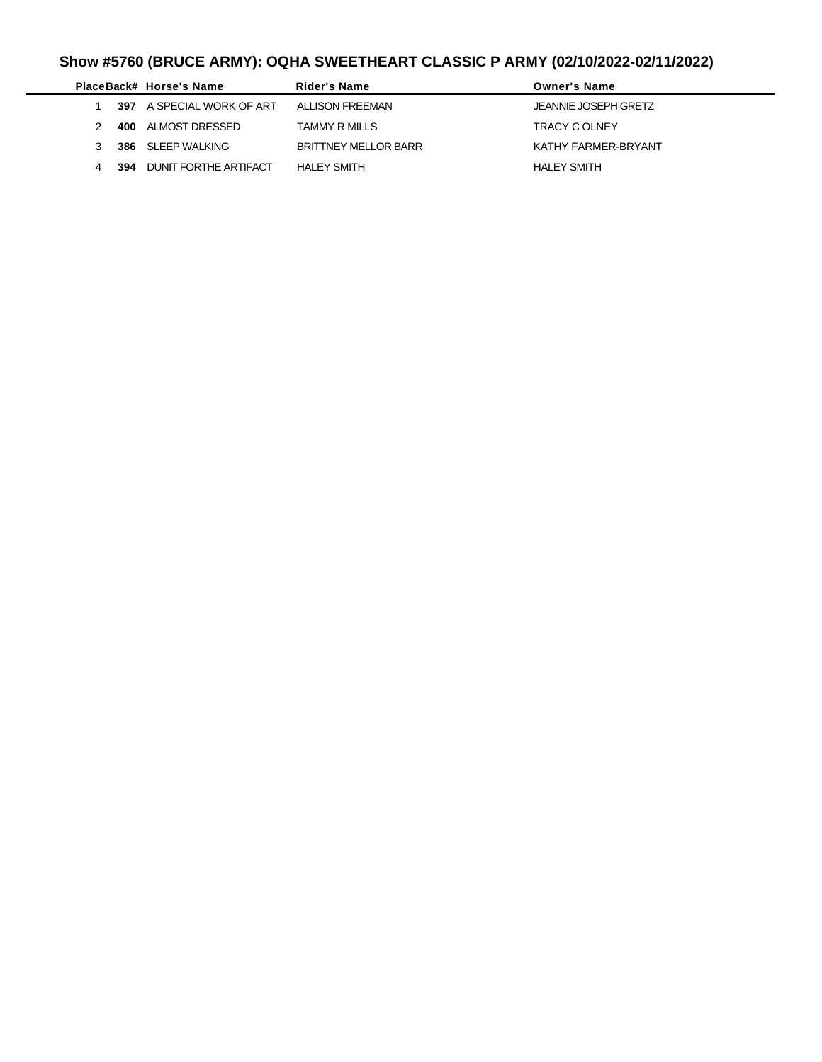# **Show #5760 (BRUCE ARMY): OQHA SWEETHEART CLASSIC P ARMY (02/10/2022-02/11/2022)**

|     | PlaceBack# Horse's Name   | Rider's Name                | <b>Owner's Name</b>  |
|-----|---------------------------|-----------------------------|----------------------|
|     | 397 A SPECIAL WORK OF ART | ALLISON FREEMAN             | JEANNIE JOSEPH GRETZ |
|     | 400 ALMOST DRESSED        | TAMMY R MILLS               | <b>TRACY C OLNEY</b> |
|     | 386 SLEEP WALKING         | <b>BRITTNEY MELLOR BARR</b> | KATHY FARMER-BRYANT  |
| 394 | DUNIT FORTHE ARTIFACT     | <b>HALEY SMITH</b>          | <b>HALEY SMITH</b>   |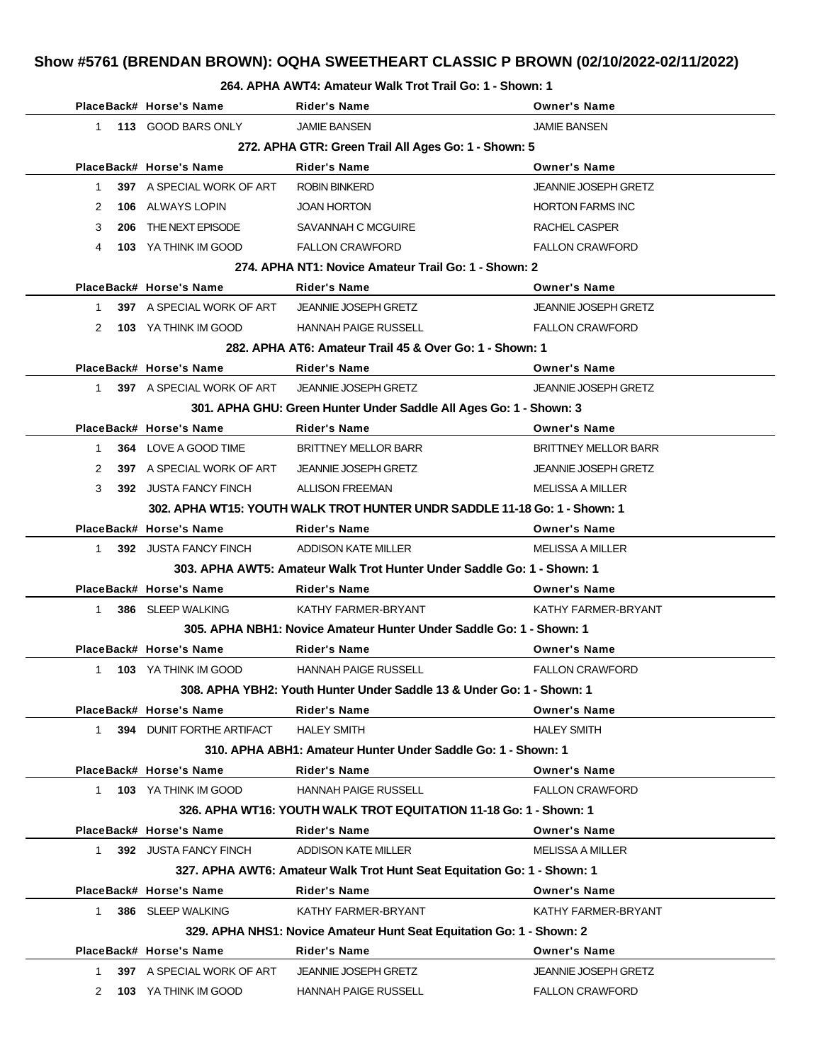## **Show #5761 (BRENDAN BROWN): OQHA SWEETHEART CLASSIC P BROWN (02/10/2022-02/11/2022)**

#### **264. APHA AWT4: Amateur Walk Trot Trail Go: 1 - Shown: 1**

|              | PlaceBack# Horse's Name          | <b>Rider's Name</b>                                                       | <b>Owner's Name</b>         |
|--------------|----------------------------------|---------------------------------------------------------------------------|-----------------------------|
| $1 \quad$    | 113 GOOD BARS ONLY               | <b>JAMIE BANSEN</b>                                                       | <b>JAMIE BANSEN</b>         |
|              |                                  | 272. APHA GTR: Green Trail All Ages Go: 1 - Shown: 5                      |                             |
|              | PlaceBack# Horse's Name          | <b>Rider's Name</b>                                                       | <b>Owner's Name</b>         |
| $\mathbf{1}$ | <b>397</b> A SPECIAL WORK OF ART | <b>ROBIN BINKERD</b>                                                      | <b>JEANNIE JOSEPH GRETZ</b> |
| 2            | <b>106 ALWAYS LOPIN</b>          | <b>JOAN HORTON</b>                                                        | <b>HORTON FARMS INC</b>     |
| 3            | 206 THE NEXT EPISODE             | SAVANNAH C MCGUIRE                                                        | RACHEL CASPER               |
| 4            | 103 YA THINK IM GOOD             | <b>FALLON CRAWFORD</b>                                                    | <b>FALLON CRAWFORD</b>      |
|              |                                  | 274. APHA NT1: Novice Amateur Trail Go: 1 - Shown: 2                      |                             |
|              | PlaceBack# Horse's Name          | <b>Rider's Name</b>                                                       | <b>Owner's Name</b>         |
| $1 \quad$    | 397 A SPECIAL WORK OF ART        | <b>JEANNIE JOSEPH GRETZ</b>                                               | <b>JEANNIE JOSEPH GRETZ</b> |
| 2            | <b>103</b> YA THINK IM GOOD      | <b>HANNAH PAIGE RUSSELL</b>                                               | <b>FALLON CRAWFORD</b>      |
|              |                                  | 282. APHA AT6: Amateur Trail 45 & Over Go: 1 - Shown: 1                   |                             |
|              | PlaceBack# Horse's Name          | <b>Rider's Name</b>                                                       | <b>Owner's Name</b>         |
|              | 1 397 A SPECIAL WORK OF ART      | <b>JEANNIE JOSEPH GRETZ</b>                                               | <b>JEANNIE JOSEPH GRETZ</b> |
|              |                                  | 301. APHA GHU: Green Hunter Under Saddle All Ages Go: 1 - Shown: 3        |                             |
|              | PlaceBack# Horse's Name          | <b>Rider's Name</b>                                                       | <b>Owner's Name</b>         |
| 1            | 364 LOVE A GOOD TIME             | <b>BRITTNEY MELLOR BARR</b>                                               | <b>BRITTNEY MELLOR BARR</b> |
| 2            | 397 A SPECIAL WORK OF ART        | <b>JEANNIE JOSEPH GRETZ</b>                                               | <b>JEANNIE JOSEPH GRETZ</b> |
| 3            | 392 JUSTA FANCY FINCH            | <b>ALLISON FREEMAN</b>                                                    | MELISSA A MILLER            |
|              |                                  | 302. APHA WT15: YOUTH WALK TROT HUNTER UNDR SADDLE 11-18 Go: 1 - Shown: 1 |                             |
|              | PlaceBack# Horse's Name          | <b>Rider's Name</b>                                                       | <b>Owner's Name</b>         |
|              | 1 392 JUSTA FANCY FINCH          | ADDISON KATE MILLER                                                       | <b>MELISSA A MILLER</b>     |
|              |                                  | 303. APHA AWT5: Amateur Walk Trot Hunter Under Saddle Go: 1 - Shown: 1    |                             |
|              | PlaceBack# Horse's Name          | <b>Rider's Name</b>                                                       | <b>Owner's Name</b>         |
| 1            | 386 SLEEP WALKING                | KATHY FARMER-BRYANT                                                       | KATHY FARMER-BRYANT         |
|              |                                  | 305. APHA NBH1: Novice Amateur Hunter Under Saddle Go: 1 - Shown: 1       |                             |
|              | PlaceBack# Horse's Name          | <b>Rider's Name</b>                                                       | <b>Owner's Name</b>         |
| $\mathbf{1}$ | <b>103 YA THINK IM GOOD</b>      | <b>HANNAH PAIGE RUSSELL</b>                                               | <b>FALLON CRAWFORD</b>      |
|              |                                  | 308. APHA YBH2: Youth Hunter Under Saddle 13 & Under Go: 1 - Shown: 1     |                             |
|              | PlaceBack# Horse's Name          | <b>Rider's Name</b>                                                       | <b>Owner's Name</b>         |
| $1 \quad$    | <b>394 DUNIT FORTHE ARTIFACT</b> | <b>HALEY SMITH</b>                                                        | <b>HALEY SMITH</b>          |
|              |                                  | 310. APHA ABH1: Amateur Hunter Under Saddle Go: 1 - Shown: 1              |                             |
|              | PlaceBack# Horse's Name          | Rider's Name                                                              | <b>Owner's Name</b>         |
| 1            | 103 YA THINK IM GOOD             | <b>HANNAH PAIGE RUSSELL</b>                                               | <b>FALLON CRAWFORD</b>      |
|              |                                  | 326. APHA WT16: YOUTH WALK TROT EQUITATION 11-18 Go: 1 - Shown: 1         |                             |
|              | PlaceBack# Horse's Name          | <b>Rider's Name</b>                                                       | <b>Owner's Name</b>         |
| $1 \quad$    | 392 JUSTA FANCY FINCH            | ADDISON KATE MILLER                                                       | <b>MELISSA A MILLER</b>     |
|              |                                  | 327. APHA AWT6: Amateur Walk Trot Hunt Seat Equitation Go: 1 - Shown: 1   |                             |
|              | PlaceBack# Horse's Name          | <b>Rider's Name</b>                                                       | <b>Owner's Name</b>         |
| 1            | 386 SLEEP WALKING                | KATHY FARMER-BRYANT                                                       | KATHY FARMER-BRYANT         |
|              |                                  | 329. APHA NHS1: Novice Amateur Hunt Seat Equitation Go: 1 - Shown: 2      |                             |
|              | PlaceBack# Horse's Name          | <b>Rider's Name</b>                                                       | <b>Owner's Name</b>         |
| 1            | 397 A SPECIAL WORK OF ART        | <b>JEANNIE JOSEPH GRETZ</b>                                               | <b>JEANNIE JOSEPH GRETZ</b> |
| 2            | 103 YA THINK IM GOOD             | <b>HANNAH PAIGE RUSSELL</b>                                               | <b>FALLON CRAWFORD</b>      |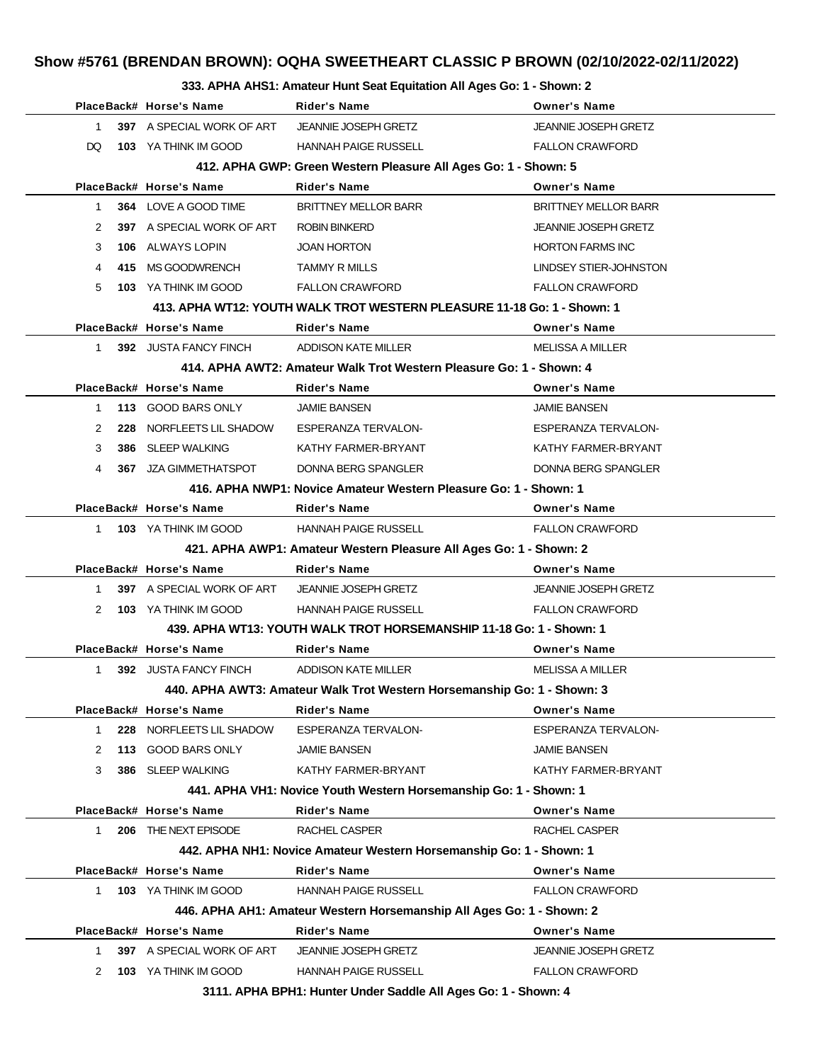## **Show #5761 (BRENDAN BROWN): OQHA SWEETHEART CLASSIC P BROWN (02/10/2022-02/11/2022)**

#### **333. APHA AHS1: Amateur Hunt Seat Equitation All Ages Go: 1 - Shown: 2**

|              |                                                | $\overline{1}$ . The function function of $\overline{2}$ . $\overline{4}$ |                             |
|--------------|------------------------------------------------|---------------------------------------------------------------------------|-----------------------------|
|              | PlaceBack# Horse's Name                        | Rider's Name                                                              | <b>Owner's Name</b>         |
| $\mathbf{1}$ | 397 A SPECIAL WORK OF ART JEANNIE JOSEPH GRETZ |                                                                           | <b>JEANNIE JOSEPH GRETZ</b> |
| DQ.          | <b>103</b> YA THINK IM GOOD                    | HANNAH PAIGE RUSSELL                                                      | <b>FALLON CRAWFORD</b>      |
|              |                                                | 412. APHA GWP: Green Western Pleasure All Ages Go: 1 - Shown: 5           |                             |
|              | PlaceBack# Horse's Name                        | <b>Rider's Name</b>                                                       | <b>Owner's Name</b>         |
| 1            | 364 LOVE A GOOD TIME                           | <b>BRITTNEY MELLOR BARR</b>                                               | <b>BRITTNEY MELLOR BARR</b> |
| 2            | 397 A SPECIAL WORK OF ART                      | <b>ROBIN BINKERD</b>                                                      | <b>JEANNIE JOSEPH GRETZ</b> |
| 3            | <b>106 ALWAYS LOPIN</b>                        | <b>JOAN HORTON</b>                                                        | <b>HORTON FARMS INC</b>     |
| 4            | 415 MS GOODWRENCH                              | <b>TAMMY R MILLS</b>                                                      | LINDSEY STIER-JOHNSTON      |
| 5            | 103 YA THINK IM GOOD                           | <b>FALLON CRAWFORD</b>                                                    | <b>FALLON CRAWFORD</b>      |
|              |                                                | 413. APHA WT12: YOUTH WALK TROT WESTERN PLEASURE 11-18 Go: 1 - Shown: 1   |                             |
|              | PlaceBack# Horse's Name                        | <b>Rider's Name</b>                                                       | <b>Owner's Name</b>         |
| $\mathbf{1}$ | 392 JUSTA FANCY FINCH                          | ADDISON KATE MILLER                                                       | <b>MELISSA A MILLER</b>     |
|              |                                                | 414, APHA AWT2: Amateur Walk Trot Western Pleasure Go: 1 - Shown: 4       |                             |
|              | PlaceBack# Horse's Name                        | <b>Rider's Name</b>                                                       | <b>Owner's Name</b>         |
| $\mathbf{1}$ | 113 GOOD BARS ONLY                             | <b>JAMIE BANSEN</b>                                                       | <b>JAMIE BANSEN</b>         |
| 2            | 228 NORFLEETS LIL SHADOW                       | ESPERANZA TERVALON-                                                       | <b>ESPERANZA TERVALON-</b>  |
| 3            | 386 SLEEP WALKING                              | KATHY FARMER-BRYANT                                                       | KATHY FARMER-BRYANT         |
| 4            | <b>367 JZA GIMMETHATSPOT</b>                   | DONNA BERG SPANGLER                                                       | DONNA BERG SPANGLER         |
|              |                                                | 416. APHA NWP1: Novice Amateur Western Pleasure Go: 1 - Shown: 1          |                             |
|              | PlaceBack# Horse's Name                        | <b>Rider's Name</b>                                                       | <b>Owner's Name</b>         |
| 1            | 103 YA THINK IM GOOD                           | <b>HANNAH PAIGE RUSSELL</b>                                               | <b>FALLON CRAWFORD</b>      |
|              |                                                | 421. APHA AWP1: Amateur Western Pleasure All Ages Go: 1 - Shown: 2        |                             |
|              | PlaceBack# Horse's Name                        | <b>Rider's Name</b>                                                       | <b>Owner's Name</b>         |
| $\mathbf{1}$ | 397 A SPECIAL WORK OF ART                      | <b>JEANNIE JOSEPH GRETZ</b>                                               | <b>JEANNIE JOSEPH GRETZ</b> |
| 2            | <b>103 YA THINK IM GOOD</b>                    | <b>HANNAH PAIGE RUSSELL</b>                                               | <b>FALLON CRAWFORD</b>      |
|              |                                                | 439. APHA WT13: YOUTH WALK TROT HORSEMANSHIP 11-18 Go: 1 - Shown: 1       |                             |
|              | PlaceBack# Horse's Name                        | <b>Rider's Name</b>                                                       | <b>Owner's Name</b>         |
| 1            | 392 JUSTA FANCY FINCH                          | ADDISON KATE MILLER                                                       | <b>MELISSA A MILLER</b>     |
|              |                                                | 440. APHA AWT3: Amateur Walk Trot Western Horsemanship Go: 1 - Shown: 3   |                             |
|              | PlaceBack# Horse's Name                        | <b>Rider's Name</b>                                                       | <b>Owner's Name</b>         |
| 1.           | 228 NORFLEETS LIL SHADOW                       | <b>ESPERANZA TERVALON-</b>                                                | <b>ESPERANZA TERVALON-</b>  |
| 2            | 113 GOOD BARS ONLY                             | <b>JAMIE BANSEN</b>                                                       | <b>JAMIE BANSEN</b>         |
| 3            | 386 SLEEP WALKING                              | KATHY FARMER-BRYANT                                                       | KATHY FARMER-BRYANT         |
|              |                                                | 441. APHA VH1: Novice Youth Western Horsemanship Go: 1 - Shown: 1         |                             |
|              | PlaceBack# Horse's Name                        | <b>Rider's Name</b>                                                       | <b>Owner's Name</b>         |
| 1.           | 206 THE NEXT EPISODE                           | RACHEL CASPER                                                             | RACHEL CASPER               |
|              |                                                | 442. APHA NH1: Novice Amateur Western Horsemanship Go: 1 - Shown: 1       |                             |
|              | PlaceBack# Horse's Name                        | <b>Rider's Name</b>                                                       | <b>Owner's Name</b>         |
| $\mathbf{1}$ | 103 YA THINK IM GOOD                           | <b>HANNAH PAIGE RUSSELL</b>                                               | <b>FALLON CRAWFORD</b>      |
|              |                                                | 446. APHA AH1: Amateur Western Horsemanship All Ages Go: 1 - Shown: 2     |                             |
|              | PlaceBack# Horse's Name                        | <b>Rider's Name</b>                                                       | <b>Owner's Name</b>         |
|              | 397 A SPECIAL WORK OF ART                      | <b>JEANNIE JOSEPH GRETZ</b>                                               | <b>JEANNIE JOSEPH GRETZ</b> |
| 1.           |                                                |                                                                           |                             |
| 2            | 103 YA THINK IM GOOD                           | <b>HANNAH PAIGE RUSSELL</b>                                               | <b>FALLON CRAWFORD</b>      |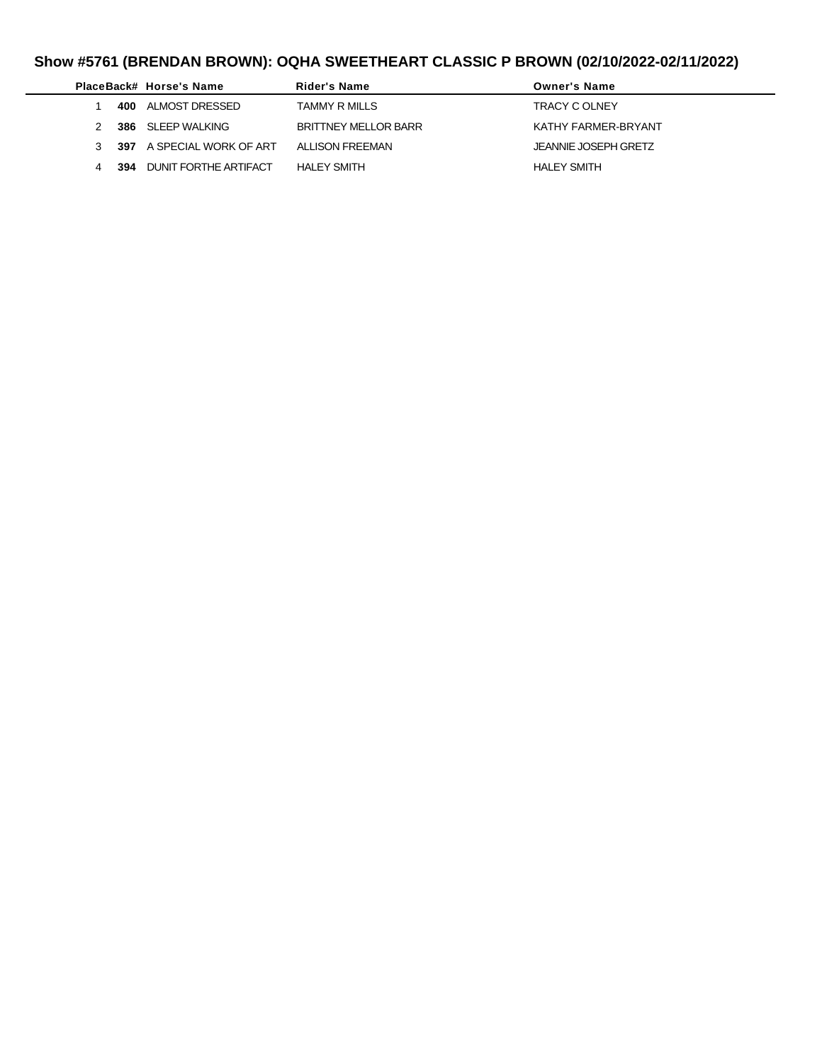# **Show #5761 (BRENDAN BROWN): OQHA SWEETHEART CLASSIC P BROWN (02/10/2022-02/11/2022)**

|   |     | PlaceBack# Horse's Name   | Rider's Name         | <b>Owner's Name</b>  |
|---|-----|---------------------------|----------------------|----------------------|
|   |     | 400 ALMOST DRESSED        | TAMMY R MILLS        | <b>TRACY C OLNEY</b> |
|   |     | 386 SLEEP WALKING         | BRITTNEY MELLOR BARR | KATHY FARMFR-BRYANT  |
| 3 |     | 397 A SPECIAL WORK OF ART | ALLISON FREEMAN      | JEANNIE JOSEPH GRETZ |
| 4 | 394 | DUNIT FORTHE ARTIFACT     | <b>HALEY SMITH</b>   | <b>HALEY SMITH</b>   |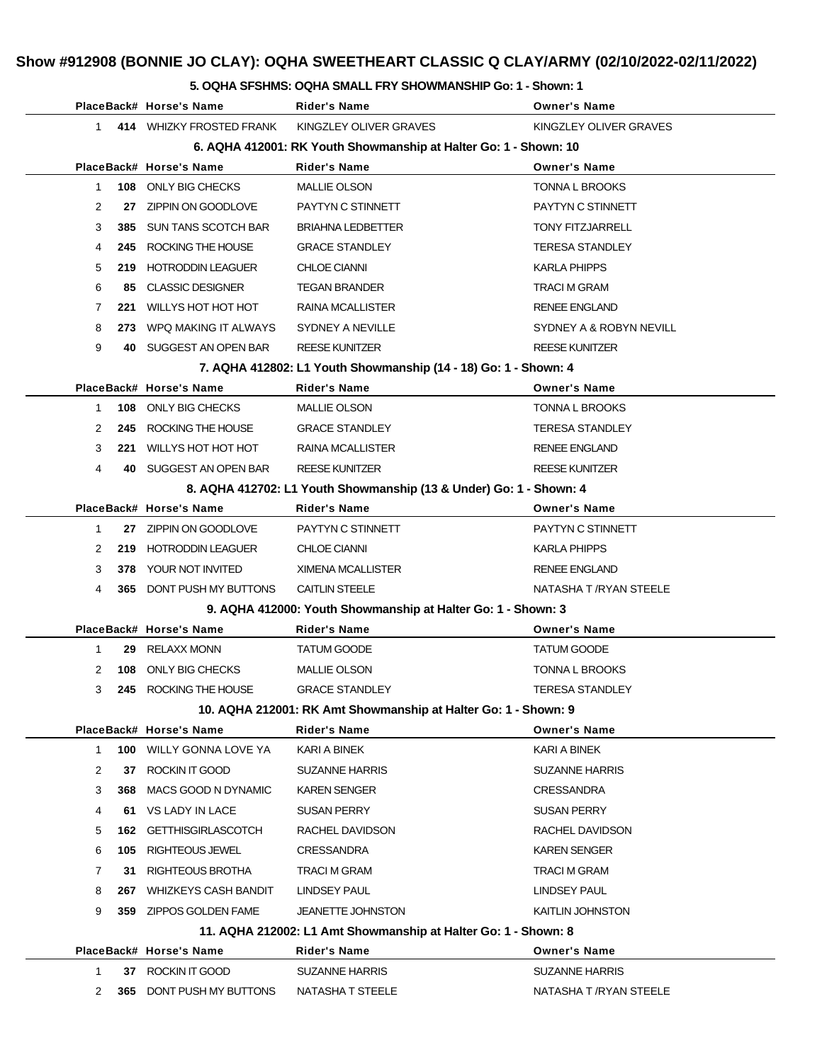# **Show #912908 (BONNIE JO CLAY): OQHA SWEETHEART CLASSIC Q CLAY/ARMY (02/10/2022-02/11/2022)**

#### **5. OQHA SFSHMS: OQHA SMALL FRY SHOWMANSHIP Go: 1 - Shown: 1**

|   |      | PlaceBack# Horse's Name        | Rider's Name                                                       | <b>Owner's Name</b>     |
|---|------|--------------------------------|--------------------------------------------------------------------|-------------------------|
| 1 |      | 414 WHIZKY FROSTED FRANK       | KINGZLEY OLIVER GRAVES                                             | KINGZLEY OLIVER GRAVES  |
|   |      |                                | 6. AQHA 412001: RK Youth Showmanship at Halter Go: 1 - Shown: 10   |                         |
|   |      | PlaceBack# Horse's Name        | <b>Rider's Name</b>                                                | <b>Owner's Name</b>     |
| 1 |      | 108 ONLY BIG CHECKS            | <b>MALLIE OLSON</b>                                                | <b>TONNA L BROOKS</b>   |
| 2 | 27   | ZIPPIN ON GOODLOVE             | PAYTYN C STINNETT                                                  | PAYTYN C STINNETT       |
| 3 |      | <b>385 SUN TANS SCOTCH BAR</b> | <b>BRIAHNA LEDBETTER</b>                                           | <b>TONY FITZJARRELL</b> |
| 4 | 245  | ROCKING THE HOUSE              | <b>GRACE STANDLEY</b>                                              | <b>TERESA STANDLEY</b>  |
| 5 | 219  | <b>HOTRODDIN LEAGUER</b>       | <b>CHLOE CIANNI</b>                                                | <b>KARLA PHIPPS</b>     |
| 6 | 85   | <b>CLASSIC DESIGNER</b>        | <b>TEGAN BRANDER</b>                                               | <b>TRACI M GRAM</b>     |
| 7 |      | 221 WILLYS HOT HOT HOT         | RAINA MCALLISTER                                                   | <b>RENEE ENGLAND</b>    |
| 8 | 273. | WPQ MAKING IT ALWAYS           | SYDNEY A NEVILLE                                                   | SYDNEY A & ROBYN NEVILL |
| 9 |      | 40 SUGGEST AN OPEN BAR         | <b>REESE KUNITZER</b>                                              | <b>REESE KUNITZER</b>   |
|   |      |                                | 7. AQHA 412802: L1 Youth Showmanship (14 - 18) Go: 1 - Shown: 4    |                         |
|   |      | PlaceBack# Horse's Name        | <b>Rider's Name</b>                                                | <b>Owner's Name</b>     |
| 1 |      | 108 ONLY BIG CHECKS            | <b>MALLIE OLSON</b>                                                | TONNA L BROOKS          |
| 2 |      | 245 ROCKING THE HOUSE          | <b>GRACE STANDLEY</b>                                              | <b>TERESA STANDLEY</b>  |
| 3 | 221  | WILLYS HOT HOT HOT             | <b>RAINA MCALLISTER</b>                                            | <b>RENEE ENGLAND</b>    |
| 4 |      | 40 SUGGEST AN OPEN BAR         | <b>REESE KUNITZER</b>                                              | <b>REESE KUNITZER</b>   |
|   |      |                                | 8. AQHA 412702: L1 Youth Showmanship (13 & Under) Go: 1 - Shown: 4 |                         |
|   |      | PlaceBack# Horse's Name        | Rider's Name                                                       | <b>Owner's Name</b>     |
| 1 |      | 27 ZIPPIN ON GOODLOVE          | PAYTYN C STINNETT                                                  | PAYTYN C STINNETT       |
| 2 |      | 219 HOTRODDIN LEAGUER          | <b>CHLOE CIANNI</b>                                                | <b>KARLA PHIPPS</b>     |
| 3 |      | <b>378 YOUR NOT INVITED</b>    | XIMENA MCALLISTER                                                  | <b>RENEE ENGLAND</b>    |
| 4 |      | 365 DONT PUSH MY BUTTONS       | <b>CAITLIN STEELE</b>                                              | NATASHA T /RYAN STEELE  |
|   |      |                                | 9. AQHA 412000: Youth Showmanship at Halter Go: 1 - Shown: 3       |                         |
|   |      | PlaceBack# Horse's Name        | Rider's Name                                                       | <b>Owner's Name</b>     |
| 1 |      | 29 RELAXX MONN                 | <b>TATUM GOODE</b>                                                 | TATUM GOODE             |
| 2 |      | 108 ONLY BIG CHECKS            | <b>MALLIE OLSON</b>                                                | <b>TONNA L BROOKS</b>   |
| 3 |      | 245 ROCKING THE HOUSE          | <b>GRACE STANDLEY</b>                                              | <b>TERESA STANDLEY</b>  |
|   |      |                                | 10. AQHA 212001: RK Amt Showmanship at Halter Go: 1 - Shown: 9     |                         |
|   |      | PlaceBack# Horse's Name        | <b>Rider's Name</b>                                                | Owner's Name            |
| 1 |      | <b>100 WILLY GONNA LOVE YA</b> | KARI A BINEK                                                       | KARI A BINEK            |
| 2 | 37   | ROCKIN IT GOOD                 | <b>SUZANNE HARRIS</b>                                              | <b>SUZANNE HARRIS</b>   |
| 3 | 368  | MACS GOOD N DYNAMIC            | <b>KAREN SENGER</b>                                                | <b>CRESSANDRA</b>       |
| 4 | 61   | VS LADY IN LACE                | SUSAN PERRY                                                        | <b>SUSAN PERRY</b>      |
| 5 |      | 162 GETTHISGIRLASCOTCH         | RACHEL DAVIDSON                                                    | RACHEL DAVIDSON         |
| 6 | 105  | RIGHTEOUS JEWEL                | <b>CRESSANDRA</b>                                                  | <b>KAREN SENGER</b>     |
| 7 | 31   | RIGHTEOUS BROTHA               | TRACI M GRAM                                                       | <b>TRACI M GRAM</b>     |
| 8 | 267  | <b>WHIZKEYS CASH BANDIT</b>    | LINDSEY PAUL                                                       | <b>LINDSEY PAUL</b>     |
| 9 |      | 359 ZIPPOS GOLDEN FAME         | <b>JEANETTE JOHNSTON</b>                                           | KAITLIN JOHNSTON        |
|   |      |                                | 11. AQHA 212002: L1 Amt Showmanship at Halter Go: 1 - Shown: 8     |                         |
|   |      | PlaceBack# Horse's Name        | <b>Rider's Name</b>                                                | <b>Owner's Name</b>     |
| 1 |      | 37 ROCKIN IT GOOD              | <b>SUZANNE HARRIS</b>                                              | <b>SUZANNE HARRIS</b>   |
| 2 |      | 365 DONT PUSH MY BUTTONS       | NATASHA T STEELE                                                   | NATASHA T /RYAN STEELE  |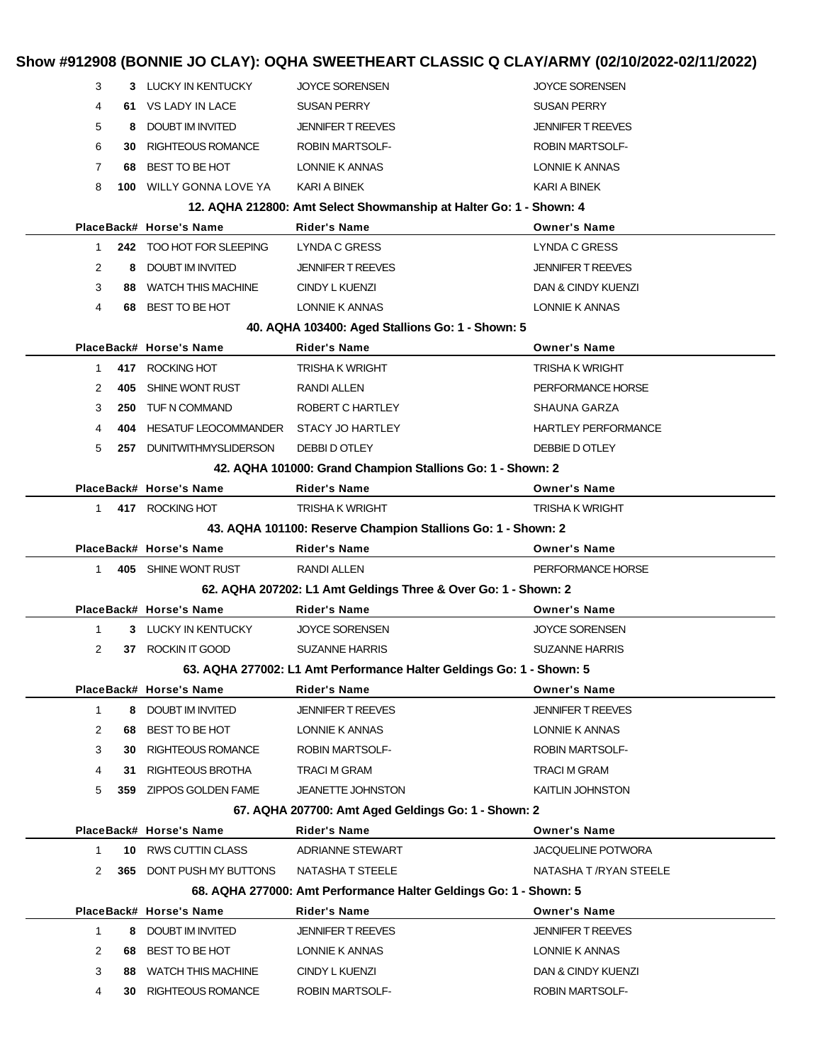|                |           |                                                | Show #912908 (BONNIE JO CLAY): OQHA SWEETHEART CLASSIC Q CLAY/ARMY (02/10/2022-02/11/2022) |                                       |
|----------------|-----------|------------------------------------------------|--------------------------------------------------------------------------------------------|---------------------------------------|
| 3              |           | 3 LUCKY IN KENTUCKY                            | JOYCE SORENSEN                                                                             | <b>JOYCE SORENSEN</b>                 |
| 4              |           | 61 VS LADY IN LACE                             | <b>SUSAN PERRY</b>                                                                         | <b>SUSAN PERRY</b>                    |
| 5              | 8         | DOUBT IM INVITED                               | <b>JENNIFER T REEVES</b>                                                                   | <b>JENNIFER T REEVES</b>              |
| 6              | 30        | <b>RIGHTEOUS ROMANCE</b>                       | <b>ROBIN MARTSOLF-</b>                                                                     | <b>ROBIN MARTSOLF-</b>                |
| 7              | 68        | BEST TO BE HOT                                 | LONNIE K ANNAS                                                                             | LONNIE K ANNAS                        |
| 8              |           | 100 WILLY GONNA LOVE YA                        | KARI A BINEK                                                                               | KARI A BINEK                          |
|                |           |                                                | 12. AQHA 212800: Amt Select Showmanship at Halter Go: 1 - Shown: 4                         |                                       |
|                |           | PlaceBack# Horse's Name                        | <b>Rider's Name</b>                                                                        | <b>Owner's Name</b>                   |
| 1              |           | 242 TOO HOT FOR SLEEPING                       | <b>LYNDA C GRESS</b>                                                                       | LYNDA C GRESS                         |
| $\overline{2}$ | 8         | DOUBT IM INVITED                               | <b>JENNIFER T REEVES</b>                                                                   | <b>JENNIFER T REEVES</b>              |
| 3              | 88        | <b>WATCH THIS MACHINE</b>                      | CINDY L KUENZI                                                                             | DAN & CINDY KUENZI                    |
| 4              | 68        | BEST TO BE HOT                                 | LONNIE K ANNAS                                                                             | LONNIE K ANNAS                        |
|                |           |                                                | 40. AQHA 103400: Aged Stallions Go: 1 - Shown: 5                                           |                                       |
|                |           | PlaceBack# Horse's Name                        | <b>Rider's Name</b>                                                                        | <b>Owner's Name</b>                   |
| 1.             |           | 417 ROCKING HOT                                | <b>TRISHA K WRIGHT</b>                                                                     | <b>TRISHA K WRIGHT</b>                |
| 2              | 405       | SHINE WONT RUST                                | RANDI ALLEN                                                                                | PERFORMANCE HORSE                     |
| 3              | 250       | TUF N COMMAND                                  | ROBERT C HARTLEY                                                                           | SHAUNA GARZA                          |
| 4              | 404       | HESATUF LEOCOMMANDER                           | <b>STACY JO HARTLEY</b>                                                                    | <b>HARTLEY PERFORMANCE</b>            |
| 5              |           | 257 DUNITWITHMYSLIDERSON                       | DEBBI D OTLEY                                                                              | DEBBIE D OTLEY                        |
|                |           |                                                | 42. AQHA 101000: Grand Champion Stallions Go: 1 - Shown: 2                                 |                                       |
|                |           | PlaceBack# Horse's Name                        | <b>Rider's Name</b>                                                                        | <b>Owner's Name</b>                   |
| 1.             |           | 417 ROCKING HOT                                | <b>TRISHA K WRIGHT</b>                                                                     | <b>TRISHA K WRIGHT</b>                |
|                |           |                                                | 43. AQHA 101100: Reserve Champion Stallions Go: 1 - Shown: 2                               |                                       |
|                |           | PlaceBack# Horse's Name                        | <b>Rider's Name</b>                                                                        | <b>Owner's Name</b>                   |
| 1.             |           | 405 SHINE WONT RUST                            | RANDI ALLEN                                                                                | PERFORMANCE HORSE                     |
|                |           |                                                | 62. AQHA 207202: L1 Amt Geldings Three & Over Go: 1 - Shown: 2                             |                                       |
|                |           | PlaceBack# Horse's Name                        | Rider's Name                                                                               | <b>Owner's Name</b>                   |
| 1              |           | 3 LUCKY IN KENTUCKY                            | <b>JOYCE SORENSEN</b>                                                                      | <b>JOYCE SORENSEN</b>                 |
| 2              |           | 37 ROCKIN IT GOOD                              | <b>SUZANNE HARRIS</b>                                                                      | <b>SUZANNE HARRIS</b>                 |
|                |           |                                                | 63. AQHA 277002: L1 Amt Performance Halter Geldings Go: 1 - Shown: 5                       |                                       |
|                |           | PlaceBack# Horse's Name                        |                                                                                            |                                       |
| $\mathbf{1}$   |           |                                                | <b>Rider's Name</b>                                                                        | <b>Owner's Name</b>                   |
|                |           | 8 DOUBT IM INVITED                             | <b>JENNIFER T REEVES</b>                                                                   | <b>JENNIFER T REEVES</b>              |
| $\overline{c}$ | 68        | BEST TO BE HOT                                 | LONNIE K ANNAS                                                                             | LONNIE K ANNAS                        |
| 3              | 30        | <b>RIGHTEOUS ROMANCE</b>                       | ROBIN MARTSOLF-                                                                            | <b>ROBIN MARTSOLF-</b>                |
| 4              | 31        | RIGHTEOUS BROTHA                               | TRACI M GRAM                                                                               | TRACI M GRAM                          |
| 5              | 359       | ZIPPOS GOLDEN FAME                             | <b>JEANETTE JOHNSTON</b>                                                                   | KAITLIN JOHNSTON                      |
|                |           |                                                | 67. AQHA 207700: Amt Aged Geldings Go: 1 - Shown: 2                                        |                                       |
|                |           | PlaceBack# Horse's Name                        | <b>Rider's Name</b>                                                                        | <b>Owner's Name</b>                   |
| $\mathbf{1}$   |           | 10 RWS CUTTIN CLASS                            | <b>ADRIANNE STEWART</b>                                                                    | <b>JACQUELINE POTWORA</b>             |
| 2              |           | <b>365 DONT PUSH MY BUTTONS</b>                | NATASHA T STEELE                                                                           | NATASHA T /RYAN STEELE                |
|                |           |                                                | 68. AQHA 277000: Amt Performance Halter Geldings Go: 1 - Shown: 5                          |                                       |
|                |           | PlaceBack# Horse's Name                        | <b>Rider's Name</b>                                                                        | <b>Owner's Name</b>                   |
| $\mathbf{1}$   | 8         | DOUBT IM INVITED                               | <b>JENNIFER T REEVES</b>                                                                   | <b>JENNIFER T REEVES</b>              |
| 2              |           | 68 BEST TO BE HOT                              | LONNIE K ANNAS                                                                             | LONNIE K ANNAS                        |
| 3<br>4         | 88<br>30. | <b>WATCH THIS MACHINE</b><br>RIGHTEOUS ROMANCE | CINDY L KUENZI<br>ROBIN MARTSOLF-                                                          | DAN & CINDY KUENZI<br>ROBIN MARTSOLF- |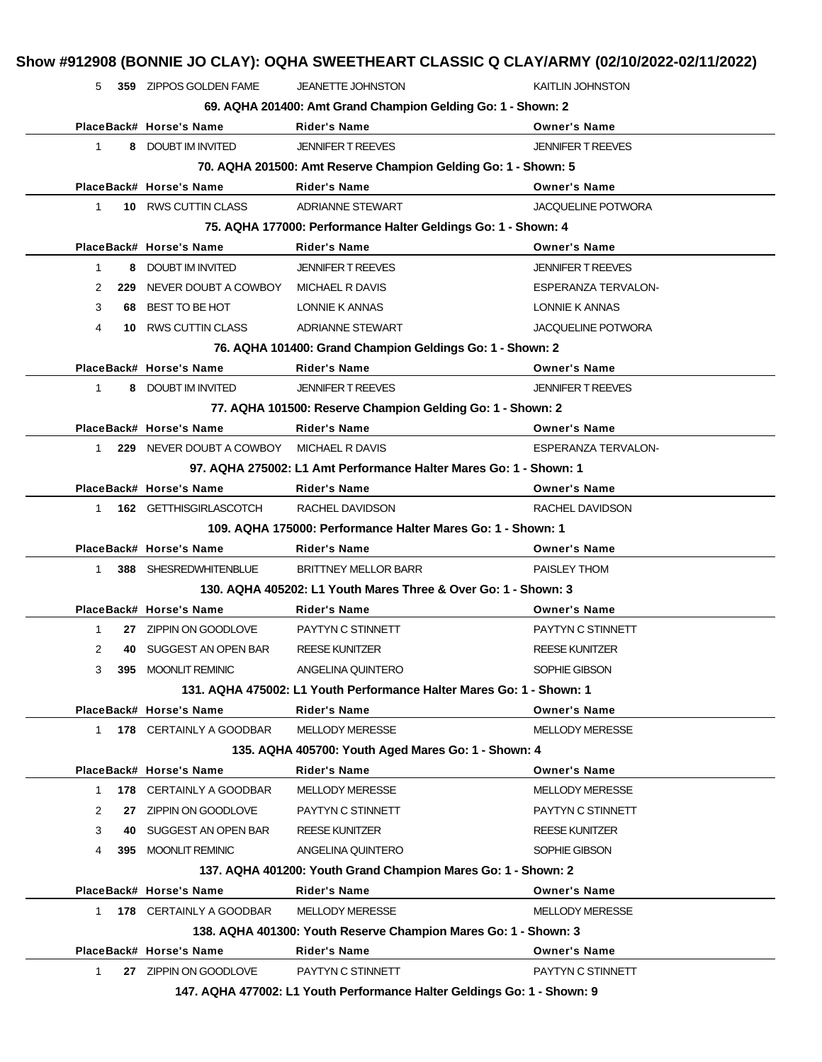|              |     | 359 ZIPPOS GOLDEN FAME   | JEANETTE JOHNSTON                                                                      | <b>KAITLIN JOHNSTON</b>                |
|--------------|-----|--------------------------|----------------------------------------------------------------------------------------|----------------------------------------|
|              |     |                          | 69. AQHA 201400: Amt Grand Champion Gelding Go: 1 - Shown: 2                           |                                        |
|              |     | PlaceBack# Horse's Name  | <b>Rider's Name</b>                                                                    | <b>Owner's Name</b>                    |
| $\mathbf 1$  |     | 8 DOUBT IM INVITED       | <b>JENNIFER T REEVES</b>                                                               | <b>JENNIFER T REEVES</b>               |
|              |     |                          | 70. AQHA 201500: Amt Reserve Champion Gelding Go: 1 - Shown: 5                         |                                        |
|              |     | PlaceBack# Horse's Name  | <b>Rider's Name</b>                                                                    | <b>Owner's Name</b>                    |
| $\mathbf{1}$ |     | 10 RWS CUTTIN CLASS      | <b>ADRIANNE STEWART</b>                                                                | <b>JACQUELINE POTWORA</b>              |
|              |     |                          | 75. AQHA 177000: Performance Halter Geldings Go: 1 - Shown: 4                          |                                        |
|              |     | PlaceBack# Horse's Name  | <b>Rider's Name</b>                                                                    | <b>Owner's Name</b>                    |
| $\mathbf{1}$ |     | 8 DOUBT IM INVITED       | <b>JENNIFER T REEVES</b>                                                               | <b>JENNIFER T REEVES</b>               |
| 2            | 229 | NEVER DOUBT A COWBOY     | MICHAEL R DAVIS                                                                        | <b>ESPERANZA TERVALON-</b>             |
| 3            | 68. | BEST TO BE HOT           | LONNIE K ANNAS                                                                         | LONNIE K ANNAS                         |
| 4            | 10  | RWS CUTTIN CLASS         | <b>ADRIANNE STEWART</b>                                                                | <b>JACQUELINE POTWORA</b>              |
|              |     |                          | 76. AQHA 101400: Grand Champion Geldings Go: 1 - Shown: 2                              |                                        |
|              |     | PlaceBack# Horse's Name  | <b>Rider's Name</b>                                                                    | <b>Owner's Name</b>                    |
| $\mathbf 1$  |     | 8 DOUBT IM INVITED       | <b>JENNIFER T REEVES</b>                                                               | <b>JENNIFER T REEVES</b>               |
|              |     |                          | 77. AQHA 101500: Reserve Champion Gelding Go: 1 - Shown: 2                             |                                        |
|              |     | PlaceBack# Horse's Name  | <b>Rider's Name</b>                                                                    | <b>Owner's Name</b>                    |
| 1            |     | 229 NEVER DOUBT A COWBOY | MICHAEL R DAVIS                                                                        | <b>ESPERANZA TERVALON-</b>             |
|              |     |                          | 97. AQHA 275002: L1 Amt Performance Halter Mares Go: 1 - Shown: 1                      |                                        |
|              |     | PlaceBack# Horse's Name  | Rider's Name                                                                           | <b>Owner's Name</b>                    |
| $\mathbf{1}$ |     | 162 GETTHISGIRLASCOTCH   | RACHEL DAVIDSON                                                                        | RACHEL DAVIDSON                        |
|              |     |                          | 109. AQHA 175000: Performance Halter Mares Go: 1 - Shown: 1                            |                                        |
|              |     |                          |                                                                                        |                                        |
|              |     | PlaceBack# Horse's Name  | <b>Rider's Name</b>                                                                    | <b>Owner's Name</b>                    |
| $\mathbf{1}$ |     | 388 SHESREDWHITENBLUE    | <b>BRITTNEY MELLOR BARR</b>                                                            | PAISLEY THOM                           |
|              |     |                          |                                                                                        |                                        |
|              |     | PlaceBack# Horse's Name  | 130. AQHA 405202: L1 Youth Mares Three & Over Go: 1 - Shown: 3<br>Rider's Name         | <b>Owner's Name</b>                    |
| 1            |     |                          |                                                                                        |                                        |
|              | 40  | 27 ZIPPIN ON GOODLOVE    | PAYTYN C STINNETT                                                                      | PAYTYN C STINNETT                      |
| 2<br>3       | 395 | SUGGEST AN OPEN BAR      | <b>REESE KUNITZER</b>                                                                  | <b>REESE KUNITZER</b><br>SOPHIE GIBSON |
|              |     | <b>MOONLIT REMINIC</b>   | ANGELINA QUINTERO                                                                      |                                        |
|              |     |                          | 131. AQHA 475002: L1 Youth Performance Halter Mares Go: 1 - Shown: 1                   |                                        |
|              |     | PlaceBack# Horse's Name  | Rider's Name                                                                           | <b>Owner's Name</b>                    |
| $\mathbf{1}$ |     | 178 CERTAINLY A GOODBAR  | MELLODY MERESSE                                                                        | <b>MELLODY MERESSE</b>                 |
|              |     |                          | 135. AQHA 405700: Youth Aged Mares Go: 1 - Shown: 4                                    |                                        |
| $\mathbf 1$  |     | PlaceBack# Horse's Name  | <b>Rider's Name</b>                                                                    | <b>Owner's Name</b>                    |
|              |     | 178 CERTAINLY A GOODBAR  | <b>MELLODY MERESSE</b>                                                                 | <b>MELLODY MERESSE</b>                 |
| 2            | 27  | ZIPPIN ON GOODLOVE       | PAYTYN C STINNETT                                                                      | PAYTYN C STINNETT                      |
| 3            |     | 40 SUGGEST AN OPEN BAR   | <b>REESE KUNITZER</b>                                                                  | <b>REESE KUNITZER</b>                  |
| 4            | 395 | <b>MOONLIT REMINIC</b>   | ANGELINA QUINTERO                                                                      | SOPHIE GIBSON                          |
|              |     |                          | 137. AQHA 401200: Youth Grand Champion Mares Go: 1 - Shown: 2                          |                                        |
|              |     | PlaceBack# Horse's Name  | <b>Rider's Name</b>                                                                    | <b>Owner's Name</b>                    |
| $\mathbf{1}$ |     | 178 CERTAINLY A GOODBAR  | <b>MELLODY MERESSE</b>                                                                 | <b>MELLODY MERESSE</b>                 |
|              |     | PlaceBack# Horse's Name  | 138. AQHA 401300: Youth Reserve Champion Mares Go: 1 - Shown: 3<br><b>Rider's Name</b> | <b>Owner's Name</b>                    |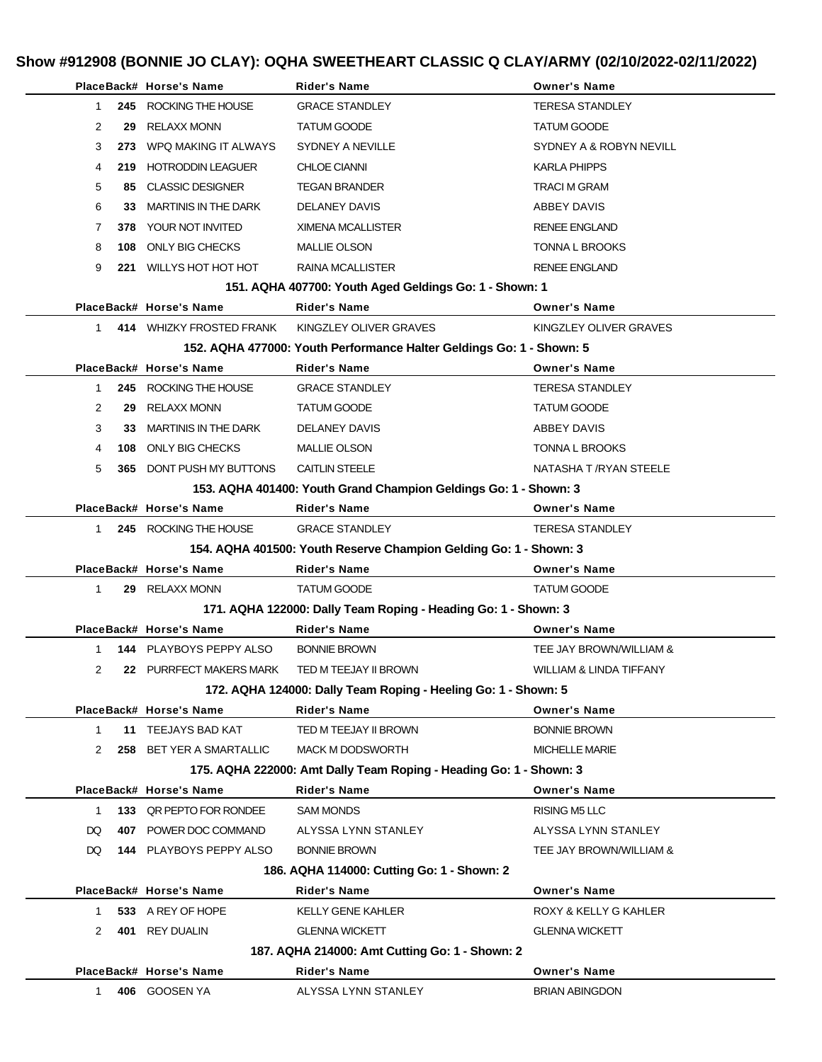# **Show #912908 (BONNIE JO CLAY): OQHA SWEETHEART CLASSIC Q CLAY/ARMY (02/10/2022-02/11/2022)**

|                      |     | PlaceBack# Horse's Name                  | <b>Rider's Name</b>                                                  | <b>Owner's Name</b>                          |
|----------------------|-----|------------------------------------------|----------------------------------------------------------------------|----------------------------------------------|
| 1                    |     | 245 ROCKING THE HOUSE                    | <b>GRACE STANDLEY</b>                                                | <b>TERESA STANDLEY</b>                       |
| 2                    | 29  | <b>RELAXX MONN</b>                       | <b>TATUM GOODE</b>                                                   | <b>TATUM GOODE</b>                           |
| 3                    |     | 273 WPQ MAKING IT ALWAYS                 | <b>SYDNEY A NEVILLE</b>                                              | SYDNEY A & ROBYN NEVILL                      |
| 4                    | 219 | <b>HOTRODDIN LEAGUER</b>                 | <b>CHLOE CIANNI</b>                                                  | <b>KARLA PHIPPS</b>                          |
| 5                    | 85. | <b>CLASSIC DESIGNER</b>                  | <b>TEGAN BRANDER</b>                                                 | <b>TRACI M GRAM</b>                          |
| 6                    | 33  | MARTINIS IN THE DARK                     | DELANEY DAVIS                                                        | ABBEY DAVIS                                  |
| 7                    |     | 378 YOUR NOT INVITED                     | <b>XIMENA MCALLISTER</b>                                             | <b>RENEE ENGLAND</b>                         |
| 8                    | 108 | ONLY BIG CHECKS                          | <b>MALLIE OLSON</b>                                                  | <b>TONNA L BROOKS</b>                        |
| 9                    | 221 | WILLYS HOT HOT HOT                       | RAINA MCALLISTER                                                     | <b>RENEE ENGLAND</b>                         |
|                      |     |                                          | 151. AQHA 407700: Youth Aged Geldings Go: 1 - Shown: 1               |                                              |
|                      |     | PlaceBack# Horse's Name                  | <b>Rider's Name</b>                                                  | <b>Owner's Name</b>                          |
| 1                    |     | 414 WHIZKY FROSTED FRANK                 | KINGZLEY OLIVER GRAVES                                               | KINGZLEY OLIVER GRAVES                       |
|                      |     |                                          | 152. AQHA 477000: Youth Performance Halter Geldings Go: 1 - Shown: 5 |                                              |
|                      |     | PlaceBack# Horse's Name                  | <b>Rider's Name</b>                                                  | <b>Owner's Name</b>                          |
| $\mathbf{1}$         |     | 245 ROCKING THE HOUSE                    | <b>GRACE STANDLEY</b>                                                | <b>TERESA STANDLEY</b>                       |
| 2                    | 29  | <b>RELAXX MONN</b>                       | <b>TATUM GOODE</b>                                                   | <b>TATUM GOODE</b>                           |
| 3                    | 33. | <b>MARTINIS IN THE DARK</b>              | DELANEY DAVIS                                                        | ABBEY DAVIS                                  |
| 4                    | 108 | ONLY BIG CHECKS                          | <b>MALLIE OLSON</b>                                                  | TONNA L BROOKS                               |
| 5                    | 365 | DONT PUSH MY BUTTONS                     | <b>CAITLIN STEELE</b>                                                | NATASHA T /RYAN STEELE                       |
|                      |     |                                          | 153. AQHA 401400: Youth Grand Champion Geldings Go: 1 - Shown: 3     |                                              |
|                      |     | PlaceBack# Horse's Name                  | <b>Rider's Name</b>                                                  | <b>Owner's Name</b>                          |
| $\mathbf{1}$         |     | 245 ROCKING THE HOUSE                    | <b>GRACE STANDLEY</b>                                                | <b>TERESA STANDLEY</b>                       |
|                      |     |                                          | 154. AQHA 401500: Youth Reserve Champion Gelding Go: 1 - Shown: 3    |                                              |
|                      |     | PlaceBack# Horse's Name                  | <b>Rider's Name</b>                                                  | <b>Owner's Name</b>                          |
| 1                    |     | 29 RELAXX MONN                           | <b>TATUM GOODE</b>                                                   | <b>TATUM GOODE</b>                           |
|                      |     |                                          | 171. AQHA 122000: Dally Team Roping - Heading Go: 1 - Shown: 3       |                                              |
|                      |     | PlaceBack# Horse's Name                  | <b>Rider's Name</b>                                                  | <b>Owner's Name</b>                          |
| $\mathbf 1$          |     | 144 PLAYBOYS PEPPY ALSO                  | <b>BONNIE BROWN</b>                                                  | TEE JAY BROWN/WILLIAM &                      |
| 2                    |     | 22 PURRFECT MAKERS MARK                  | TED M TEEJAY II BROWN                                                | WILLIAM & LINDA TIFFANY                      |
|                      |     |                                          | 172. AQHA 124000: Dally Team Roping - Heeling Go: 1 - Shown: 5       |                                              |
|                      |     |                                          |                                                                      |                                              |
|                      |     | PlaceBack# Horse's Name                  | <b>Rider's Name</b>                                                  | <b>Owner's Name</b>                          |
| $\mathbf{1}$         |     | 11 TEEJAYS BAD KAT                       | TED M TEEJAY II BROWN                                                | <b>BONNIE BROWN</b>                          |
| 2                    |     | 258 BET YER A SMARTALLIC                 | MACK M DODSWORTH                                                     | <b>MICHELLE MARIE</b>                        |
|                      |     |                                          | 175. AQHA 222000: Amt Dally Team Roping - Heading Go: 1 - Shown: 3   |                                              |
|                      |     | PlaceBack# Horse's Name                  | <b>Rider's Name</b>                                                  | <b>Owner's Name</b>                          |
| $\mathbf{1}$         |     | 133 QR PEPTO FOR RONDEE                  | <b>SAM MONDS</b>                                                     | <b>RISING M5 LLC</b>                         |
| DQ.                  |     | 407 POWER DOC COMMAND                    | ALYSSA LYNN STANLEY                                                  | ALYSSA LYNN STANLEY                          |
| DQ.                  |     | 144 PLAYBOYS PEPPY ALSO                  | <b>BONNIE BROWN</b>                                                  | TEE JAY BROWN/WILLIAM &                      |
|                      |     |                                          | 186. AQHA 114000: Cutting Go: 1 - Shown: 2                           |                                              |
|                      |     | PlaceBack# Horse's Name                  | Rider's Name                                                         | <b>Owner's Name</b>                          |
| 1                    |     | 533 A REY OF HOPE                        | <b>KELLY GENE KAHLER</b>                                             | ROXY & KELLY G KAHLER                        |
| $\mathbf{2}^{\circ}$ | 401 | <b>REY DUALIN</b>                        | <b>GLENNA WICKETT</b>                                                | <b>GLENNA WICKETT</b>                        |
|                      |     |                                          | 187. AQHA 214000: Amt Cutting Go: 1 - Shown: 2                       |                                              |
| 1                    |     | PlaceBack# Horse's Name<br>406 GOOSEN YA | <b>Rider's Name</b><br>ALYSSA LYNN STANLEY                           | <b>Owner's Name</b><br><b>BRIAN ABINGDON</b> |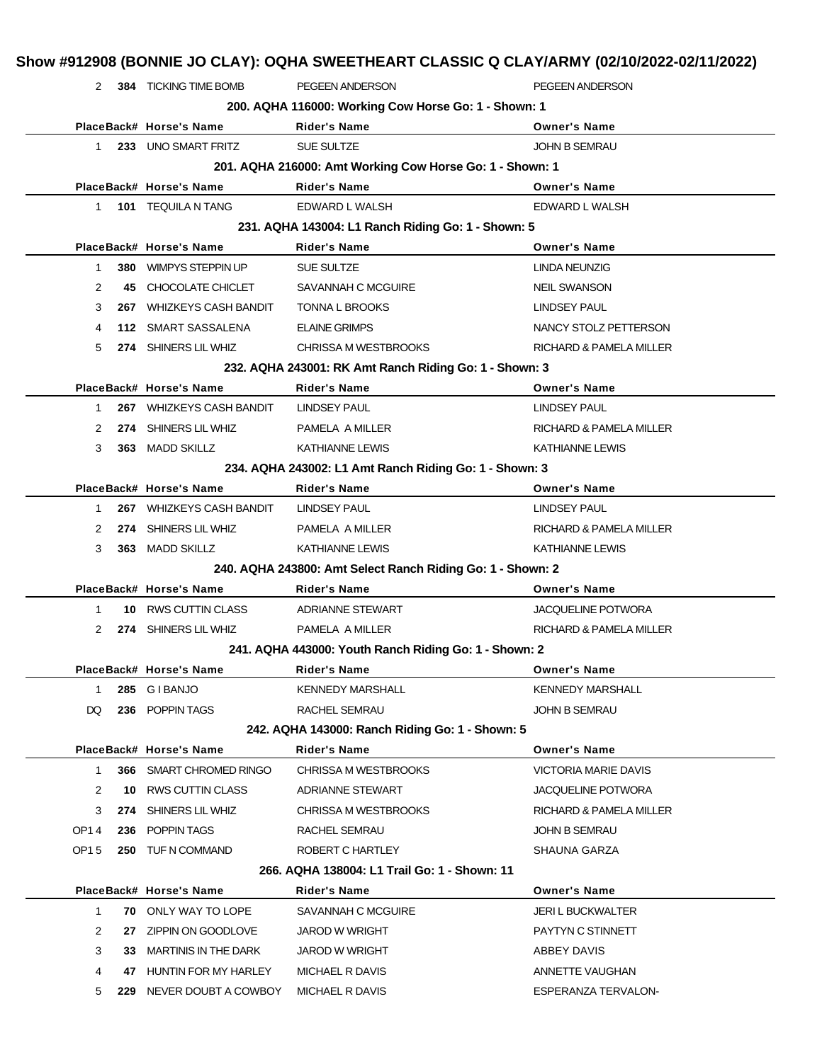| $2^{\circ}$  |     | 384 TICKING TIME BOMB       | PEGEEN ANDERSON                                            | PEGEEN ANDERSON             |
|--------------|-----|-----------------------------|------------------------------------------------------------|-----------------------------|
|              |     |                             | 200. AQHA 116000: Working Cow Horse Go: 1 - Shown: 1       |                             |
|              |     | PlaceBack# Horse's Name     | <b>Rider's Name</b>                                        | <b>Owner's Name</b>         |
| 1            |     | 233 UNO SMART FRITZ         | SUE SULTZE                                                 | <b>JOHN B SEMRAU</b>        |
|              |     |                             | 201. AQHA 216000: Amt Working Cow Horse Go: 1 - Shown: 1   |                             |
|              |     | PlaceBack# Horse's Name     | <b>Rider's Name</b>                                        | <b>Owner's Name</b>         |
| $\mathbf{1}$ |     | 101 TEQUILA N TANG          | EDWARD L WALSH                                             | EDWARD L WALSH              |
|              |     |                             | 231. AQHA 143004: L1 Ranch Riding Go: 1 - Shown: 5         |                             |
|              |     | PlaceBack# Horse's Name     | <b>Rider's Name</b>                                        | <b>Owner's Name</b>         |
| 1            |     | 380 WIMPYS STEPPIN UP       | SUE SULTZE                                                 | LINDA NEUNZIG               |
| 2            | 45  | CHOCOLATE CHICLET           | SAVANNAH C MCGUIRE                                         | <b>NEIL SWANSON</b>         |
| 3            |     | 267 WHIZKEYS CASH BANDIT    | TONNA L BROOKS                                             | <b>LINDSEY PAUL</b>         |
| 4            |     | 112 SMART SASSALENA         | <b>ELAINE GRIMPS</b>                                       | NANCY STOLZ PETTERSON       |
| 5            |     | 274 SHINERS LIL WHIZ        | CHRISSA M WESTBROOKS                                       | RICHARD & PAMELA MILLER     |
|              |     |                             | 232. AQHA 243001: RK Amt Ranch Riding Go: 1 - Shown: 3     |                             |
|              |     | PlaceBack# Horse's Name     | <b>Rider's Name</b>                                        | <b>Owner's Name</b>         |
| $\mathbf{1}$ |     | 267 WHIZKEYS CASH BANDIT    | <b>LINDSEY PAUL</b>                                        | <b>LINDSEY PAUL</b>         |
| 2            |     | 274 SHINERS LIL WHIZ        | PAMELA A MILLER                                            | RICHARD & PAMELA MILLER     |
| 3            |     | 363 MADD SKILLZ             | <b>KATHIANNE LEWIS</b>                                     | <b>KATHIANNE LEWIS</b>      |
|              |     |                             | 234. AQHA 243002: L1 Amt Ranch Riding Go: 1 - Shown: 3     |                             |
|              |     | PlaceBack# Horse's Name     | <b>Rider's Name</b>                                        | <b>Owner's Name</b>         |
| 1            |     | 267 WHIZKEYS CASH BANDIT    | LINDSEY PAUL                                               | <b>LINDSEY PAUL</b>         |
| 2            |     | 274 SHINERS LIL WHIZ        | PAMELA A MILLER                                            | RICHARD & PAMELA MILLER     |
| 3            |     | 363 MADD SKILLZ             | KATHIANNE LEWIS                                            | KATHIANNE LEWIS             |
|              |     |                             | 240. AQHA 243800: Amt Select Ranch Riding Go: 1 - Shown: 2 |                             |
|              |     | PlaceBack# Horse's Name     | Rider's Name                                               | <b>Owner's Name</b>         |
| 1            |     | 10 RWS CUTTIN CLASS         | <b>ADRIANNE STEWART</b>                                    | JACQUELINE POTWORA          |
| 2            |     | 274 SHINERS LIL WHIZ        | PAMELA A MILLER                                            | RICHARD & PAMELA MILLER     |
|              |     |                             | 241. AQHA 443000: Youth Ranch Riding Go: 1 - Shown: 2      |                             |
|              |     | PlaceBack# Horse's Name     | Rider's Name                                               | <b>Owner's Name</b>         |
| $\mathbf{1}$ |     | 285 GIBANJO                 | <b>KENNEDY MARSHALL</b>                                    | <b>KENNEDY MARSHALL</b>     |
| DQ           |     | 236 POPPIN TAGS             | RACHEL SEMRAU                                              | JOHN B SEMRAU               |
|              |     |                             | 242. AQHA 143000: Ranch Riding Go: 1 - Shown: 5            |                             |
|              |     | PlaceBack# Horse's Name     | <b>Rider's Name</b>                                        | <b>Owner's Name</b>         |
| $\mathbf{1}$ |     | 366 SMART CHROMED RINGO     | <b>CHRISSA M WESTBROOKS</b>                                | <b>VICTORIA MARIE DAVIS</b> |
| 2            |     | 10 RWS CUTTIN CLASS         | ADRIANNE STEWART                                           | JACQUELINE POTWORA          |
| 3            | 274 | SHINERS LIL WHIZ            | CHRISSA M WESTBROOKS                                       | RICHARD & PAMELA MILLER     |
| OP14         |     | 236 POPPIN TAGS             | RACHEL SEMRAU                                              | <b>JOHN B SEMRAU</b>        |
| OP15         |     | 250 TUF N COMMAND           | ROBERT C HARTLEY                                           | SHAUNA GARZA                |
|              |     |                             | 266. AQHA 138004: L1 Trail Go: 1 - Shown: 11               |                             |
|              |     | PlaceBack# Horse's Name     | Rider's Name                                               | <b>Owner's Name</b>         |
| $\mathbf{1}$ |     | <b>70 ONLY WAY TO LOPE</b>  | SAVANNAH C MCGUIRE                                         | <b>JERI L BUCKWALTER</b>    |
|              |     |                             |                                                            |                             |
| 2            | 27  | ZIPPIN ON GOODLOVE          | <b>JAROD W WRIGHT</b>                                      | PAYTYN C STINNETT           |
| 3            | 33  | <b>MARTINIS IN THE DARK</b> | <b>JAROD W WRIGHT</b>                                      | ABBEY DAVIS                 |
| 4            | 47  | HUNTIN FOR MY HARLEY        | MICHAEL R DAVIS                                            | ANNETTE VAUGHAN             |
| 5            | 229 | NEVER DOUBT A COWBOY        | MICHAEL R DAVIS                                            | ESPERANZA TERVALON-         |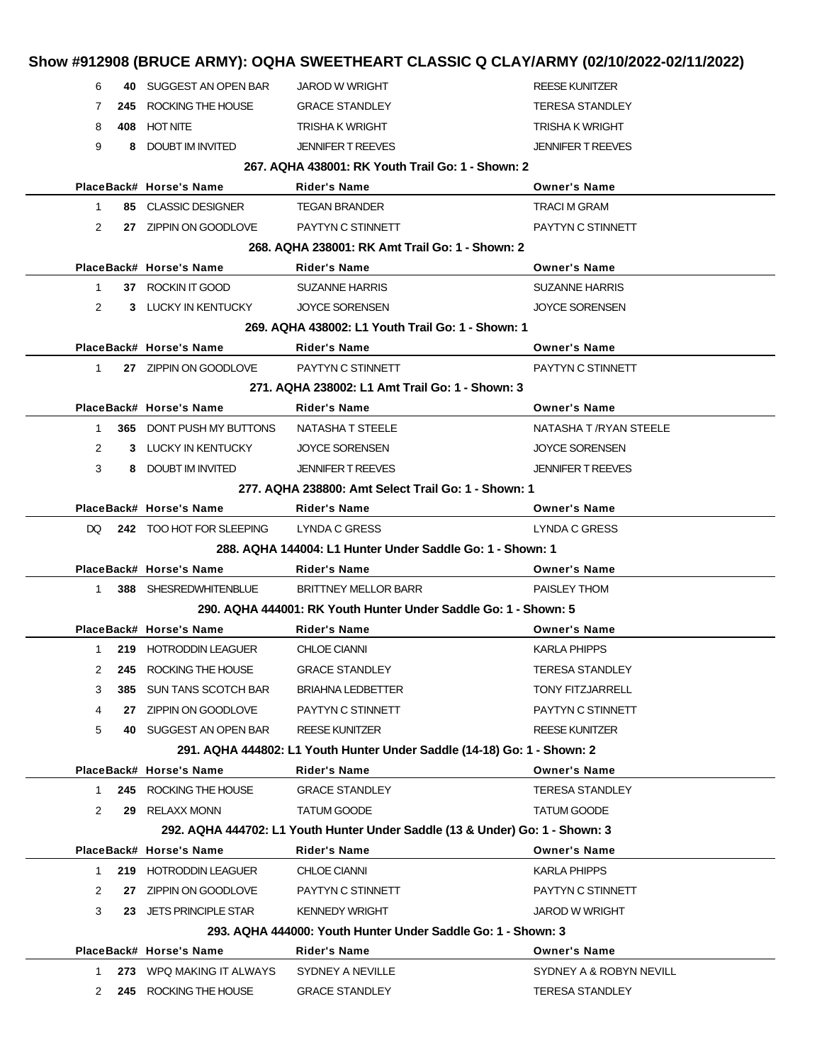|                |      |                                               |                                                                              | Show #912908 (BRUCE ARMY): OQHA SWEETHEART CLASSIC Q CLAY/ARMY (02/10/2022-02/11/2022) |
|----------------|------|-----------------------------------------------|------------------------------------------------------------------------------|----------------------------------------------------------------------------------------|
| 6              |      | 40 SUGGEST AN OPEN BAR                        | <b>JAROD W WRIGHT</b>                                                        | <b>REESE KUNITZER</b>                                                                  |
| $\mathbf{7}$   |      | 245 ROCKING THE HOUSE                         | <b>GRACE STANDLEY</b>                                                        | <b>TERESA STANDLEY</b>                                                                 |
| 8              |      | 408 HOT NITE                                  | <b>TRISHA K WRIGHT</b>                                                       | <b>TRISHA K WRIGHT</b>                                                                 |
| 9              |      | 8 DOUBT IM INVITED                            | <b>JENNIFER T REEVES</b>                                                     | <b>JENNIFER T REEVES</b>                                                               |
|                |      |                                               | 267. AQHA 438001: RK Youth Trail Go: 1 - Shown: 2                            |                                                                                        |
|                |      | PlaceBack# Horse's Name                       | Rider's Name                                                                 | <b>Owner's Name</b>                                                                    |
| 1              |      | 85 CLASSIC DESIGNER                           | <b>TEGAN BRANDER</b>                                                         | <b>TRACI M GRAM</b>                                                                    |
| 2              |      | 27 ZIPPIN ON GOODLOVE                         | PAYTYN C STINNETT                                                            | PAYTYN C STINNETT                                                                      |
|                |      |                                               | 268. AQHA 238001: RK Amt Trail Go: 1 - Shown: 2                              |                                                                                        |
|                |      | PlaceBack# Horse's Name                       | Rider's Name                                                                 | <b>Owner's Name</b>                                                                    |
| 1              |      | 37 ROCKIN IT GOOD                             | <b>SUZANNE HARRIS</b>                                                        | <b>SUZANNE HARRIS</b>                                                                  |
| 2              |      | 3 LUCKY IN KENTUCKY                           | <b>JOYCE SORENSEN</b>                                                        | <b>JOYCE SORENSEN</b>                                                                  |
|                |      |                                               | 269. AQHA 438002: L1 Youth Trail Go: 1 - Shown: 1                            |                                                                                        |
|                |      | PlaceBack# Horse's Name                       | Rider's Name                                                                 | <b>Owner's Name</b>                                                                    |
| 1              |      | 27 ZIPPIN ON GOODLOVE                         | PAYTYN C STINNETT                                                            | PAYTYN C STINNETT                                                                      |
|                |      |                                               | 271, AQHA 238002: L1 Amt Trail Go: 1 - Shown: 3                              |                                                                                        |
|                |      | PlaceBack# Horse's Name                       | <b>Rider's Name</b>                                                          | <b>Owner's Name</b>                                                                    |
| 1              |      | <b>365 DONT PUSH MY BUTTONS</b>               | NATASHA T STEELE                                                             | NATASHA T /RYAN STEELE                                                                 |
| $\overline{2}$ |      | 3 LUCKY IN KENTUCKY                           | <b>JOYCE SORENSEN</b>                                                        | <b>JOYCE SORENSEN</b>                                                                  |
| 3              |      | 8 DOUBT IM INVITED                            | <b>JENNIFER T REEVES</b>                                                     | <b>JENNIFER T REEVES</b>                                                               |
|                |      |                                               | 277, AQHA 238800: Amt Select Trail Go: 1 - Shown: 1                          |                                                                                        |
|                |      | PlaceBack# Horse's Name                       | Rider's Name                                                                 | <b>Owner's Name</b>                                                                    |
|                |      | DQ 242 TOO HOT FOR SLEEPING                   | LYNDA C GRESS                                                                | LYNDA C GRESS                                                                          |
|                |      |                                               | 288. AQHA 144004: L1 Hunter Under Saddle Go: 1 - Shown: 1                    |                                                                                        |
|                |      | PlaceBack# Horse's Name                       | <b>Rider's Name</b>                                                          | <b>Owner's Name</b>                                                                    |
|                |      |                                               |                                                                              |                                                                                        |
| $1 \quad$      |      | 388 SHESREDWHITENBLUE                         | <b>BRITTNEY MELLOR BARR</b>                                                  | PAISLEY THOM                                                                           |
|                |      |                                               | 290. AQHA 444001: RK Youth Hunter Under Saddle Go: 1 - Shown: 5              |                                                                                        |
|                |      | PlaceBack# Horse's Name                       | Rider's Name                                                                 | <b>Owner's Name</b>                                                                    |
| $1 \quad$      |      | 219 HOTRODDIN LEAGUER                         | <b>CHLOE CIANNI</b>                                                          | <b>KARLA PHIPPS</b>                                                                    |
| 2              | 245  | ROCKING THE HOUSE                             | <b>GRACE STANDLEY</b>                                                        | <b>TERESA STANDLEY</b>                                                                 |
| 3              | 385. | <b>SUN TANS SCOTCH BAR</b>                    | <b>BRIAHNA LEDBETTER</b>                                                     | <b>TONY FITZJARRELL</b>                                                                |
| 4              | 27   | ZIPPIN ON GOODLOVE                            | PAYTYN C STINNETT                                                            | PAYTYN C STINNETT                                                                      |
| 5              |      | 40 SUGGEST AN OPEN BAR                        | <b>REESE KUNITZER</b>                                                        | <b>REESE KUNITZER</b>                                                                  |
|                |      |                                               | 291. AQHA 444802: L1 Youth Hunter Under Saddle (14-18) Go: 1 - Shown: 2      |                                                                                        |
|                |      | PlaceBack# Horse's Name                       | <b>Rider's Name</b>                                                          | <b>Owner's Name</b>                                                                    |
| 1              |      | 245 ROCKING THE HOUSE                         | <b>GRACE STANDLEY</b>                                                        | <b>TERESA STANDLEY</b>                                                                 |
| 2              | 29   | <b>RELAXX MONN</b>                            | <b>TATUM GOODE</b>                                                           | <b>TATUM GOODE</b>                                                                     |
|                |      |                                               | 292. AQHA 444702: L1 Youth Hunter Under Saddle (13 & Under) Go: 1 - Shown: 3 |                                                                                        |
|                |      | PlaceBack# Horse's Name                       | <b>Rider's Name</b>                                                          | <b>Owner's Name</b>                                                                    |
| 1.             |      | 219 HOTRODDIN LEAGUER                         | <b>CHLOE CIANNI</b>                                                          | <b>KARLA PHIPPS</b>                                                                    |
| 2              | 27   | ZIPPIN ON GOODLOVE                            | PAYTYN C STINNETT                                                            | PAYTYN C STINNETT                                                                      |
| 3              |      | 23 JETS PRINCIPLE STAR                        | <b>KENNEDY WRIGHT</b>                                                        | <b>JAROD W WRIGHT</b>                                                                  |
|                |      |                                               | 293. AQHA 444000: Youth Hunter Under Saddle Go: 1 - Shown: 3                 |                                                                                        |
|                |      | PlaceBack# Horse's Name                       | Rider's Name                                                                 | <b>Owner's Name</b>                                                                    |
| 1.<br>2        | 273  | WPQ MAKING IT ALWAYS<br>245 ROCKING THE HOUSE | SYDNEY A NEVILLE<br><b>GRACE STANDLEY</b>                                    | SYDNEY A & ROBYN NEVILL<br><b>TERESA STANDLEY</b>                                      |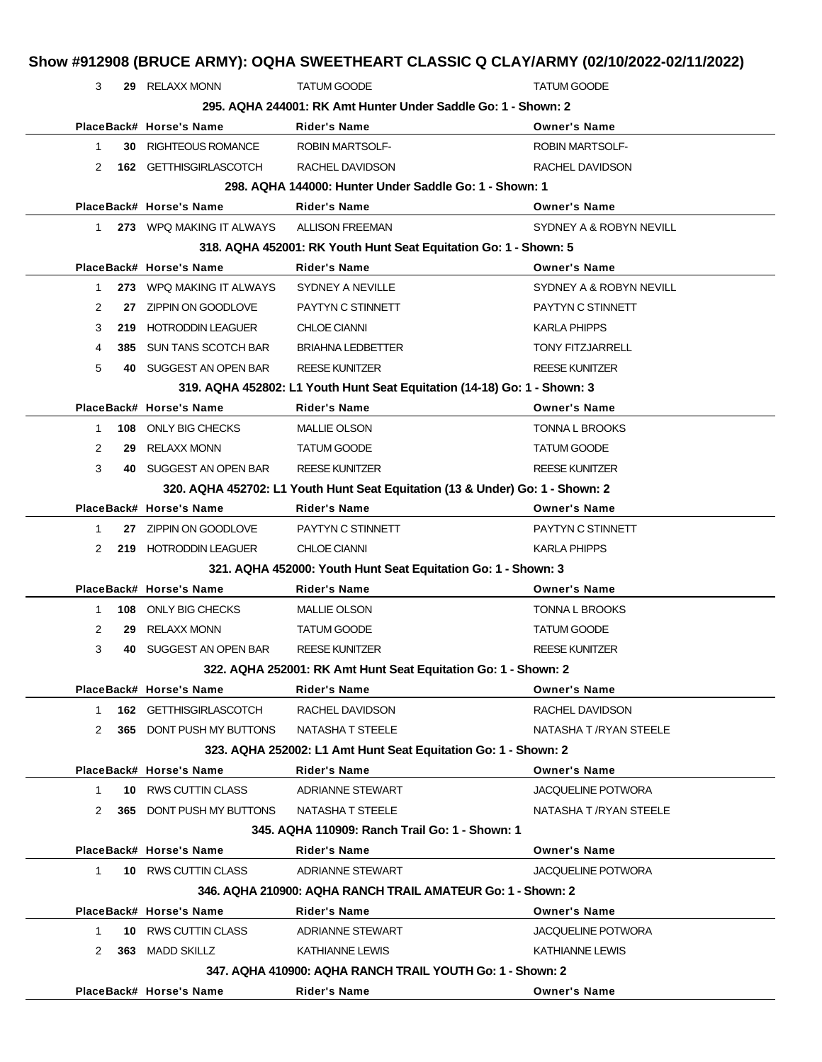|              |     |                                 | Show #912908 (BRUCE ARMY): OQHA SWEETHEART CLASSIC Q CLAY/ARMY (02/10/2022-02/11/2022) |                           |
|--------------|-----|---------------------------------|----------------------------------------------------------------------------------------|---------------------------|
| 3            |     | 29 RELAXX MONN                  | <b>TATUM GOODE</b>                                                                     | <b>TATUM GOODE</b>        |
|              |     |                                 | 295. AQHA 244001: RK Amt Hunter Under Saddle Go: 1 - Shown: 2                          |                           |
|              |     | PlaceBack# Horse's Name         | <b>Rider's Name</b>                                                                    | <b>Owner's Name</b>       |
| 1            |     | <b>30 RIGHTEOUS ROMANCE</b>     | <b>ROBIN MARTSOLF-</b>                                                                 | <b>ROBIN MARTSOLF-</b>    |
| 2            |     | 162 GETTHISGIRLASCOTCH          | RACHEL DAVIDSON                                                                        | RACHEL DAVIDSON           |
|              |     |                                 | 298. AQHA 144000: Hunter Under Saddle Go: 1 - Shown: 1                                 |                           |
|              |     | PlaceBack# Horse's Name         | <b>Rider's Name</b>                                                                    | <b>Owner's Name</b>       |
| 1            |     | 273 WPQ MAKING IT ALWAYS        | <b>ALLISON FREEMAN</b>                                                                 | SYDNEY A & ROBYN NEVILL   |
|              |     |                                 | 318. AQHA 452001: RK Youth Hunt Seat Equitation Go: 1 - Shown: 5                       |                           |
|              |     | PlaceBack# Horse's Name         | <b>Rider's Name</b>                                                                    | <b>Owner's Name</b>       |
| $\mathbf{1}$ |     | 273 WPQ MAKING IT ALWAYS        | SYDNEY A NEVILLE                                                                       | SYDNEY A & ROBYN NEVILL   |
| 2            |     | 27 ZIPPIN ON GOODLOVE           | PAYTYN C STINNETT                                                                      | PAYTYN C STINNETT         |
| 3            |     | 219 HOTRODDIN LEAGUER           | <b>CHLOE CIANNI</b>                                                                    | <b>KARLA PHIPPS</b>       |
| 4            | 385 | SUN TANS SCOTCH BAR             | <b>BRIAHNA LEDBETTER</b>                                                               | <b>TONY FITZJARRELL</b>   |
| 5            |     | 40 SUGGEST AN OPEN BAR          | <b>REESE KUNITZER</b>                                                                  | <b>REESE KUNITZER</b>     |
|              |     |                                 | 319. AQHA 452802: L1 Youth Hunt Seat Equitation (14-18) Go: 1 - Shown: 3               |                           |
|              |     | PlaceBack# Horse's Name         | <b>Rider's Name</b>                                                                    | <b>Owner's Name</b>       |
| $\mathbf{1}$ | 108 | ONLY BIG CHECKS                 | MALLIE OLSON                                                                           | <b>TONNA L BROOKS</b>     |
| 2            | 29  | RELAXX MONN                     | <b>TATUM GOODE</b>                                                                     | <b>TATUM GOODE</b>        |
| 3            |     | 40 SUGGEST AN OPEN BAR          | <b>REESE KUNITZER</b>                                                                  | <b>REESE KUNITZER</b>     |
|              |     |                                 | 320. AQHA 452702: L1 Youth Hunt Seat Equitation (13 & Under) Go: 1 - Shown: 2          |                           |
|              |     | PlaceBack# Horse's Name         | <b>Rider's Name</b>                                                                    | <b>Owner's Name</b>       |
| $\mathbf{1}$ |     | 27 ZIPPIN ON GOODLOVE           | PAYTYN C STINNETT                                                                      | PAYTYN C STINNETT         |
| 2            |     | 219 HOTRODDIN LEAGUER           | <b>CHLOE CIANNI</b>                                                                    | <b>KARLA PHIPPS</b>       |
|              |     |                                 | 321. AQHA 452000: Youth Hunt Seat Equitation Go: 1 - Shown: 3                          |                           |
|              |     | PlaceBack# Horse's Name         | <b>Rider's Name</b>                                                                    | <b>Owner's Name</b>       |
| 1            | 108 | ONLY BIG CHECKS                 | <b>MALLIE OLSON</b>                                                                    | TONNA L BROOKS            |
| 2            | 29  | RELAXX MONN                     | <b>TATUM GOODE</b>                                                                     | <b>TATUM GOODE</b>        |
| 3            |     | 40 SUGGEST AN OPEN BAR          | <b>REESE KUNITZER</b>                                                                  | <b>REESE KUNITZER</b>     |
|              |     |                                 | 322. AQHA 252001: RK Amt Hunt Seat Equitation Go: 1 - Shown: 2                         |                           |
|              |     | PlaceBack# Horse's Name         | <b>Rider's Name</b>                                                                    | <b>Owner's Name</b>       |
| 1            |     | 162 GETTHISGIRLASCOTCH          | RACHEL DAVIDSON                                                                        | RACHEL DAVIDSON           |
| 2            |     | 365 DONT PUSH MY BUTTONS        | NATASHA T STEELE                                                                       | NATASHA T /RYAN STEELE    |
|              |     |                                 | 323. AQHA 252002: L1 Amt Hunt Seat Equitation Go: 1 - Shown: 2                         |                           |
|              |     | PlaceBack# Horse's Name         | <b>Rider's Name</b>                                                                    | <b>Owner's Name</b>       |
| $\mathbf{1}$ |     | 10 RWS CUTTIN CLASS             | <b>ADRIANNE STEWART</b>                                                                | <b>JACQUELINE POTWORA</b> |
| 2            |     | <b>365 DONT PUSH MY BUTTONS</b> | NATASHA T STEELE                                                                       | NATASHA T / RYAN STEELE   |
|              |     |                                 | 345. AQHA 110909: Ranch Trail Go: 1 - Shown: 1                                         |                           |
|              |     | PlaceBack# Horse's Name         | <b>Rider's Name</b>                                                                    | <b>Owner's Name</b>       |
| $\mathbf{1}$ |     | 10 RWS CUTTIN CLASS             | ADRIANNE STEWART                                                                       | <b>JACQUELINE POTWORA</b> |
|              |     |                                 | 346. AQHA 210900: AQHA RANCH TRAIL AMATEUR Go: 1 - Shown: 2                            |                           |
| $\mathbf{1}$ |     | PlaceBack# Horse's Name         | <b>Rider's Name</b>                                                                    | <b>Owner's Name</b>       |
|              |     | 10 RWS CUTTIN CLASS             | <b>ADRIANNE STEWART</b>                                                                | <b>JACQUELINE POTWORA</b> |
| 2            |     | 363 MADD SKILLZ                 | KATHIANNE LEWIS                                                                        | KATHIANNE LEWIS           |
|              |     |                                 | 347, AQHA 410900: AQHA RANCH TRAIL YOUTH Go: 1 - Shown: 2                              |                           |
|              |     | PlaceBack# Horse's Name         | Rider's Name                                                                           | <b>Owner's Name</b>       |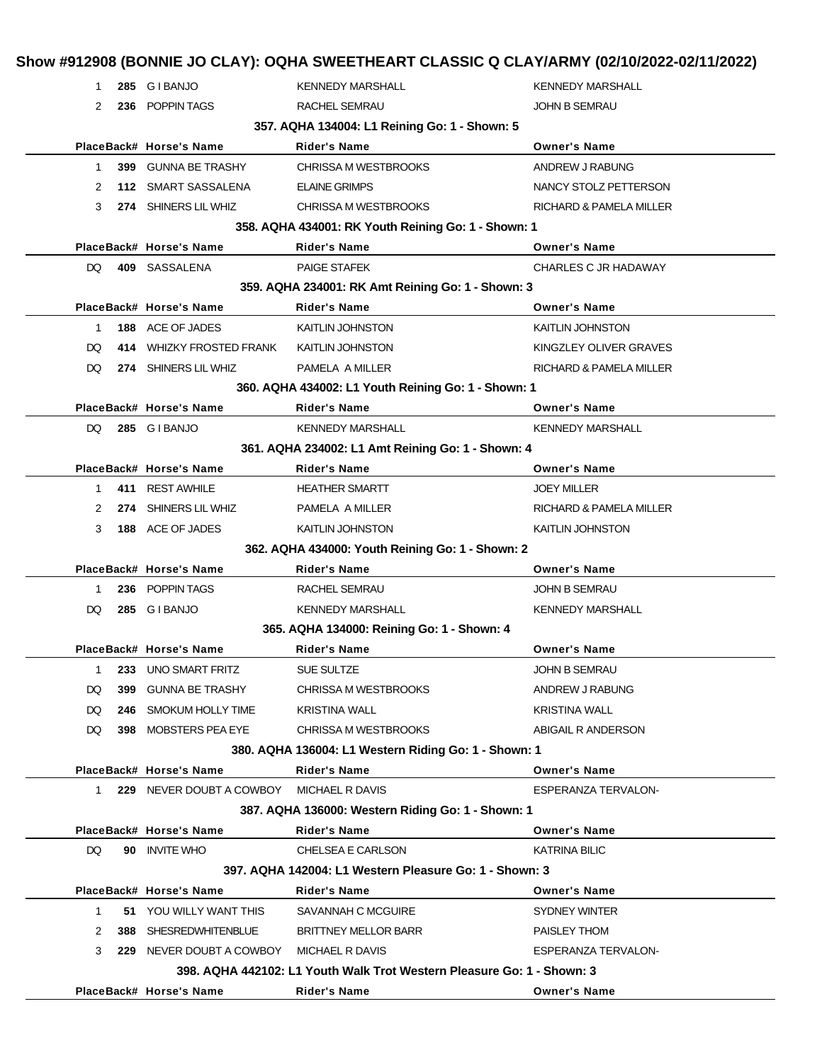| 1.           |     | 285 GIBANJO              | <b>KENNEDY MARSHALL</b>                                                | <b>KENNEDY MARSHALL</b> |
|--------------|-----|--------------------------|------------------------------------------------------------------------|-------------------------|
| 2            |     | 236 POPPIN TAGS          | RACHEL SEMRAU                                                          | JOHN B SEMRAU           |
|              |     |                          | 357. AQHA 134004: L1 Reining Go: 1 - Shown: 5                          |                         |
|              |     | PlaceBack# Horse's Name  | <b>Rider's Name</b>                                                    | <b>Owner's Name</b>     |
| $\mathbf{1}$ |     | 399 GUNNA BE TRASHY      | CHRISSA M WESTBROOKS                                                   | ANDREW J RABUNG         |
| 2            |     | 112 SMART SASSALENA      | <b>ELAINE GRIMPS</b>                                                   | NANCY STOLZ PETTERSON   |
| 3            |     | 274 SHINERS LIL WHIZ     | CHRISSA M WESTBROOKS                                                   | RICHARD & PAMELA MILLER |
|              |     |                          | 358. AQHA 434001: RK Youth Reining Go: 1 - Shown: 1                    |                         |
|              |     | PlaceBack# Horse's Name  | <b>Rider's Name</b>                                                    | <b>Owner's Name</b>     |
| DQ.          |     | 409 SASSALENA            | <b>PAIGE STAFEK</b>                                                    | CHARLES C JR HADAWAY    |
|              |     |                          | 359. AQHA 234001: RK Amt Reining Go: 1 - Shown: 3                      |                         |
|              |     | PlaceBack# Horse's Name  | <b>Rider's Name</b>                                                    | <b>Owner's Name</b>     |
| $\mathbf 1$  |     | 188 ACE OF JADES         | <b>KAITLIN JOHNSTON</b>                                                | <b>KAITLIN JOHNSTON</b> |
| DQ.          |     | 414 WHIZKY FROSTED FRANK | KAITLIN JOHNSTON                                                       | KINGZLEY OLIVER GRAVES  |
| DQ.          |     | 274 SHINERS LIL WHIZ     | PAMELA A MILLER                                                        | RICHARD & PAMELA MILLER |
|              |     |                          | 360. AQHA 434002: L1 Youth Reining Go: 1 - Shown: 1                    |                         |
|              |     | PlaceBack# Horse's Name  | <b>Rider's Name</b>                                                    | <b>Owner's Name</b>     |
| DQ           |     | 285 GIBANJO              | <b>KENNEDY MARSHALL</b>                                                | <b>KENNEDY MARSHALL</b> |
|              |     |                          | 361. AQHA 234002: L1 Amt Reining Go: 1 - Shown: 4                      |                         |
|              |     | PlaceBack# Horse's Name  | <b>Rider's Name</b>                                                    | <b>Owner's Name</b>     |
| $\mathbf{1}$ |     | 411 REST AWHILE          | <b>HEATHER SMARTT</b>                                                  | JOEY MILLER             |
| 2            |     | 274 SHINERS LIL WHIZ     | PAMELA A MILLER                                                        | RICHARD & PAMELA MILLER |
| 3            |     | 188 ACE OF JADES         | <b>KAITLIN JOHNSTON</b>                                                | <b>KAITLIN JOHNSTON</b> |
|              |     |                          | 362. AQHA 434000: Youth Reining Go: 1 - Shown: 2                       |                         |
|              |     | PlaceBack# Horse's Name  | <b>Rider's Name</b>                                                    | <b>Owner's Name</b>     |
| 1            |     | 236 POPPIN TAGS          | RACHEL SEMRAU                                                          | JOHN B SEMRAU           |
| DQ           |     | 285 GIBANJO              | <b>KENNEDY MARSHALL</b>                                                | <b>KENNEDY MARSHALL</b> |
|              |     |                          | 365. AQHA 134000: Reining Go: 1 - Shown: 4                             |                         |
|              |     | PlaceBack# Horse's Name  | <b>Rider's Name</b>                                                    | <b>Owner's Name</b>     |
| 1            |     | 233 UNO SMART FRITZ      | <b>SUE SULTZE</b>                                                      | JOHN B SEMRAU           |
| DQ           | 399 | <b>GUNNA BE TRASHY</b>   | CHRISSA M WESTBROOKS                                                   | ANDREW J RABUNG         |
| DQ           |     | 246 SMOKUM HOLLY TIME    | <b>KRISTINA WALL</b>                                                   | <b>KRISTINA WALL</b>    |
| DQ           |     | 398 MOBSTERS PEA EYE     | CHRISSA M WESTBROOKS                                                   | ABIGAIL R ANDERSON      |
|              |     |                          | 380. AQHA 136004: L1 Western Riding Go: 1 - Shown: 1                   |                         |
|              |     | PlaceBack# Horse's Name  | <b>Rider's Name</b>                                                    | <b>Owner's Name</b>     |
| 1            |     | 229 NEVER DOUBT A COWBOY | MICHAEL R DAVIS                                                        | ESPERANZA TERVALON-     |
|              |     |                          | 387. AQHA 136000: Western Riding Go: 1 - Shown: 1                      |                         |
|              |     | PlaceBack# Horse's Name  | <b>Rider's Name</b>                                                    | <b>Owner's Name</b>     |
| DQ           |     | 90 INVITE WHO            | CHELSEA E CARLSON                                                      | <b>KATRINA BILIC</b>    |
|              |     |                          | 397. AQHA 142004: L1 Western Pleasure Go: 1 - Shown: 3                 |                         |
|              |     | PlaceBack# Horse's Name  | <b>Rider's Name</b>                                                    | <b>Owner's Name</b>     |
| $\mathbf 1$  |     | 51 YOU WILLY WANT THIS   | SAVANNAH C MCGUIRE                                                     | <b>SYDNEY WINTER</b>    |
|              |     |                          |                                                                        |                         |
| 2            |     | 388 SHESREDWHITENBLUE    | <b>BRITTNEY MELLOR BARR</b>                                            | PAISLEY THOM            |
| 3            |     | 229 NEVER DOUBT A COWBOY | MICHAEL R DAVIS                                                        | ESPERANZA TERVALON-     |
|              |     |                          | 398. AQHA 442102: L1 Youth Walk Trot Western Pleasure Go: 1 - Shown: 3 |                         |
|              |     | PlaceBack# Horse's Name  | Rider's Name                                                           | <b>Owner's Name</b>     |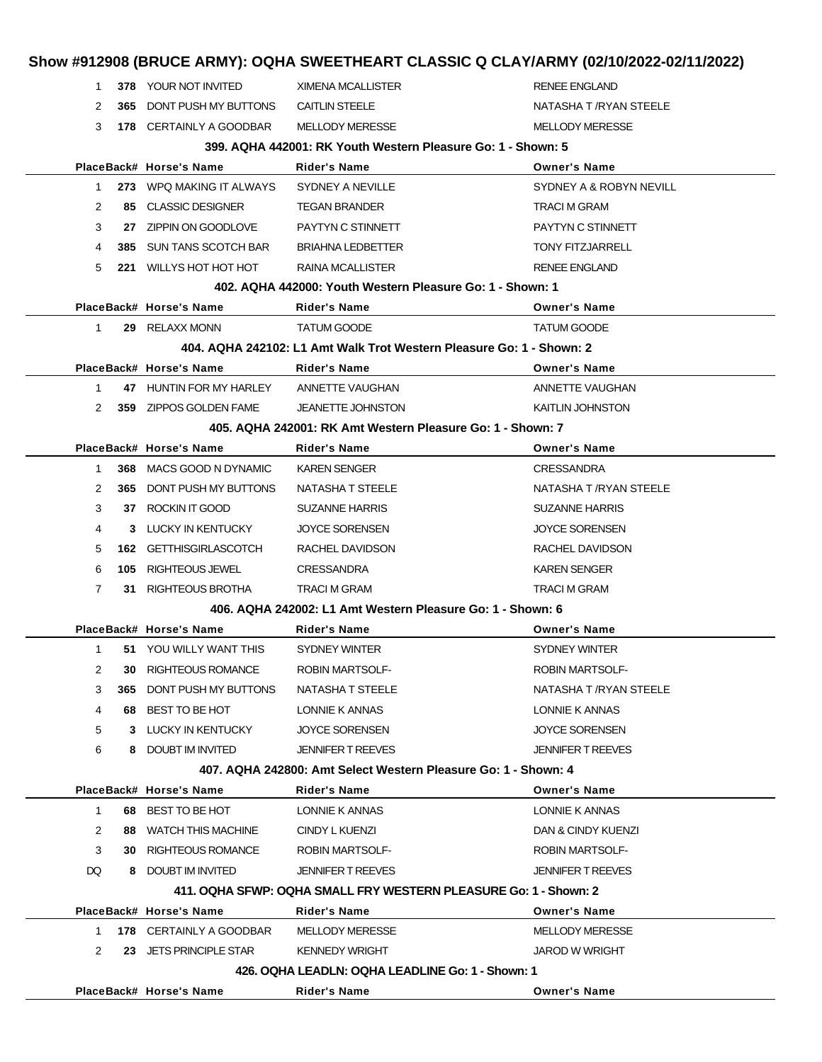|                                                                |     |                                         | Show #912908 (BRUCE ARMY): OQHA SWEETHEART CLASSIC Q CLAY/ARMY (02/10/2022-02/11/2022) |                          |  |  |
|----------------------------------------------------------------|-----|-----------------------------------------|----------------------------------------------------------------------------------------|--------------------------|--|--|
| 1                                                              |     | 378 YOUR NOT INVITED                    | <b>XIMENA MCALLISTER</b>                                                               | <b>RENEE ENGLAND</b>     |  |  |
| 2                                                              | 365 | DONT PUSH MY BUTTONS                    | <b>CAITLIN STEELE</b>                                                                  | NATASHA T /RYAN STEELE   |  |  |
| 3                                                              |     | 178 CERTAINLY A GOODBAR                 | <b>MELLODY MERESSE</b>                                                                 | <b>MELLODY MERESSE</b>   |  |  |
|                                                                |     |                                         | 399. AQHA 442001: RK Youth Western Pleasure Go: 1 - Shown: 5                           |                          |  |  |
|                                                                |     | PlaceBack# Horse's Name                 | <b>Rider's Name</b>                                                                    | <b>Owner's Name</b>      |  |  |
| $\mathbf{1}$                                                   |     | 273 WPQ MAKING IT ALWAYS                | SYDNEY A NEVILLE                                                                       | SYDNEY A & ROBYN NEVILL  |  |  |
| 2                                                              |     | 85 CLASSIC DESIGNER                     | <b>TEGAN BRANDER</b>                                                                   | <b>TRACI M GRAM</b>      |  |  |
| 3                                                              |     | 27 ZIPPIN ON GOODLOVE                   | PAYTYN C STINNETT                                                                      | PAYTYN C STINNETT        |  |  |
| 4                                                              |     | <b>385 SUN TANS SCOTCH BAR</b>          | <b>BRIAHNA LEDBETTER</b>                                                               | <b>TONY FITZJARRELL</b>  |  |  |
| 5                                                              |     | 221 WILLYS HOT HOT HOT                  | <b>RAINA MCALLISTER</b>                                                                | <b>RENEE ENGLAND</b>     |  |  |
|                                                                |     |                                         | 402. AQHA 442000: Youth Western Pleasure Go: 1 - Shown: 1                              |                          |  |  |
|                                                                |     | PlaceBack# Horse's Name                 | Rider's Name                                                                           | <b>Owner's Name</b>      |  |  |
| $\mathbf{1}$                                                   |     | 29 RELAXX MONN                          | <b>TATUM GOODE</b>                                                                     | <b>TATUM GOODE</b>       |  |  |
|                                                                |     |                                         | 404. AQHA 242102: L1 Amt Walk Trot Western Pleasure Go: 1 - Shown: 2                   |                          |  |  |
|                                                                |     | PlaceBack# Horse's Name                 | <b>Rider's Name</b>                                                                    | <b>Owner's Name</b>      |  |  |
| 1                                                              |     | 47 HUNTIN FOR MY HARLEY ANNETTE VAUGHAN |                                                                                        | ANNETTE VAUGHAN          |  |  |
| 2                                                              |     | 359 ZIPPOS GOLDEN FAME                  | <b>JEANETTE JOHNSTON</b>                                                               | <b>KAITLIN JOHNSTON</b>  |  |  |
|                                                                |     |                                         | 405. AQHA 242001: RK Amt Western Pleasure Go: 1 - Shown: 7                             |                          |  |  |
|                                                                |     | PlaceBack# Horse's Name                 | <b>Rider's Name</b>                                                                    | <b>Owner's Name</b>      |  |  |
| 1                                                              |     | 368 MACS GOOD N DYNAMIC                 | <b>KAREN SENGER</b>                                                                    | <b>CRESSANDRA</b>        |  |  |
| 2                                                              | 365 | DONT PUSH MY BUTTONS                    | NATASHA T STEELE                                                                       | NATASHA T /RYAN STEELE   |  |  |
| 3                                                              |     | 37 ROCKIN IT GOOD                       | <b>SUZANNE HARRIS</b>                                                                  | <b>SUZANNE HARRIS</b>    |  |  |
| 4                                                              |     | 3 LUCKY IN KENTUCKY                     | <b>JOYCE SORENSEN</b>                                                                  | <b>JOYCE SORENSEN</b>    |  |  |
| 5                                                              |     | 162 GETTHISGIRLASCOTCH                  | RACHEL DAVIDSON                                                                        | RACHEL DAVIDSON          |  |  |
| 6                                                              | 105 | RIGHTEOUS JEWEL                         | <b>CRESSANDRA</b>                                                                      | <b>KAREN SENGER</b>      |  |  |
| $\mathbf{7}$                                                   |     | 31 RIGHTEOUS BROTHA                     | <b>TRACI M GRAM</b>                                                                    | <b>TRACI M GRAM</b>      |  |  |
|                                                                |     |                                         | 406. AQHA 242002: L1 Amt Western Pleasure Go: 1 - Shown: 6                             |                          |  |  |
|                                                                |     | PlaceBack# Horse's Name                 | Rider's Name                                                                           | <b>Owner's Name</b>      |  |  |
| $\mathbf{1}$                                                   |     | 51 YOU WILLY WANT THIS                  | SYDNEY WINTER                                                                          | <b>SYDNEY WINTER</b>     |  |  |
| 2                                                              | 30  | RIGHTEOUS ROMANCE                       | ROBIN MARTSOLF-                                                                        | ROBIN MARTSOLF-          |  |  |
| 3                                                              | 365 | DONT PUSH MY BUTTONS                    | NATASHA T STEELE                                                                       | NATASHA T /RYAN STEELE   |  |  |
| 4                                                              | 68. | BEST TO BE HOT                          | LONNIE K ANNAS                                                                         | LONNIE K ANNAS           |  |  |
| 5                                                              |     | 3 LUCKY IN KENTUCKY                     | <b>JOYCE SORENSEN</b>                                                                  | <b>JOYCE SORENSEN</b>    |  |  |
| 6                                                              |     | 8 DOUBT IM INVITED                      | <b>JENNIFER T REEVES</b>                                                               | <b>JENNIFER T REEVES</b> |  |  |
| 407, AQHA 242800: Amt Select Western Pleasure Go: 1 - Shown: 4 |     |                                         |                                                                                        |                          |  |  |
|                                                                |     | PlaceBack# Horse's Name                 | Rider's Name                                                                           | <b>Owner's Name</b>      |  |  |
| $\mathbf{1}$                                                   |     | 68 BEST TO BE HOT                       | LONNIE K ANNAS                                                                         | LONNIE K ANNAS           |  |  |
| 2                                                              |     | 88 WATCH THIS MACHINE                   | CINDY L KUENZI                                                                         | DAN & CINDY KUENZI       |  |  |
| 3                                                              |     | <b>30 RIGHTEOUS ROMANCE</b>             | ROBIN MARTSOLF-                                                                        | <b>ROBIN MARTSOLF-</b>   |  |  |
| DQ                                                             |     | 8 DOUBT IM INVITED                      | <b>JENNIFER T REEVES</b>                                                               | <b>JENNIFER T REEVES</b> |  |  |
|                                                                |     |                                         | 411. OQHA SFWP: OQHA SMALL FRY WESTERN PLEASURE Go: 1 - Shown: 2                       |                          |  |  |
|                                                                |     | PlaceBack# Horse's Name                 | Rider's Name                                                                           | <b>Owner's Name</b>      |  |  |
| 1                                                              |     | 178 CERTAINLY A GOODBAR                 | <b>MELLODY MERESSE</b>                                                                 | <b>MELLODY MERESSE</b>   |  |  |
| 2                                                              |     | 23 JETS PRINCIPLE STAR                  | <b>KENNEDY WRIGHT</b>                                                                  | <b>JAROD W WRIGHT</b>    |  |  |
|                                                                |     |                                         | 426. OQHA LEADLN: OQHA LEADLINE Go: 1 - Shown: 1                                       |                          |  |  |
|                                                                |     | PlaceBack# Horse's Name                 | Rider's Name                                                                           | <b>Owner's Name</b>      |  |  |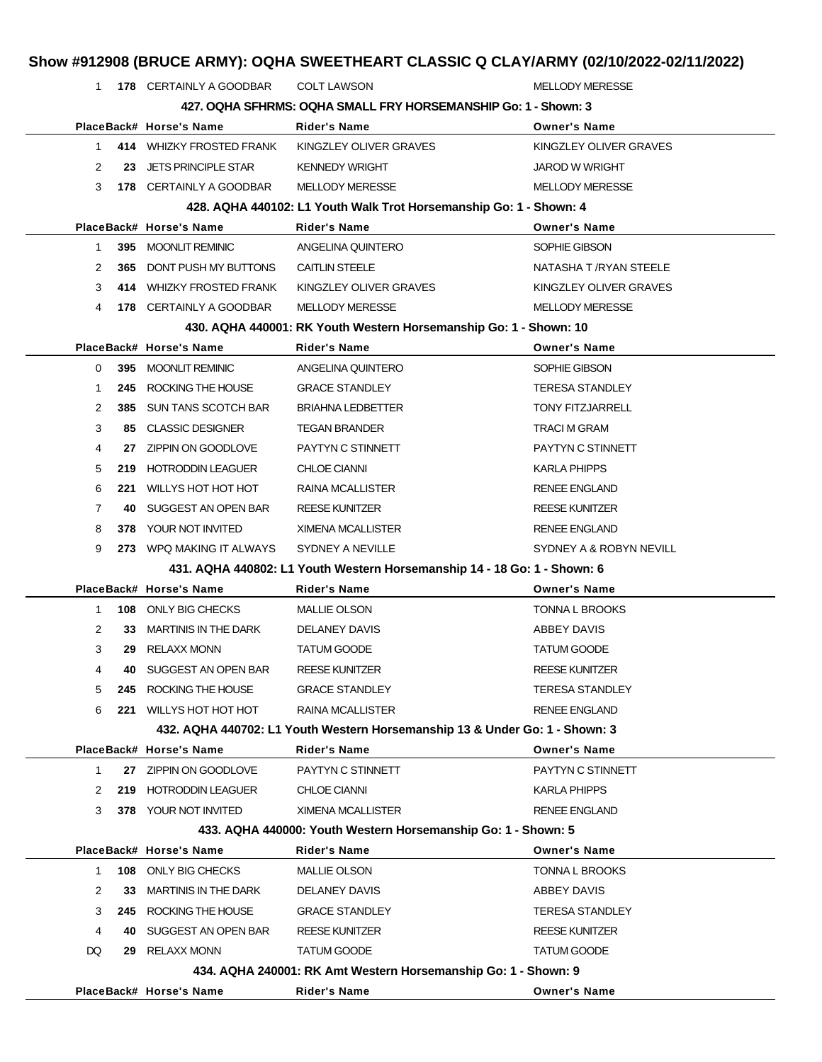|              |     |                             | Show #912908 (BRUCE ARMY): OQHA SWEETHEART CLASSIC Q CLAY/ARMY (02/10/2022-02/11/2022) |                         |
|--------------|-----|-----------------------------|----------------------------------------------------------------------------------------|-------------------------|
| $\mathbf{1}$ |     | 178 CERTAINLY A GOODBAR     | <b>COLT LAWSON</b>                                                                     | <b>MELLODY MERESSE</b>  |
|              |     |                             | 427. OQHA SFHRMS: OQHA SMALL FRY HORSEMANSHIP Go: 1 - Shown: 3                         |                         |
|              |     | PlaceBack# Horse's Name     | <b>Rider's Name</b>                                                                    | <b>Owner's Name</b>     |
| 1.           |     | 414 WHIZKY FROSTED FRANK    | KINGZLEY OLIVER GRAVES                                                                 | KINGZLEY OLIVER GRAVES  |
| 2            | 23  | <b>JETS PRINCIPLE STAR</b>  | <b>KENNEDY WRIGHT</b>                                                                  | <b>JAROD W WRIGHT</b>   |
| 3            |     | 178 CERTAINLY A GOODBAR     | <b>MELLODY MERESSE</b>                                                                 | <b>MELLODY MERESSE</b>  |
|              |     |                             | 428. AQHA 440102: L1 Youth Walk Trot Horsemanship Go: 1 - Shown: 4                     |                         |
|              |     | PlaceBack# Horse's Name     | <b>Rider's Name</b>                                                                    | <b>Owner's Name</b>     |
| 1.           | 395 | <b>MOONLIT REMINIC</b>      | ANGELINA QUINTERO                                                                      | SOPHIE GIBSON           |
| 2            | 365 | DONT PUSH MY BUTTONS        | <b>CAITLIN STEELE</b>                                                                  | NATASHA T / RYAN STEELE |
| 3            |     | 414 WHIZKY FROSTED FRANK    | KINGZLEY OLIVER GRAVES                                                                 | KINGZLEY OLIVER GRAVES  |
| 4            |     | 178 CERTAINLY A GOODBAR     | <b>MELLODY MERESSE</b>                                                                 | <b>MELLODY MERESSE</b>  |
|              |     |                             | 430. AQHA 440001: RK Youth Western Horsemanship Go: 1 - Shown: 10                      |                         |
|              |     | PlaceBack# Horse's Name     | Rider's Name                                                                           | <b>Owner's Name</b>     |
| 0            | 395 | MOONLIT REMINIC             | ANGELINA QUINTERO                                                                      | SOPHIE GIBSON           |
| 1            | 245 | ROCKING THE HOUSE           | <b>GRACE STANDLEY</b>                                                                  | <b>TERESA STANDLEY</b>  |
| 2            | 385 | <b>SUN TANS SCOTCH BAR</b>  | <b>BRIAHNA LEDBETTER</b>                                                               | <b>TONY FITZJARRELL</b> |
| 3            | 85  | <b>CLASSIC DESIGNER</b>     | <b>TEGAN BRANDER</b>                                                                   | <b>TRACI M GRAM</b>     |
| 4            | 27  | ZIPPIN ON GOODLOVE          | PAYTYN C STINNETT                                                                      | PAYTYN C STINNETT       |
| 5            | 219 | <b>HOTRODDIN LEAGUER</b>    | <b>CHLOE CIANNI</b>                                                                    | <b>KARLA PHIPPS</b>     |
| 6            | 221 | WILLYS HOT HOT HOT          | RAINA MCALLISTER                                                                       | <b>RENEE ENGLAND</b>    |
| 7            | 40  | SUGGEST AN OPEN BAR         | <b>REESE KUNITZER</b>                                                                  | <b>REESE KUNITZER</b>   |
| 8            | 378 | YOUR NOT INVITED            | XIMENA MCALLISTER                                                                      | <b>RENEE ENGLAND</b>    |
| 9            |     | 273 WPQ MAKING IT ALWAYS    | SYDNEY A NEVILLE                                                                       | SYDNEY A & ROBYN NEVILL |
|              |     |                             | 431. AQHA 440802: L1 Youth Western Horsemanship 14 - 18 Go: 1 - Shown: 6               |                         |
|              |     | PlaceBack# Horse's Name     | Rider's Name                                                                           | <b>Owner's Name</b>     |
| 1.           | 108 | ONLY BIG CHECKS             | <b>MALLIE OLSON</b>                                                                    | TONNA L BROOKS          |
| 2            | 33  | <b>MARTINIS IN THE DARK</b> | DELANEY DAVIS                                                                          | ABBEY DAVIS             |
| 3            | 29  | <b>RELAXX MONN</b>          | <b>TATUM GOODE</b>                                                                     | <b>TATUM GOODE</b>      |
| 4            | 40  | SUGGEST AN OPEN BAR         | <b>REESE KUNITZER</b>                                                                  | <b>REESE KUNITZER</b>   |
| 5            | 245 | ROCKING THE HOUSE           | <b>GRACE STANDLEY</b>                                                                  | <b>TERESA STANDLEY</b>  |
| 6            | 221 | WILLYS HOT HOT HOT          | <b>RAINA MCALLISTER</b>                                                                | <b>RENEE ENGLAND</b>    |
|              |     |                             | 432. AQHA 440702: L1 Youth Western Horsemanship 13 & Under Go: 1 - Shown: 3            |                         |
|              |     | PlaceBack# Horse's Name     | <b>Rider's Name</b>                                                                    | <b>Owner's Name</b>     |
| 1            | 27  | ZIPPIN ON GOODLOVE          | PAYTYN C STINNETT                                                                      | PAYTYN C STINNETT       |
| 2            | 219 | <b>HOTRODDIN LEAGUER</b>    | <b>CHLOE CIANNI</b>                                                                    | KARLA PHIPPS            |
| 3            |     | 378 YOUR NOT INVITED        | <b>XIMENA MCALLISTER</b>                                                               | <b>RENEE ENGLAND</b>    |
|              |     |                             | 433. AQHA 440000: Youth Western Horsemanship Go: 1 - Shown: 5                          |                         |
|              |     | PlaceBack# Horse's Name     | Rider's Name                                                                           | <b>Owner's Name</b>     |
| 1            | 108 | ONLY BIG CHECKS             | <b>MALLIE OLSON</b>                                                                    | TONNA L BROOKS          |
| 2            | 33  | <b>MARTINIS IN THE DARK</b> | DELANEY DAVIS                                                                          | ABBEY DAVIS             |
| 3            | 245 | ROCKING THE HOUSE           | <b>GRACE STANDLEY</b>                                                                  | <b>TERESA STANDLEY</b>  |
| 4            | 40  | SUGGEST AN OPEN BAR         | <b>REESE KUNITZER</b>                                                                  | <b>REESE KUNITZER</b>   |
| DQ           | 29  | <b>RELAXX MONN</b>          | <b>TATUM GOODE</b>                                                                     | <b>TATUM GOODE</b>      |
|              |     |                             | 434. AQHA 240001: RK Amt Western Horsemanship Go: 1 - Shown: 9                         |                         |
|              |     | PlaceBack# Horse's Name     | Rider's Name                                                                           | <b>Owner's Name</b>     |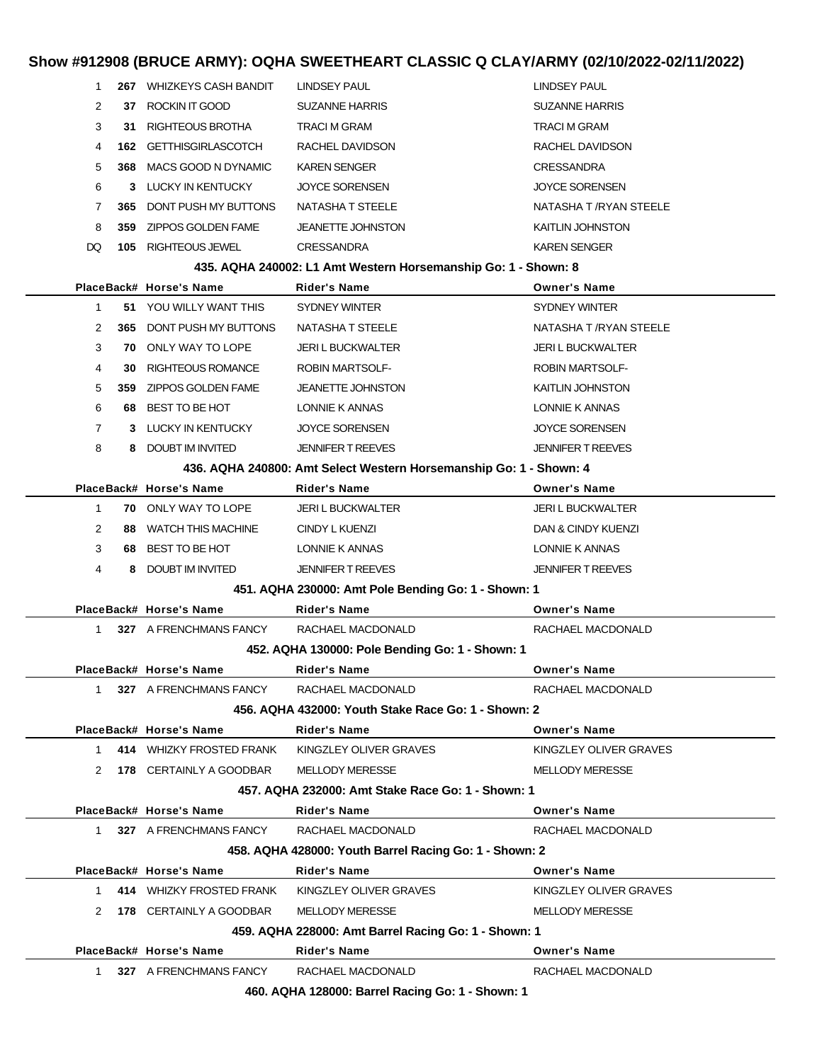#### **Show #912908 (BRUCE ARMY): OQHA SWEETHEART CLASSIC Q CLAY/ARMY (02/10/2022-02/11/2022)**

| 1              |     | 267 WHIZKEYS CASH BANDIT                  | LINDSEY PAUL                                                       | LINDSEY PAUL             |
|----------------|-----|-------------------------------------------|--------------------------------------------------------------------|--------------------------|
| 2              |     | 37 ROCKIN IT GOOD                         | <b>SUZANNE HARRIS</b>                                              | <b>SUZANNE HARRIS</b>    |
| 3              |     | 31 RIGHTEOUS BROTHA                       | TRACI M GRAM                                                       | <b>TRACI M GRAM</b>      |
| 4              |     | <b>162 GETTHISGIRLASCOTCH</b>             | RACHEL DAVIDSON                                                    | RACHEL DAVIDSON          |
| 5              | 368 | MACS GOOD N DYNAMIC                       | <b>KAREN SENGER</b>                                                | <b>CRESSANDRA</b>        |
| 6              |     | 3 LUCKY IN KENTUCKY                       | <b>JOYCE SORENSEN</b>                                              | <b>JOYCE SORENSEN</b>    |
| 7              |     | <b>365 DONT PUSH MY BUTTONS</b>           | NATASHA T STEELE                                                   | NATASHA T /RYAN STEELE   |
| 8              |     | 359 ZIPPOS GOLDEN FAME                    | <b>JEANETTE JOHNSTON</b>                                           | KAITLIN JOHNSTON         |
| DQ             |     | <b>105 RIGHTEOUS JEWEL</b>                | <b>CRESSANDRA</b>                                                  | <b>KAREN SENGER</b>      |
|                |     |                                           | 435. AQHA 240002: L1 Amt Western Horsemanship Go: 1 - Shown: 8     |                          |
|                |     | PlaceBack# Horse's Name                   | Rider's Name                                                       | <b>Owner's Name</b>      |
| 1              |     | 51 YOU WILLY WANT THIS                    | SYDNEY WINTER                                                      | SYDNEY WINTER            |
| 2              |     | 365 DONT PUSH MY BUTTONS                  | NATASHA T STEELE                                                   | NATASHA T /RYAN STEELE   |
| 3              |     | <b>70 ONLY WAY TO LOPE</b>                | <b>JERI L BUCKWALTER</b>                                           | <b>JERI L BUCKWALTER</b> |
| 4              |     | <b>30 RIGHTEOUS ROMANCE</b>               | <b>ROBIN MARTSOLF-</b>                                             | <b>ROBIN MARTSOLF-</b>   |
| 5              |     | 359 ZIPPOS GOLDEN FAME                    | <b>JEANETTE JOHNSTON</b>                                           | <b>KAITLIN JOHNSTON</b>  |
| 6              |     | 68 BEST TO BE HOT                         | LONNIE K ANNAS                                                     | LONNIE K ANNAS           |
| $\overline{7}$ |     | 3 LUCKY IN KENTUCKY                       | <b>JOYCE SORENSEN</b>                                              | <b>JOYCE SORENSEN</b>    |
| 8              |     | 8 DOUBT IM INVITED                        | <b>JENNIFER T REEVES</b>                                           | <b>JENNIFER T REEVES</b> |
|                |     |                                           | 436. AQHA 240800: Amt Select Western Horsemanship Go: 1 - Shown: 4 |                          |
|                |     | PlaceBack# Horse's Name                   | Rider's Name                                                       | <b>Owner's Name</b>      |
| $\mathbf{1}$   |     | <b>70 ONLY WAY TO LOPE</b>                | JERI L BUCKWALTER                                                  | <b>JERI L BUCKWALTER</b> |
| 2              |     | 88 WATCH THIS MACHINE                     | CINDY L KUENZI                                                     | DAN & CINDY KUENZI       |
| 3              |     | 68 BEST TO BE HOT                         | LONNIE K ANNAS                                                     | LONNIE K ANNAS           |
| 4              |     | 8 DOUBT IM INVITED                        | <b>JENNIFER T REEVES</b>                                           | <b>JENNIFER T REEVES</b> |
|                |     |                                           | 451. AQHA 230000: Amt Pole Bending Go: 1 - Shown: 1                |                          |
|                |     | PlaceBack# Horse's Name                   | Rider's Name                                                       | <b>Owner's Name</b>      |
| $\mathbf{1}$   |     | 327 A FRENCHMANS FANCY                    | RACHAEL MACDONALD                                                  | RACHAEL MACDONALD        |
|                |     |                                           | 452. AQHA 130000: Pole Bending Go: 1 - Shown: 1                    |                          |
|                |     | PlaceBack# Horse's Name                   | <b>Rider's Name</b>                                                | <b>Owner's Name</b>      |
|                |     | 1 327 A FRENCHMANS FANCY                  | RACHAEL MACDONALD                                                  | RACHAEL MACDONALD        |
|                |     |                                           | 456. AQHA 432000: Youth Stake Race Go: 1 - Shown: 2                |                          |
|                |     | PlaceBack# Horse's Name                   | <b>Rider's Name</b>                                                | <b>Owner's Name</b>      |
|                |     |                                           | 1 414 WHIZKY FROSTED FRANK KINGZLEY OLIVER GRAVES                  | KINGZLEY OLIVER GRAVES   |
|                |     | 2 178 CERTAINLY A GOODBAR MELLODY MERESSE |                                                                    | <b>MELLODY MERESSE</b>   |
|                |     |                                           | 457. AQHA 232000: Amt Stake Race Go: 1 - Shown: 1                  |                          |
|                |     | PlaceBack# Horse's Name                   | <b>Rider's Name</b>                                                | <b>Owner's Name</b>      |
|                |     | 1 327 A FRENCHMANS FANCY                  | RACHAEL MACDONALD                                                  | RACHAEL MACDONALD        |
|                |     |                                           | 458. AQHA 428000: Youth Barrel Racing Go: 1 - Shown: 2             |                          |
|                |     | PlaceBack# Horse's Name                   | <b>Rider's Name</b>                                                | <b>Owner's Name</b>      |
|                |     |                                           | 1 414 WHIZKY FROSTED FRANK KINGZLEY OLIVER GRAVES                  | KINGZLEY OLIVER GRAVES   |
|                |     | 2 178 CERTAINLY A GOODBAR                 | <b>MELLODY MERESSE</b>                                             | <b>MELLODY MERESSE</b>   |
|                |     |                                           | 459. AQHA 228000: Amt Barrel Racing Go: 1 - Shown: 1               |                          |
|                |     | PlaceBack# Horse's Name                   | <b>Rider's Name</b>                                                | <b>Owner's Name</b>      |
|                |     | 1 327 A FRENCHMANS FANCY                  | RACHAEL MACDONALD                                                  | RACHAEL MACDONALD        |
|                |     |                                           | 460. AQHA 128000: Barrel Racing Go: 1 - Shown: 1                   |                          |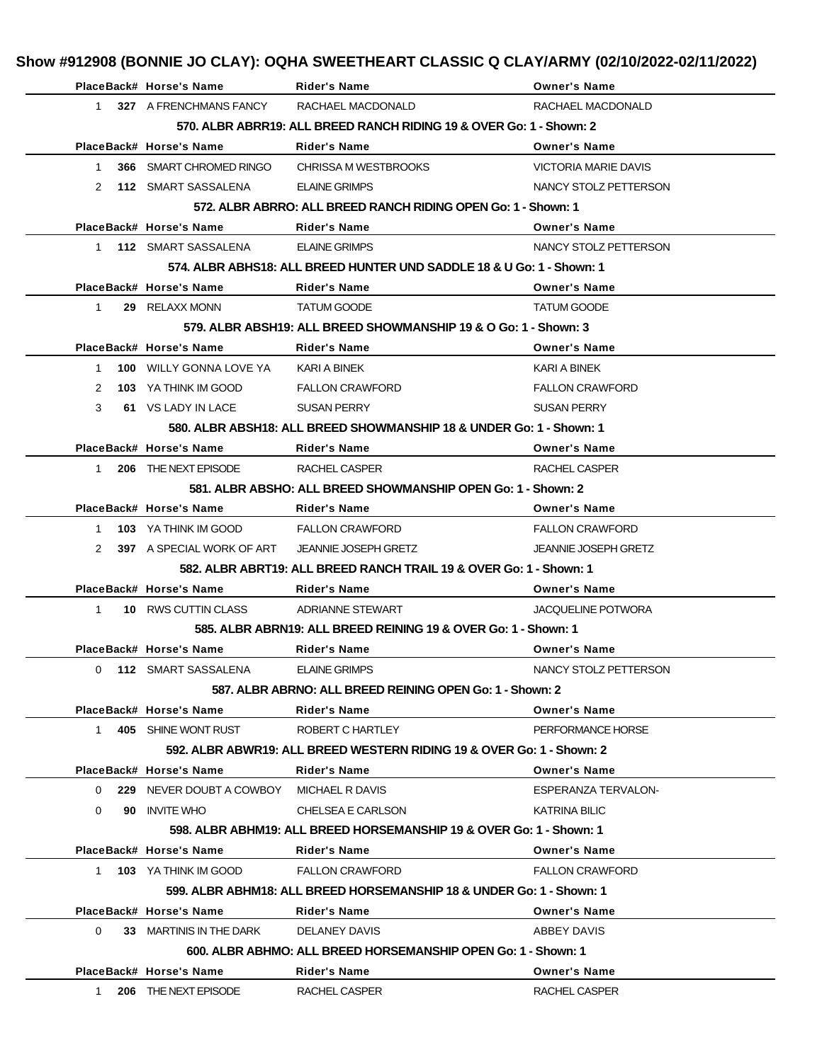|                      | PlaceBack# Horse's Name                  | <b>Rider's Name</b>                                                   | <b>Owner's Name</b>         |
|----------------------|------------------------------------------|-----------------------------------------------------------------------|-----------------------------|
| 1                    | 327 A FRENCHMANS FANCY                   | RACHAEL MACDONALD                                                     | RACHAEL MACDONALD           |
|                      |                                          | 570. ALBR ABRR19: ALL BREED RANCH RIDING 19 & OVER Go: 1 - Shown: 2   |                             |
|                      | PlaceBack# Horse's Name                  | <b>Rider's Name</b>                                                   | <b>Owner's Name</b>         |
| $\mathbf{1}$         | 366 SMART CHROMED RINGO                  | CHRISSA M WESTBROOKS                                                  | <b>VICTORIA MARIE DAVIS</b> |
| $\mathbf{2}^{\circ}$ | 112 SMART SASSALENA                      | <b>ELAINE GRIMPS</b>                                                  | NANCY STOLZ PETTERSON       |
|                      |                                          | 572. ALBR ABRRO: ALL BREED RANCH RIDING OPEN Go: 1 - Shown: 1         |                             |
|                      | PlaceBack# Horse's Name                  | <b>Rider's Name</b>                                                   | <b>Owner's Name</b>         |
|                      | 1 112 SMART SASSALENA                    | <b>ELAINE GRIMPS</b>                                                  | NANCY STOLZ PETTERSON       |
|                      |                                          | 574, ALBR ABHS18: ALL BREED HUNTER UND SADDLE 18 & U Go: 1 - Shown: 1 |                             |
|                      | PlaceBack# Horse's Name                  | <b>Rider's Name</b>                                                   | <b>Owner's Name</b>         |
| $\mathbf 1$          | 29 RELAXX MONN                           | <b>TATUM GOODE</b>                                                    | <b>TATUM GOODE</b>          |
|                      |                                          | 579. ALBR ABSH19: ALL BREED SHOWMANSHIP 19 & O Go: 1 - Shown: 3       |                             |
|                      | PlaceBack# Horse's Name                  | <b>Rider's Name</b>                                                   | <b>Owner's Name</b>         |
| 1                    | <b>100 WILLY GONNA LOVE YA</b>           | KARI A BINEK                                                          | KARI A BINEK                |
| 2                    | 103 YA THINK IM GOOD                     | <b>FALLON CRAWFORD</b>                                                | <b>FALLON CRAWFORD</b>      |
| 3                    | 61 VS LADY IN LACE                       | <b>SUSAN PERRY</b>                                                    | <b>SUSAN PERRY</b>          |
|                      |                                          | 580. ALBR ABSH18: ALL BREED SHOWMANSHIP 18 & UNDER Go: 1 - Shown: 1   |                             |
|                      | PlaceBack# Horse's Name                  | <b>Rider's Name</b>                                                   | <b>Owner's Name</b>         |
| 1                    | 206 THE NEXT EPISODE                     | RACHEL CASPER                                                         | RACHEL CASPER               |
|                      |                                          | 581. ALBR ABSHO: ALL BREED SHOWMANSHIP OPEN Go: 1 - Shown: 2          |                             |
|                      |                                          |                                                                       |                             |
|                      | PlaceBack# Horse's Name                  | <b>Rider's Name</b>                                                   | <b>Owner's Name</b>         |
| 1                    | 103 YA THINK IM GOOD                     | <b>FALLON CRAWFORD</b>                                                | <b>FALLON CRAWFORD</b>      |
| $\mathbf{2}^{\circ}$ | <b>397</b> A SPECIAL WORK OF ART         | <b>JEANNIE JOSEPH GRETZ</b>                                           | <b>JEANNIE JOSEPH GRETZ</b> |
|                      |                                          | 582. ALBR ABRT19: ALL BREED RANCH TRAIL 19 & OVER Go: 1 - Shown: 1    |                             |
|                      | PlaceBack# Horse's Name                  | Rider's Name                                                          | <b>Owner's Name</b>         |
| $\mathbf{1}$         | 10 RWS CUTTIN CLASS                      | ADRIANNE STEWART                                                      | <b>JACQUELINE POTWORA</b>   |
|                      |                                          | 585, ALBR ABRN19: ALL BREED REINING 19 & OVER Go: 1 - Shown: 1        |                             |
|                      | PlaceBack# Horse's Name                  | <b>Rider's Name</b>                                                   | <b>Owner's Name</b>         |
| 0                    | <b>112 SMART SASSALENA</b>               | <b>ELAINE GRIMPS</b>                                                  | NANCY STOLZ PETTERSON       |
|                      |                                          | 587, ALBR ABRNO: ALL BREED REINING OPEN Go: 1 - Shown: 2              |                             |
|                      | PlaceBack# Horse's Name                  | Rider's Name                                                          | <b>Owner's Name</b>         |
| $\mathbf{1}$         | 405 SHINE WONT RUST                      | ROBERT C HARTLEY                                                      | PERFORMANCE HORSE           |
|                      |                                          | 592. ALBR ABWR19: ALL BREED WESTERN RIDING 19 & OVER Go: 1 - Shown: 2 |                             |
|                      | PlaceBack# Horse's Name                  | <b>Rider's Name</b>                                                   | <b>Owner's Name</b>         |
| $\Omega$             | 229 NEVER DOUBT A COWBOY MICHAEL R DAVIS |                                                                       | ESPERANZA TERVALON-         |
| $\Omega$             | 90 INVITE WHO                            | CHELSEA E CARLSON                                                     | KATRINA BILIC               |
|                      |                                          | 598. ALBR ABHM19: ALL BREED HORSEMANSHIP 19 & OVER Go: 1 - Shown: 1   |                             |
|                      | PlaceBack# Horse's Name                  | <b>Rider's Name</b>                                                   | <b>Owner's Name</b>         |
| $\mathbf{1}$         | <b>103 YA THINK IM GOOD</b>              | <b>FALLON CRAWFORD</b>                                                | <b>FALLON CRAWFORD</b>      |
|                      |                                          | 599, ALBR ABHM18: ALL BREED HORSEMANSHIP 18 & UNDER Go: 1 - Shown: 1  |                             |
|                      | PlaceBack# Horse's Name                  | <b>Rider's Name</b>                                                   | <b>Owner's Name</b>         |
| $\Omega$             | 33 MARTINIS IN THE DARK                  | DELANEY DAVIS                                                         | ABBEY DAVIS                 |
|                      |                                          | 600, ALBR ABHMO: ALL BREED HORSEMANSHIP OPEN Go: 1 - Shown: 1         |                             |
|                      | PlaceBack# Horse's Name                  | Rider's Name                                                          | <b>Owner's Name</b>         |
| $\mathbf{1}$         | 206 THE NEXT EPISODE                     | RACHEL CASPER                                                         | RACHEL CASPER               |
|                      |                                          |                                                                       |                             |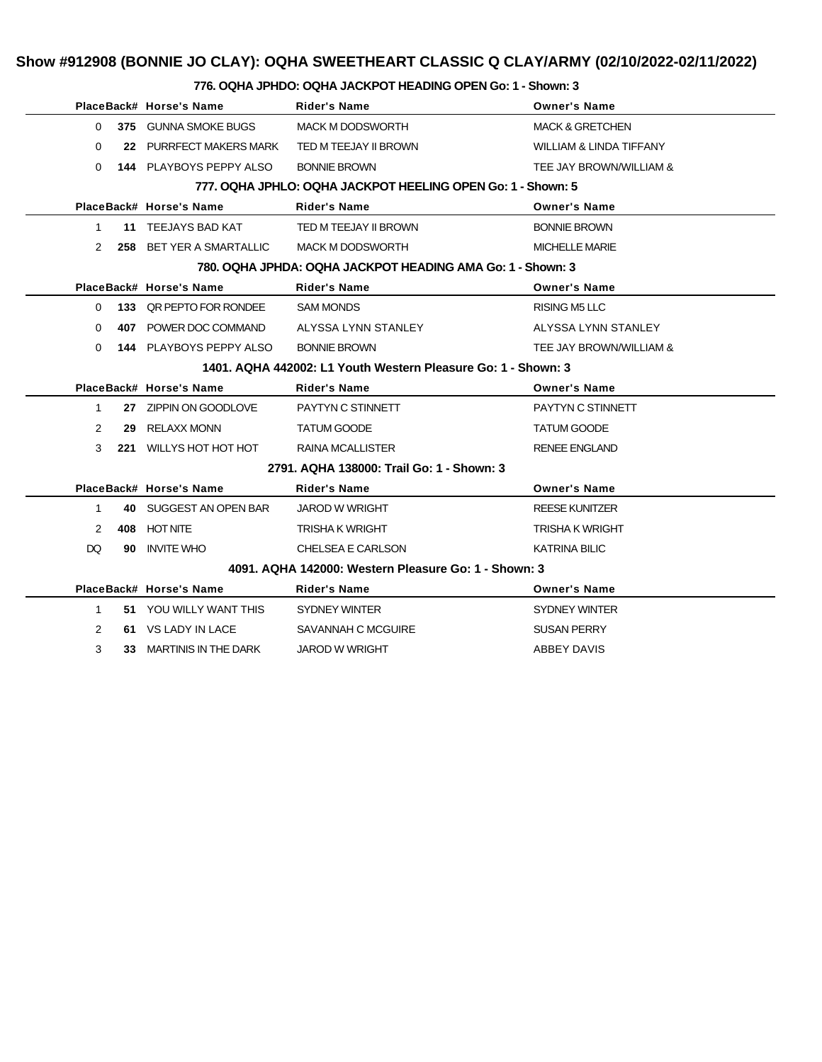## **Show #912908 (BONNIE JO CLAY): OQHA SWEETHEART CLASSIC Q CLAY/ARMY (02/10/2022-02/11/2022)**

#### **776. OQHA JPHDO: OQHA JACKPOT HEADING OPEN Go: 1 - Shown: 3**

|                |    | PlaceBack# Horse's Name                       | Rider's Name                                                  | <b>Owner's Name</b>        |
|----------------|----|-----------------------------------------------|---------------------------------------------------------------|----------------------------|
| $\Omega$       |    | 375 GUNNA SMOKE BUGS                          | <b>MACK M DODSWORTH</b>                                       | <b>MACK &amp; GRETCHEN</b> |
| 0              |    | 22 PURRFECT MAKERS MARK TED M TEEJAY II BROWN |                                                               | WILLIAM & LINDA TIFFANY    |
| 0              |    | <b>144 PLAYBOYS PEPPY ALSO</b>                | <b>BONNIE BROWN</b>                                           | TEE JAY BROWN/WILLIAM &    |
|                |    |                                               | 777, OQHA JPHLO: OQHA JACKPOT HEELING OPEN Go: 1 - Shown: 5   |                            |
|                |    | PlaceBack# Horse's Name                       | Rider's Name                                                  | <b>Owner's Name</b>        |
| $\mathbf 1$    |    | <b>11 TEEJAYS BAD KAT</b>                     | TED M TEEJAY II BROWN                                         | <b>BONNIE BROWN</b>        |
| $\mathcal{P}$  |    | 258 BET YER A SMARTALLIC                      | MACK M DODSWORTH                                              | <b>MICHELLE MARIE</b>      |
|                |    |                                               | 780. OQHA JPHDA: OQHA JACKPOT HEADING AMA Go: 1 - Shown: 3    |                            |
|                |    | PlaceBack# Horse's Name                       | <b>Rider's Name</b>                                           | <b>Owner's Name</b>        |
|                |    | 0 133 QR PEPTO FOR RONDEE                     | <b>SAM MONDS</b>                                              | RISING M5 LLC              |
| 0              |    | 407 POWER DOC COMMAND                         | ALYSSA LYNN STANLEY                                           | ALYSSA LYNN STANLEY        |
| 0              |    | <b>144 PLAYBOYS PEPPY ALSO</b>                | <b>BONNIE BROWN</b>                                           | TEE JAY BROWN/WILLIAM &    |
|                |    |                                               | 1401. AQHA 442002: L1 Youth Western Pleasure Go: 1 - Shown: 3 |                            |
|                |    | PlaceBack# Horse's Name                       | Rider's Name                                                  | <b>Owner's Name</b>        |
| 1              |    | 27 ZIPPIN ON GOODLOVE                         | PAYTYN C STINNETT                                             | PAYTYN C STINNETT          |
| 2              |    | 29 RELAXX MONN                                | <b>TATUM GOODE</b>                                            | <b>TATUM GOODE</b>         |
| 3              |    | 221 WILLYS HOT HOT HOT                        | RAINA MCALLISTER                                              | <b>RENEE ENGLAND</b>       |
|                |    |                                               | 2791. AQHA 138000: Trail Go: 1 - Shown: 3                     |                            |
|                |    | PlaceBack# Horse's Name                       | <b>Rider's Name</b>                                           | <b>Owner's Name</b>        |
| 1              |    | 40 SUGGEST AN OPEN BAR                        | JAROD W WRIGHT                                                | <b>REESE KUNITZER</b>      |
| 2              |    | 408 HOT NITE                                  | TRISHA K WRIGHT                                               | TRISHA K WRIGHT            |
| DQ.            |    | 90 INVITE WHO                                 | CHELSEA E CARLSON                                             | <b>KATRINA BILIC</b>       |
|                |    |                                               | 4091, AQHA 142000: Western Pleasure Go: 1 - Shown: 3          |                            |
|                |    | PlaceBack# Horse's Name                       | <b>Rider's Name</b>                                           | <b>Owner's Name</b>        |
| $\mathbf{1}$   |    | 51 YOU WILLY WANT THIS                        | SYDNEY WINTER                                                 | SYDNEY WINTER              |
| $\overline{2}$ |    | 61 VS LADY IN LACE                            | SAVANNAH C MCGUIRE                                            | <b>SUSAN PERRY</b>         |
| 3              | 33 | MARTINIS IN THE DARK                          | <b>JAROD W WRIGHT</b>                                         | ABBEY DAVIS                |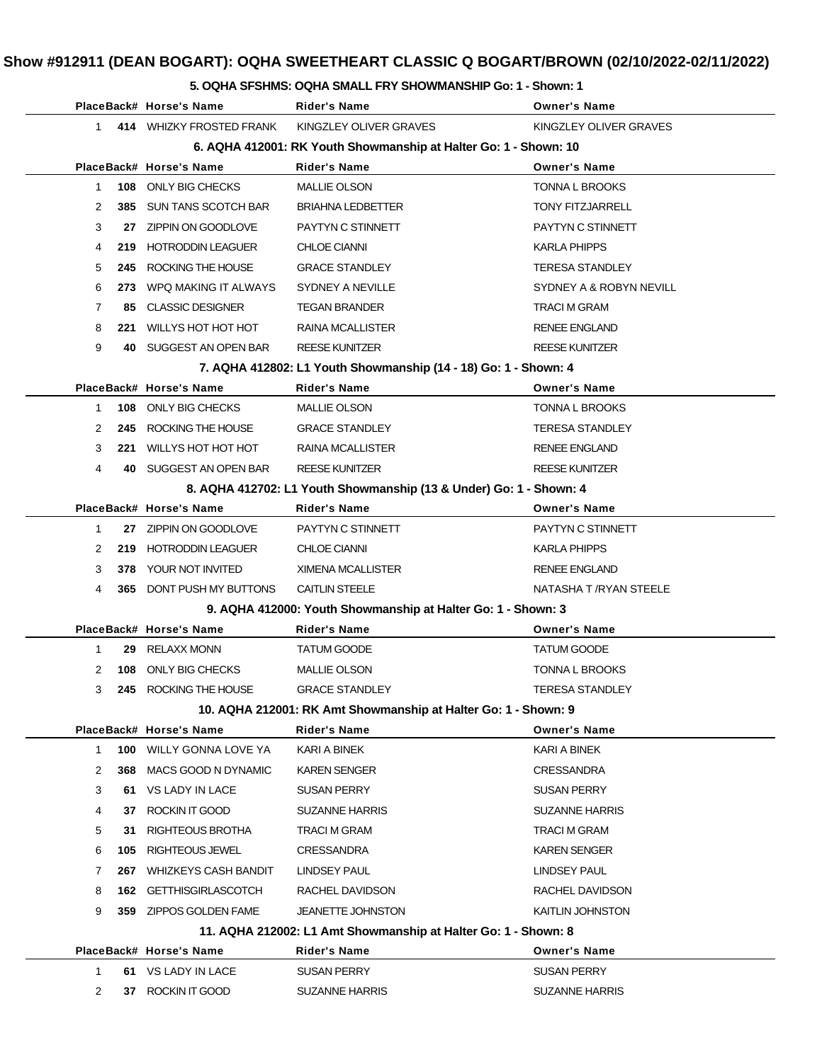#### **5. OQHA SFSHMS: OQHA SMALL FRY SHOWMANSHIP Go: 1 - Shown: 1**

|                                                                  | PlaceBack# Horse's Name        | Rider's Name                                                       | <b>Owner's Name</b>     |  |  |
|------------------------------------------------------------------|--------------------------------|--------------------------------------------------------------------|-------------------------|--|--|
| $\mathbf{1}$                                                     | 414 WHIZKY FROSTED FRANK       | KINGZLEY OLIVER GRAVES                                             | KINGZLEY OLIVER GRAVES  |  |  |
| 6. AQHA 412001: RK Youth Showmanship at Halter Go: 1 - Shown: 10 |                                |                                                                    |                         |  |  |
|                                                                  | PlaceBack# Horse's Name        | Rider's Name                                                       | <b>Owner's Name</b>     |  |  |
| $\mathbf 1$<br>108                                               | ONLY BIG CHECKS                | <b>MALLIE OLSON</b>                                                | TONNA L BROOKS          |  |  |
| 2<br>385                                                         | <b>SUN TANS SCOTCH BAR</b>     | <b>BRIAHNA LEDBETTER</b>                                           | <b>TONY FITZJARRELL</b> |  |  |
| 3<br>27                                                          | ZIPPIN ON GOODLOVE             | PAYTYN C STINNETT                                                  | PAYTYN C STINNETT       |  |  |
| 4<br>219.                                                        | <b>HOTRODDIN LEAGUER</b>       | <b>CHLOE CIANNI</b>                                                | KARLA PHIPPS            |  |  |
| 5<br>245                                                         | ROCKING THE HOUSE              | <b>GRACE STANDLEY</b>                                              | <b>TERESA STANDLEY</b>  |  |  |
| 6<br>273                                                         | WPQ MAKING IT ALWAYS           | SYDNEY A NEVILLE                                                   | SYDNEY A & ROBYN NEVILL |  |  |
| $\overline{7}$<br>85.                                            | <b>CLASSIC DESIGNER</b>        | <b>TEGAN BRANDER</b>                                               | <b>TRACI M GRAM</b>     |  |  |
| 8<br>221                                                         | WILLYS HOT HOT HOT             | RAINA MCALLISTER                                                   | <b>RENEE ENGLAND</b>    |  |  |
| 9<br>40.                                                         | SUGGEST AN OPEN BAR            | <b>REESE KUNITZER</b>                                              | <b>REESE KUNITZER</b>   |  |  |
|                                                                  |                                | 7. AQHA 412802: L1 Youth Showmanship (14 - 18) Go: 1 - Shown: 4    |                         |  |  |
|                                                                  | PlaceBack# Horse's Name        | <b>Rider's Name</b>                                                | <b>Owner's Name</b>     |  |  |
| 1                                                                | 108 ONLY BIG CHECKS            | <b>MALLIE OLSON</b>                                                | TONNA L BROOKS          |  |  |
| 2<br>245                                                         | ROCKING THE HOUSE              | <b>GRACE STANDLEY</b>                                              | <b>TERESA STANDLEY</b>  |  |  |
| 3<br>221                                                         | WILLYS HOT HOT HOT             | <b>RAINA MCALLISTER</b>                                            | <b>RENEE ENGLAND</b>    |  |  |
| 4<br>40.                                                         | SUGGEST AN OPEN BAR            | <b>REESE KUNITZER</b>                                              | <b>REESE KUNITZER</b>   |  |  |
|                                                                  |                                | 8. AQHA 412702: L1 Youth Showmanship (13 & Under) Go: 1 - Shown: 4 |                         |  |  |
|                                                                  | PlaceBack# Horse's Name        | Rider's Name                                                       | <b>Owner's Name</b>     |  |  |
| 1                                                                | 27 ZIPPIN ON GOODLOVE          | PAYTYN C STINNETT                                                  | PAYTYN C STINNETT       |  |  |
| 2<br>219                                                         | <b>HOTRODDIN LEAGUER</b>       | <b>CHLOE CIANNI</b>                                                | <b>KARLA PHIPPS</b>     |  |  |
| 3<br>378                                                         | YOUR NOT INVITED               | XIMENA MCALLISTER                                                  | <b>RENEE ENGLAND</b>    |  |  |
| 4                                                                | 365 DONT PUSH MY BUTTONS       | <b>CAITLIN STEELE</b>                                              | NATASHA T /RYAN STEELE  |  |  |
|                                                                  |                                | 9. AQHA 412000: Youth Showmanship at Halter Go: 1 - Shown: 3       |                         |  |  |
|                                                                  | PlaceBack# Horse's Name        | Rider's Name                                                       | <b>Owner's Name</b>     |  |  |
| 1<br>29                                                          | <b>RELAXX MONN</b>             | <b>TATUM GOODE</b>                                                 | <b>TATUM GOODE</b>      |  |  |
| 2<br>108                                                         | ONLY BIG CHECKS                | <b>MALLIE OLSON</b>                                                | <b>TONNA L BROOKS</b>   |  |  |
| 3                                                                | 245 ROCKING THE HOUSE          | <b>GRACE STANDLEY</b>                                              | <b>TERESA STANDLEY</b>  |  |  |
|                                                                  |                                | 10. AQHA 212001: RK Amt Showmanship at Halter Go: 1 - Shown: 9     |                         |  |  |
|                                                                  | PlaceBack# Horse's Name        | Rider's Name                                                       | <b>Owner's Name</b>     |  |  |
| $\mathbf{1}$                                                     | <b>100 WILLY GONNA LOVE YA</b> | KARI A BINEK                                                       | KARI A BINEK            |  |  |
| 2<br>368                                                         | MACS GOOD N DYNAMIC            | <b>KAREN SENGER</b>                                                | <b>CRESSANDRA</b>       |  |  |
| 3                                                                | 61 VS LADY IN LACE             | <b>SUSAN PERRY</b>                                                 | <b>SUSAN PERRY</b>      |  |  |
| 4<br>37                                                          | ROCKIN IT GOOD                 | <b>SUZANNE HARRIS</b>                                              | <b>SUZANNE HARRIS</b>   |  |  |
| 5<br>31                                                          | RIGHTEOUS BROTHA               | TRACI M GRAM                                                       | TRACI M GRAM            |  |  |
| 6<br>105                                                         | RIGHTEOUS JEWEL                | <b>CRESSANDRA</b>                                                  | <b>KAREN SENGER</b>     |  |  |
| 7<br>267                                                         | <b>WHIZKEYS CASH BANDIT</b>    | LINDSEY PAUL                                                       | LINDSEY PAUL            |  |  |
| 8<br>162                                                         | <b>GETTHISGIRLASCOTCH</b>      | RACHEL DAVIDSON                                                    | RACHEL DAVIDSON         |  |  |
| 9<br>359                                                         | ZIPPOS GOLDEN FAME             | <b>JEANETTE JOHNSTON</b>                                           | KAITLIN JOHNSTON        |  |  |
|                                                                  |                                | 11. AQHA 212002: L1 Amt Showmanship at Halter Go: 1 - Shown: 8     |                         |  |  |
|                                                                  | PlaceBack# Horse's Name        | Rider's Name                                                       | <b>Owner's Name</b>     |  |  |
| $\mathbf 1$                                                      | 61 VS LADY IN LACE             | <b>SUSAN PERRY</b>                                                 | <b>SUSAN PERRY</b>      |  |  |
| 2<br>37                                                          | ROCKIN IT GOOD                 | <b>SUZANNE HARRIS</b>                                              | <b>SUZANNE HARRIS</b>   |  |  |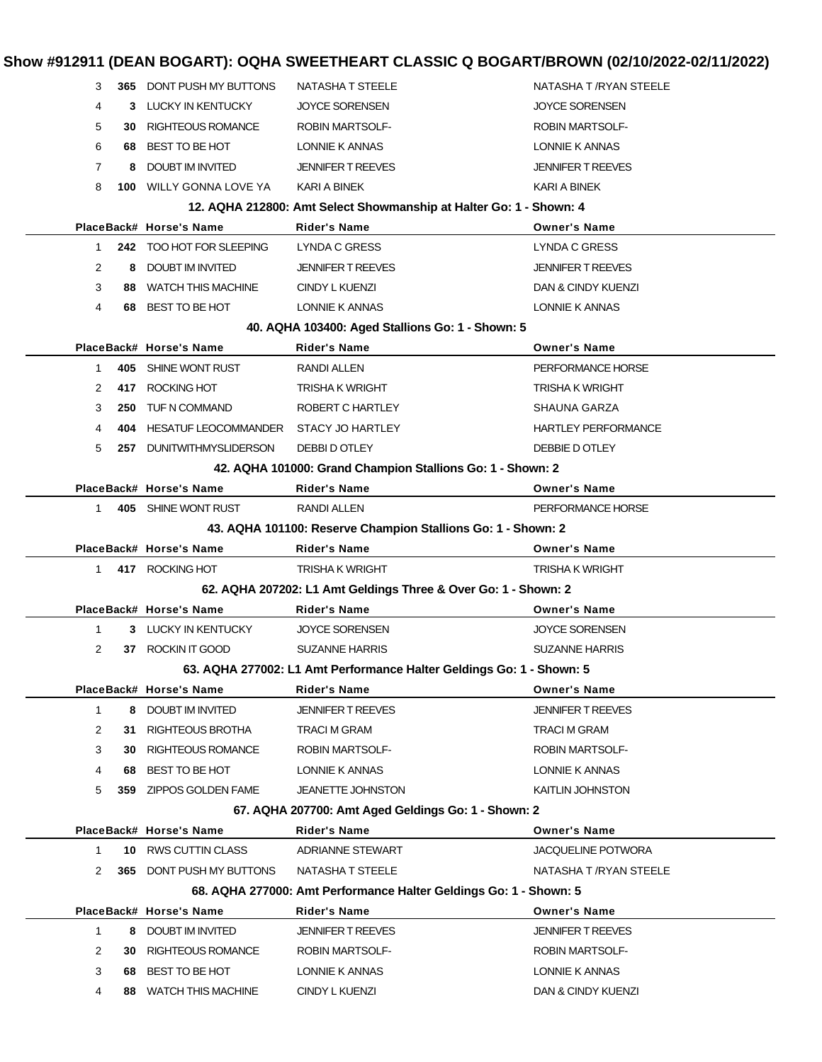| 3              |      | <b>365 DONT PUSH MY BUTTONS</b> | NATASHA T STEELE                                                     | NATASHA T /RYAN STEELE     |
|----------------|------|---------------------------------|----------------------------------------------------------------------|----------------------------|
| 4              | 3    | LUCKY IN KENTUCKY               | <b>JOYCE SORENSEN</b>                                                | <b>JOYCE SORENSEN</b>      |
| 5              | 30.  | <b>RIGHTEOUS ROMANCE</b>        | <b>ROBIN MARTSOLF-</b>                                               | <b>ROBIN MARTSOLF-</b>     |
| 6              | 68   | BEST TO BE HOT                  | LONNIE K ANNAS                                                       | LONNIE K ANNAS             |
| 7              | 8    | DOUBT IM INVITED                | <b>JENNIFER T REEVES</b>                                             | <b>JENNIFER T REEVES</b>   |
| 8              |      | <b>100 WILLY GONNA LOVE YA</b>  | KARI A BINEK                                                         | KARI A BINEK               |
|                |      |                                 | 12. AQHA 212800: Amt Select Showmanship at Halter Go: 1 - Shown: 4   |                            |
|                |      | PlaceBack# Horse's Name         | <b>Rider's Name</b>                                                  | <b>Owner's Name</b>        |
| 1              |      | 242 TOO HOT FOR SLEEPING        | <b>LYNDA C GRESS</b>                                                 | <b>LYNDA C GRESS</b>       |
| $\overline{2}$ | 8    | <b>DOUBT IM INVITED</b>         | <b>JENNIFER T REEVES</b>                                             | <b>JENNIFER T REEVES</b>   |
| 3              |      | 88 WATCH THIS MACHINE           | CINDY L KUENZI                                                       | DAN & CINDY KUENZI         |
| 4              | 68 - | BEST TO BE HOT                  | LONNIE K ANNAS                                                       | LONNIE K ANNAS             |
|                |      |                                 | 40. AQHA 103400: Aged Stallions Go: 1 - Shown: 5                     |                            |
|                |      | PlaceBack# Horse's Name         | <b>Rider's Name</b>                                                  | <b>Owner's Name</b>        |
| 1.             |      | 405 SHINE WONT RUST             | RANDI ALLEN                                                          | PERFORMANCE HORSE          |
| 2              | 417  | ROCKING HOT                     | <b>TRISHA K WRIGHT</b>                                               | <b>TRISHA K WRIGHT</b>     |
| 3              | 250  | TUF N COMMAND                   | ROBERT C HARTLEY                                                     | SHAUNA GARZA               |
| 4              |      | 404 HESATUF LEOCOMMANDER        | <b>STACY JO HARTLEY</b>                                              | <b>HARTLEY PERFORMANCE</b> |
| 5              |      | 257 DUNITWITHMYSLIDERSON        | DEBBI D OTLEY                                                        | DEBBIE D OTLEY             |
|                |      |                                 | 42. AQHA 101000: Grand Champion Stallions Go: 1 - Shown: 2           |                            |
|                |      | PlaceBack# Horse's Name         | <b>Rider's Name</b>                                                  | <b>Owner's Name</b>        |
| 1.             |      | 405 SHINE WONT RUST             | <b>RANDI ALLEN</b>                                                   | PERFORMANCE HORSE          |
|                |      |                                 | 43. AQHA 101100: Reserve Champion Stallions Go: 1 - Shown: 2         |                            |
|                |      | PlaceBack# Horse's Name         | <b>Rider's Name</b>                                                  | <b>Owner's Name</b>        |
| 1.             |      | 417 ROCKING HOT                 | <b>TRISHA K WRIGHT</b>                                               | <b>TRISHA K WRIGHT</b>     |
|                |      |                                 | 62. AQHA 207202: L1 Amt Geldings Three & Over Go: 1 - Shown: 2       |                            |
|                |      | PlaceBack# Horse's Name         | Rider's Name                                                         | <b>Owner's Name</b>        |
| $\mathbf{1}$   |      | 3 LUCKY IN KENTUCKY             | <b>JOYCE SORENSEN</b>                                                | <b>JOYCE SORENSEN</b>      |
| 2              | 37   | ROCKIN IT GOOD                  | <b>SUZANNE HARRIS</b>                                                | <b>SUZANNE HARRIS</b>      |
|                |      |                                 | 63. AQHA 277002: L1 Amt Performance Halter Geldings Go: 1 - Shown: 5 |                            |
|                |      | PlaceBack# Horse's Name         | <b>Rider's Name</b>                                                  | <b>Owner's Name</b>        |
| $\mathbf{1}$   | 8    | DOUBT IM INVITED                | <b>JENNIFER T REEVES</b>                                             | <b>JENNIFER T REEVES</b>   |
| 2              |      | 31 RIGHTEOUS BROTHA             | TRACI M GRAM                                                         | TRACI M GRAM               |
| 3              | 30.  | RIGHTEOUS ROMANCE               | <b>ROBIN MARTSOLF-</b>                                               | <b>ROBIN MARTSOLF-</b>     |
| 4              | 68   | BEST TO BE HOT                  | LONNIE K ANNAS                                                       | LONNIE K ANNAS             |
| 5              | 359  | ZIPPOS GOLDEN FAME              | <b>JEANETTE JOHNSTON</b>                                             | KAITLIN JOHNSTON           |
|                |      |                                 | 67. AQHA 207700: Amt Aged Geldings Go: 1 - Shown: 2                  |                            |
|                |      | PlaceBack# Horse's Name         | <b>Rider's Name</b>                                                  | <b>Owner's Name</b>        |
| $\mathbf{1}$   |      | 10 RWS CUTTIN CLASS             | <b>ADRIANNE STEWART</b>                                              | <b>JACQUELINE POTWORA</b>  |
| 2              | 365  | DONT PUSH MY BUTTONS            | <b>NATASHA T STEELE</b>                                              | NATASHA T /RYAN STEELE     |
|                |      |                                 | 68. AQHA 277000: Amt Performance Halter Geldings Go: 1 - Shown: 5    |                            |
|                |      | PlaceBack# Horse's Name         | <b>Rider's Name</b>                                                  | <b>Owner's Name</b>        |
| $\mathbf{1}$   | 8    | <b>DOUBT IM INVITED</b>         | <b>JENNIFER T REEVES</b>                                             | JENNIFER T REEVES          |
| 2              | 30   | <b>RIGHTEOUS ROMANCE</b>        | ROBIN MARTSOLF-                                                      | ROBIN MARTSOLF-            |
| 3              | 68   | BEST TO BE HOT                  | LONNIE K ANNAS                                                       | LONNIE K ANNAS             |
| 4              | 88   | <b>WATCH THIS MACHINE</b>       | CINDY L KUENZI                                                       | DAN & CINDY KUENZI         |
|                |      |                                 |                                                                      |                            |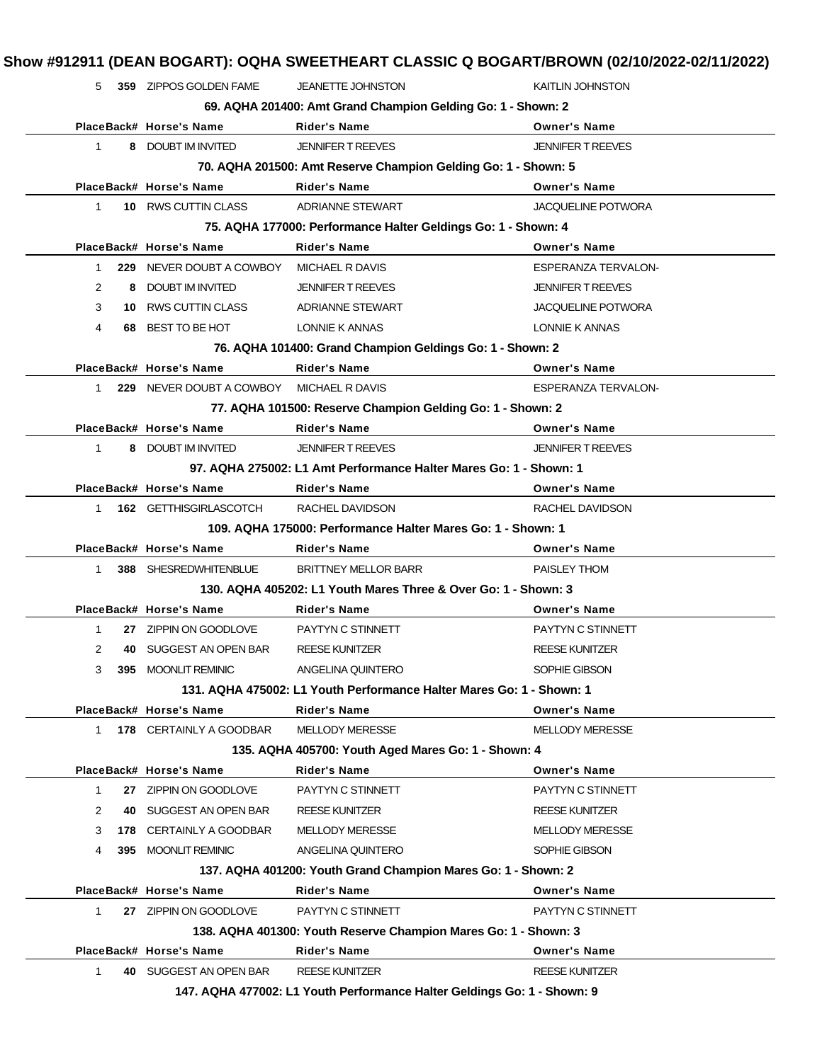|              |     | 359 ZIPPOS GOLDEN FAME   | JEANETTE JOHNSTON                                                                      | <b>KAITLIN JOHNSTON</b>                         |
|--------------|-----|--------------------------|----------------------------------------------------------------------------------------|-------------------------------------------------|
|              |     |                          | 69. AQHA 201400: Amt Grand Champion Gelding Go: 1 - Shown: 2                           |                                                 |
|              |     | PlaceBack# Horse's Name  | <b>Rider's Name</b>                                                                    | <b>Owner's Name</b>                             |
| 1            |     | 8 DOUBT IM INVITED       | <b>JENNIFER T REEVES</b>                                                               | <b>JENNIFER T REEVES</b>                        |
|              |     |                          | 70. AQHA 201500: Amt Reserve Champion Gelding Go: 1 - Shown: 5                         |                                                 |
|              |     | PlaceBack# Horse's Name  | <b>Rider's Name</b>                                                                    | <b>Owner's Name</b>                             |
| $\mathbf{1}$ |     | 10 RWS CUTTIN CLASS      | <b>ADRIANNE STEWART</b>                                                                | <b>JACQUELINE POTWORA</b>                       |
|              |     |                          | 75. AQHA 177000: Performance Halter Geldings Go: 1 - Shown: 4                          |                                                 |
|              |     | PlaceBack# Horse's Name  | <b>Rider's Name</b>                                                                    | <b>Owner's Name</b>                             |
| $\mathbf{1}$ |     | 229 NEVER DOUBT A COWBOY | MICHAEL R DAVIS                                                                        | <b>ESPERANZA TERVALON-</b>                      |
| 2            | 8   | <b>DOUBT IM INVITED</b>  | <b>JENNIFER T REEVES</b>                                                               | <b>JENNIFER T REEVES</b>                        |
| 3            |     | 10 RWS CUTTIN CLASS      | <b>ADRIANNE STEWART</b>                                                                | <b>JACQUELINE POTWORA</b>                       |
| 4            | 68  | BEST TO BE HOT           | LONNIE K ANNAS                                                                         | LONNIE K ANNAS                                  |
|              |     |                          | 76. AQHA 101400: Grand Champion Geldings Go: 1 - Shown: 2                              |                                                 |
|              |     | PlaceBack# Horse's Name  | <b>Rider's Name</b>                                                                    | <b>Owner's Name</b>                             |
| 1            |     | 229 NEVER DOUBT A COWBOY | MICHAEL R DAVIS                                                                        | ESPERANZA TERVALON-                             |
|              |     |                          | 77. AQHA 101500: Reserve Champion Gelding Go: 1 - Shown: 2                             |                                                 |
|              |     | PlaceBack# Horse's Name  | <b>Rider's Name</b>                                                                    | <b>Owner's Name</b>                             |
| $\mathbf{1}$ |     | 8 DOUBT IM INVITED       | <b>JENNIFER T REEVES</b>                                                               | <b>JENNIFER T REEVES</b>                        |
|              |     |                          | 97. AQHA 275002: L1 Amt Performance Halter Mares Go: 1 - Shown: 1                      |                                                 |
|              |     | PlaceBack# Horse's Name  | <b>Rider's Name</b>                                                                    | <b>Owner's Name</b>                             |
| 1            |     | 162 GETTHISGIRLASCOTCH   | RACHEL DAVIDSON                                                                        | RACHEL DAVIDSON                                 |
|              |     |                          | 109. AQHA 175000: Performance Halter Mares Go: 1 - Shown: 1                            |                                                 |
|              |     | PlaceBack# Horse's Name  | <b>Rider's Name</b>                                                                    | <b>Owner's Name</b>                             |
|              |     | 388 SHESREDWHITENBLUE    | <b>BRITTNEY MELLOR BARR</b>                                                            | PAISLEY THOM                                    |
| 1            |     |                          |                                                                                        |                                                 |
|              |     |                          | 130. AQHA 405202: L1 Youth Mares Three & Over Go: 1 - Shown: 3                         |                                                 |
|              |     | PlaceBack# Horse's Name  | Rider's Name                                                                           | <b>Owner's Name</b>                             |
| 1            |     | 27 ZIPPIN ON GOODLOVE    | PAYTYN C STINNETT                                                                      | PAYTYN C STINNETT                               |
| 2            | 40  | SUGGEST AN OPEN BAR      | <b>REESE KUNITZER</b>                                                                  | <b>REESE KUNITZER</b>                           |
| 3            | 395 | <b>MOONLIT REMINIC</b>   | ANGELINA QUINTERO                                                                      | SOPHIE GIBSON                                   |
|              |     |                          | 131, AQHA 475002: L1 Youth Performance Halter Mares Go: 1 - Shown: 1                   |                                                 |
|              |     | PlaceBack# Horse's Name  | <b>Rider's Name</b>                                                                    | <b>Owner's Name</b>                             |
| $\mathbf{1}$ |     | 178 CERTAINLY A GOODBAR  | <b>MELLODY MERESSE</b>                                                                 | <b>MELLODY MERESSE</b>                          |
|              |     |                          |                                                                                        |                                                 |
|              |     | PlaceBack# Horse's Name  | 135. AQHA 405700: Youth Aged Mares Go: 1 - Shown: 4<br><b>Rider's Name</b>             | <b>Owner's Name</b>                             |
| $\mathbf{1}$ |     | 27 ZIPPIN ON GOODLOVE    | PAYTYN C STINNETT                                                                      | PAYTYN C STINNETT                               |
| 2            | 40  | SUGGEST AN OPEN BAR      |                                                                                        |                                                 |
| 3            |     | 178 CERTAINLY A GOODBAR  | <b>REESE KUNITZER</b><br><b>MELLODY MERESSE</b>                                        | <b>REESE KUNITZER</b><br><b>MELLODY MERESSE</b> |
| 4            |     | 395 MOONLIT REMINIC      | ANGELINA QUINTERO                                                                      | SOPHIE GIBSON                                   |
|              |     |                          |                                                                                        |                                                 |
|              |     |                          | 137. AQHA 401200: Youth Grand Champion Mares Go: 1 - Shown: 2                          |                                                 |
|              |     | PlaceBack# Horse's Name  | <b>Rider's Name</b>                                                                    | <b>Owner's Name</b>                             |
| 1            |     | 27 ZIPPIN ON GOODLOVE    | PAYTYN C STINNETT                                                                      | PAYTYN C STINNETT                               |
|              |     | PlaceBack# Horse's Name  | 138. AQHA 401300: Youth Reserve Champion Mares Go: 1 - Shown: 3<br><b>Rider's Name</b> | <b>Owner's Name</b>                             |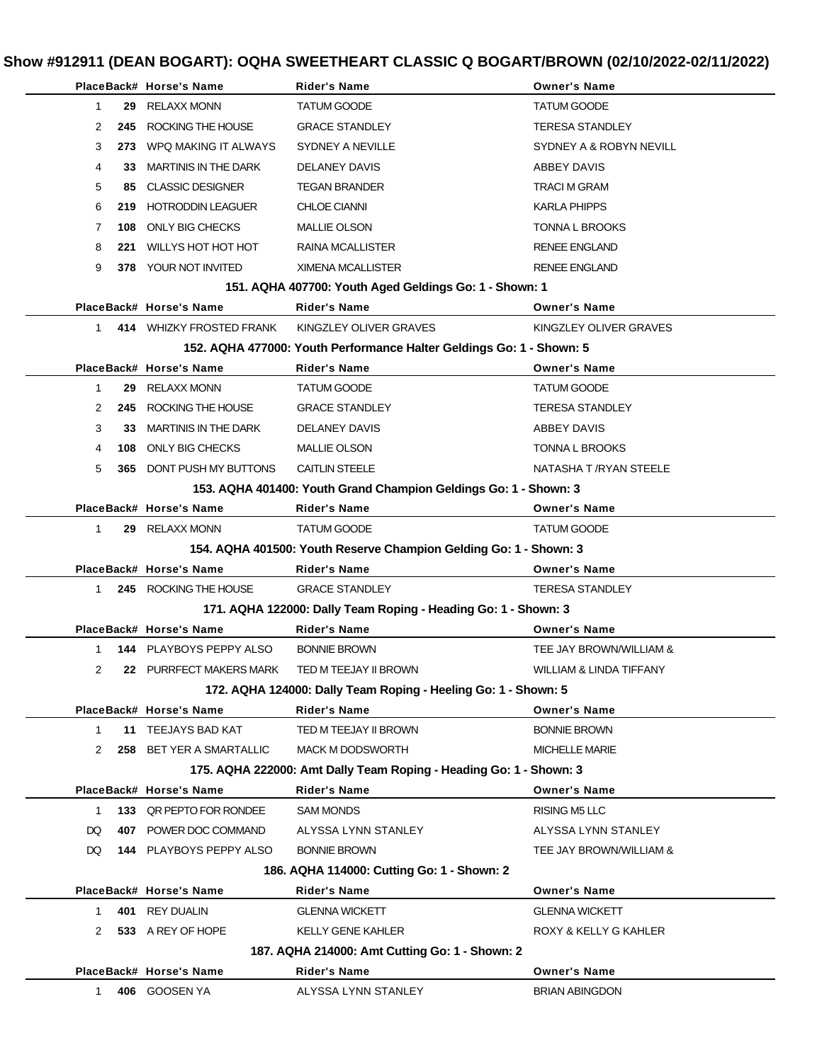|              | PlaceBack# Horse's Name         | <b>Rider's Name</b>                                                  | <b>Owner's Name</b>     |
|--------------|---------------------------------|----------------------------------------------------------------------|-------------------------|
| 1            | 29 RELAXX MONN                  | <b>TATUM GOODE</b>                                                   | <b>TATUM GOODE</b>      |
| 2<br>245     | ROCKING THE HOUSE               | <b>GRACE STANDLEY</b>                                                | <b>TERESA STANDLEY</b>  |
| 3            | 273 WPQ MAKING IT ALWAYS        | SYDNEY A NEVILLE                                                     | SYDNEY A & ROBYN NEVILL |
| 4<br>33.     | MARTINIS IN THE DARK            | DELANEY DAVIS                                                        | ABBEY DAVIS             |
| 5<br>85      | CLASSIC DESIGNER                | <b>TEGAN BRANDER</b>                                                 | <b>TRACI M GRAM</b>     |
| 6            | 219 HOTRODDIN LEAGUER           | <b>CHLOE CIANNI</b>                                                  | <b>KARLA PHIPPS</b>     |
| 7<br>108     | ONLY BIG CHECKS                 | <b>MALLIE OLSON</b>                                                  | TONNA L BROOKS          |
| 8<br>221     | <b>WILLYS HOT HOT HOT</b>       | <b>RAINA MCALLISTER</b>                                              | <b>RENEE ENGLAND</b>    |
| 9            | 378 YOUR NOT INVITED            | <b>XIMENA MCALLISTER</b>                                             | <b>RENEE ENGLAND</b>    |
|              |                                 | 151. AQHA 407700: Youth Aged Geldings Go: 1 - Shown: 1               |                         |
|              | PlaceBack# Horse's Name         | <b>Rider's Name</b>                                                  | <b>Owner's Name</b>     |
| 1.           | 414 WHIZKY FROSTED FRANK        | KINGZLEY OLIVER GRAVES                                               | KINGZLEY OLIVER GRAVES  |
|              |                                 | 152. AQHA 477000: Youth Performance Halter Geldings Go: 1 - Shown: 5 |                         |
|              | PlaceBack# Horse's Name         | <b>Rider's Name</b>                                                  | <b>Owner's Name</b>     |
| 1            | 29 RELAXX MONN                  | <b>TATUM GOODE</b>                                                   | <b>TATUM GOODE</b>      |
| 2            | 245 ROCKING THE HOUSE           | <b>GRACE STANDLEY</b>                                                | <b>TERESA STANDLEY</b>  |
| 3<br>33.     | <b>MARTINIS IN THE DARK</b>     | DELANEY DAVIS                                                        | ABBEY DAVIS             |
| 4            | 108 ONLY BIG CHECKS             | <b>MALLIE OLSON</b>                                                  | TONNA L BROOKS          |
| 5            | <b>365 DONT PUSH MY BUTTONS</b> | <b>CAITLIN STEELE</b>                                                | NATASHA T / RYAN STEELE |
|              |                                 | 153. AQHA 401400: Youth Grand Champion Geldings Go: 1 - Shown: 3     |                         |
|              | PlaceBack# Horse's Name         | <b>Rider's Name</b>                                                  | <b>Owner's Name</b>     |
| $\mathbf{1}$ | 29 RELAXX MONN                  | <b>TATUM GOODE</b>                                                   | <b>TATUM GOODE</b>      |
|              |                                 | 154. AQHA 401500: Youth Reserve Champion Gelding Go: 1 - Shown: 3    |                         |
|              | PlaceBack# Horse's Name         | <b>Rider's Name</b>                                                  | <b>Owner's Name</b>     |
| 1            | 245 ROCKING THE HOUSE           | <b>GRACE STANDLEY</b>                                                | <b>TERESA STANDLEY</b>  |
|              |                                 | 171. AQHA 122000: Dally Team Roping - Heading Go: 1 - Shown: 3       |                         |
|              | PlaceBack# Horse's Name         | <b>Rider's Name</b>                                                  | <b>Owner's Name</b>     |
| 1            | 144 PLAYBOYS PEPPY ALSO         | <b>BONNIE BROWN</b>                                                  | TEE JAY BROWN/WILLIAM & |
| 2            |                                 |                                                                      |                         |
|              | 22 PURRFECT MAKERS MARK         | TED M TEEJAY II BROWN                                                | WILLIAM & LINDA TIFFANY |
|              |                                 | 172. AQHA 124000: Dally Team Roping - Heeling Go: 1 - Shown: 5       |                         |
|              | PlaceBack# Horse's Name         | <b>Rider's Name</b>                                                  | <b>Owner's Name</b>     |
| $\mathbf{1}$ | 11 TEEJAYS BAD KAT              | TED M TEEJAY II BROWN                                                | <b>BONNIE BROWN</b>     |
| 2            | 258 BET YER A SMARTALLIC        | <b>MACK M DODSWORTH</b>                                              | <b>MICHELLE MARIE</b>   |
|              |                                 | 175. AQHA 222000: Amt Dally Team Roping - Heading Go: 1 - Shown: 3   |                         |
|              | PlaceBack# Horse's Name         | <b>Rider's Name</b>                                                  | <b>Owner's Name</b>     |
| 1            | 133 QR PEPTO FOR RONDEE         | <b>SAM MONDS</b>                                                     | RISING M5 LLC           |
| DQ           | 407 POWER DOC COMMAND           | ALYSSA LYNN STANLEY                                                  | ALYSSA LYNN STANLEY     |
| DQ.          | <b>144 PLAYBOYS PEPPY ALSO</b>  | <b>BONNIE BROWN</b>                                                  | TEE JAY BROWN/WILLIAM & |
|              |                                 | 186. AQHA 114000: Cutting Go: 1 - Shown: 2                           |                         |
|              | PlaceBack# Horse's Name         | <b>Rider's Name</b>                                                  | <b>Owner's Name</b>     |
| 401<br>1     | REY DUALIN                      | <b>GLENNA WICKETT</b>                                                | <b>GLENNA WICKETT</b>   |
| 2            | 533 A REY OF HOPE               | KELLY GENE KAHLER                                                    | ROXY & KELLY G KAHLER   |
|              |                                 | 187. AQHA 214000: Amt Cutting Go: 1 - Shown: 2                       |                         |
|              | PlaceBack# Horse's Name         | Rider's Name                                                         | <b>Owner's Name</b>     |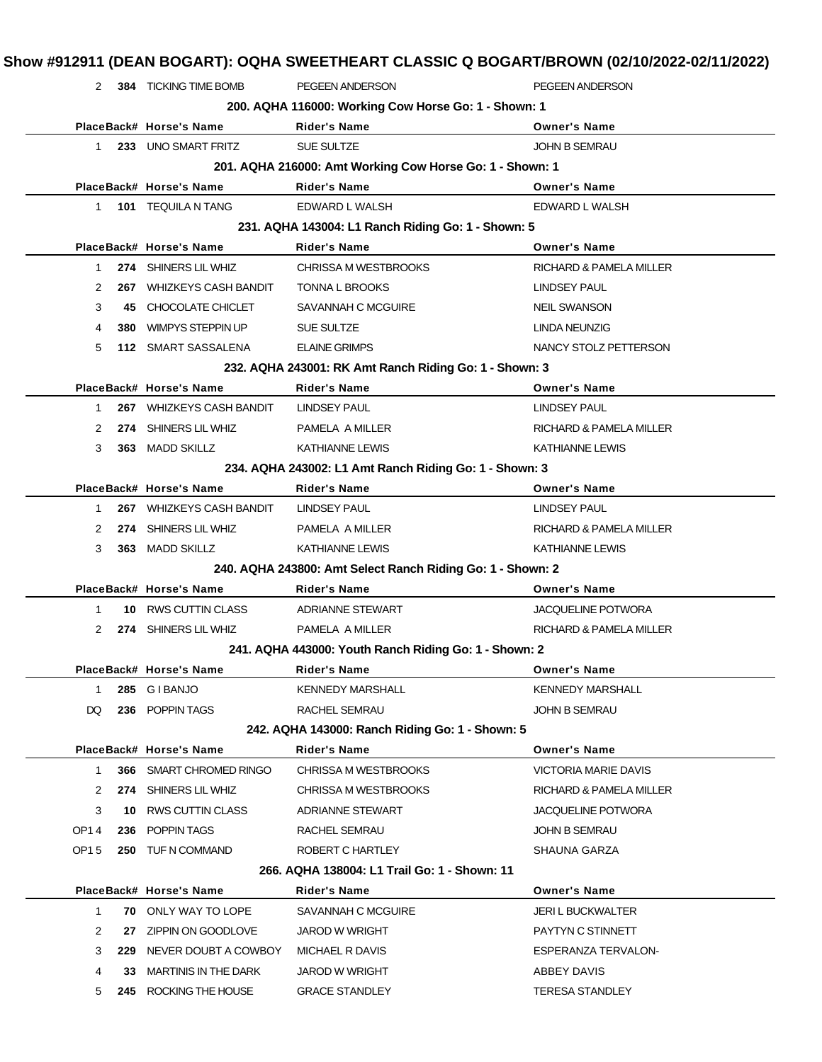|              |     | 2 384 TICKING TIME BOMB     | PEGEEN ANDERSON                                            | PEGEEN ANDERSON             |
|--------------|-----|-----------------------------|------------------------------------------------------------|-----------------------------|
|              |     |                             | 200. AQHA 116000: Working Cow Horse Go: 1 - Shown: 1       |                             |
|              |     | PlaceBack# Horse's Name     | <b>Rider's Name</b>                                        | <b>Owner's Name</b>         |
| 1.           |     | 233 UNO SMART FRITZ         | <b>SUE SULTZE</b>                                          | <b>JOHN B SEMRAU</b>        |
|              |     |                             | 201. AQHA 216000: Amt Working Cow Horse Go: 1 - Shown: 1   |                             |
|              |     | PlaceBack# Horse's Name     | <b>Rider's Name</b>                                        | <b>Owner's Name</b>         |
| $\mathbf{1}$ |     | 101 TEQUILA N TANG          | EDWARD L WALSH                                             | EDWARD L WALSH              |
|              |     |                             | 231. AQHA 143004: L1 Ranch Riding Go: 1 - Shown: 5         |                             |
|              |     | PlaceBack# Horse's Name     | <b>Rider's Name</b>                                        | <b>Owner's Name</b>         |
| $\mathbf{1}$ |     | 274 SHINERS LIL WHIZ        | <b>CHRISSA M WESTBROOKS</b>                                | RICHARD & PAMELA MILLER     |
| 2            | 267 | <b>WHIZKEYS CASH BANDIT</b> | TONNA L BROOKS                                             | LINDSEY PAUL                |
| 3            | 45. | CHOCOLATE CHICLET           | SAVANNAH C MCGUIRE                                         | <b>NEIL SWANSON</b>         |
| 4            | 380 | <b>WIMPYS STEPPIN UP</b>    | SUE SULTZE                                                 | LINDA NEUNZIG               |
| 5            |     | 112 SMART SASSALENA         | <b>ELAINE GRIMPS</b>                                       | NANCY STOLZ PETTERSON       |
|              |     |                             | 232. AQHA 243001: RK Amt Ranch Riding Go: 1 - Shown: 3     |                             |
|              |     | PlaceBack# Horse's Name     | <b>Rider's Name</b>                                        | <b>Owner's Name</b>         |
| $\mathbf 1$  |     | 267 WHIZKEYS CASH BANDIT    | <b>LINDSEY PAUL</b>                                        | <b>LINDSEY PAUL</b>         |
| 2            | 274 | SHINERS LIL WHIZ            | PAMELA A MILLER                                            | RICHARD & PAMELA MILLER     |
| 3            |     | 363 MADD SKILLZ             | <b>KATHIANNE LEWIS</b>                                     | <b>KATHIANNE LEWIS</b>      |
|              |     |                             | 234. AQHA 243002: L1 Amt Ranch Riding Go: 1 - Shown: 3     |                             |
|              |     | PlaceBack# Horse's Name     | Rider's Name                                               | <b>Owner's Name</b>         |
| 1            |     | 267 WHIZKEYS CASH BANDIT    | LINDSEY PAUL                                               | <b>LINDSEY PAUL</b>         |
| 2            | 274 | SHINERS LIL WHIZ            | PAMELA A MILLER                                            | RICHARD & PAMELA MILLER     |
| 3            |     | 363 MADD SKILLZ             | <b>KATHIANNE LEWIS</b>                                     | <b>KATHIANNE LEWIS</b>      |
|              |     |                             | 240. AQHA 243800: Amt Select Ranch Riding Go: 1 - Shown: 2 |                             |
|              |     | PlaceBack# Horse's Name     | <b>Rider's Name</b>                                        | <b>Owner's Name</b>         |
| 1            |     | 10 RWS CUTTIN CLASS         | <b>ADRIANNE STEWART</b>                                    | <b>JACQUELINE POTWORA</b>   |
| 2            |     | 274 SHINERS LIL WHIZ        | PAMELA A MILLER                                            | RICHARD & PAMELA MILLER     |
|              |     |                             | 241. AQHA 443000: Youth Ranch Riding Go: 1 - Shown: 2      |                             |
|              |     | PlaceBack# Horse's Name     | <b>Rider's Name</b>                                        | <b>Owner's Name</b>         |
| $\mathbf{1}$ |     | 285 GIBANJO                 | <b>KENNEDY MARSHALL</b>                                    | <b>KENNEDY MARSHALL</b>     |
| DQ           |     | 236 POPPIN TAGS             | RACHEL SEMRAU                                              | JOHN B SEMRAU               |
|              |     |                             | 242. AQHA 143000: Ranch Riding Go: 1 - Shown: 5            |                             |
|              |     | PlaceBack# Horse's Name     | <b>Rider's Name</b>                                        | <b>Owner's Name</b>         |
| 1            |     | 366 SMART CHROMED RINGO     | <b>CHRISSA M WESTBROOKS</b>                                | <b>VICTORIA MARIE DAVIS</b> |
| 2            |     | 274 SHINERS LIL WHIZ        | <b>CHRISSA M WESTBROOKS</b>                                | RICHARD & PAMELA MILLER     |
| 3            | 10  | <b>RWS CUTTIN CLASS</b>     | ADRIANNE STEWART                                           | <b>JACQUELINE POTWORA</b>   |
| OP14         |     | 236 POPPIN TAGS             | RACHEL SEMRAU                                              | JOHN B SEMRAU               |
| OP15         |     | 250 TUF N COMMAND           | ROBERT C HARTLEY                                           | SHAUNA GARZA                |
|              |     |                             | 266. AQHA 138004: L1 Trail Go: 1 - Shown: 11               |                             |
|              |     | PlaceBack# Horse's Name     | Rider's Name                                               | <b>Owner's Name</b>         |
| 1            |     | <b>70 ONLY WAY TO LOPE</b>  | SAVANNAH C MCGUIRE                                         | <b>JERI L BUCKWALTER</b>    |
| 2            | 27  | ZIPPIN ON GOODLOVE          | <b>JAROD W WRIGHT</b>                                      | PAYTYN C STINNETT           |
| 3            | 229 | NEVER DOUBT A COWBOY        | MICHAEL R DAVIS                                            | ESPERANZA TERVALON-         |
| 4            | 33  | <b>MARTINIS IN THE DARK</b> | <b>JAROD W WRIGHT</b>                                      | ABBEY DAVIS                 |
| 5            |     | 245 ROCKING THE HOUSE       | <b>GRACE STANDLEY</b>                                      | <b>TERESA STANDLEY</b>      |
|              |     |                             |                                                            |                             |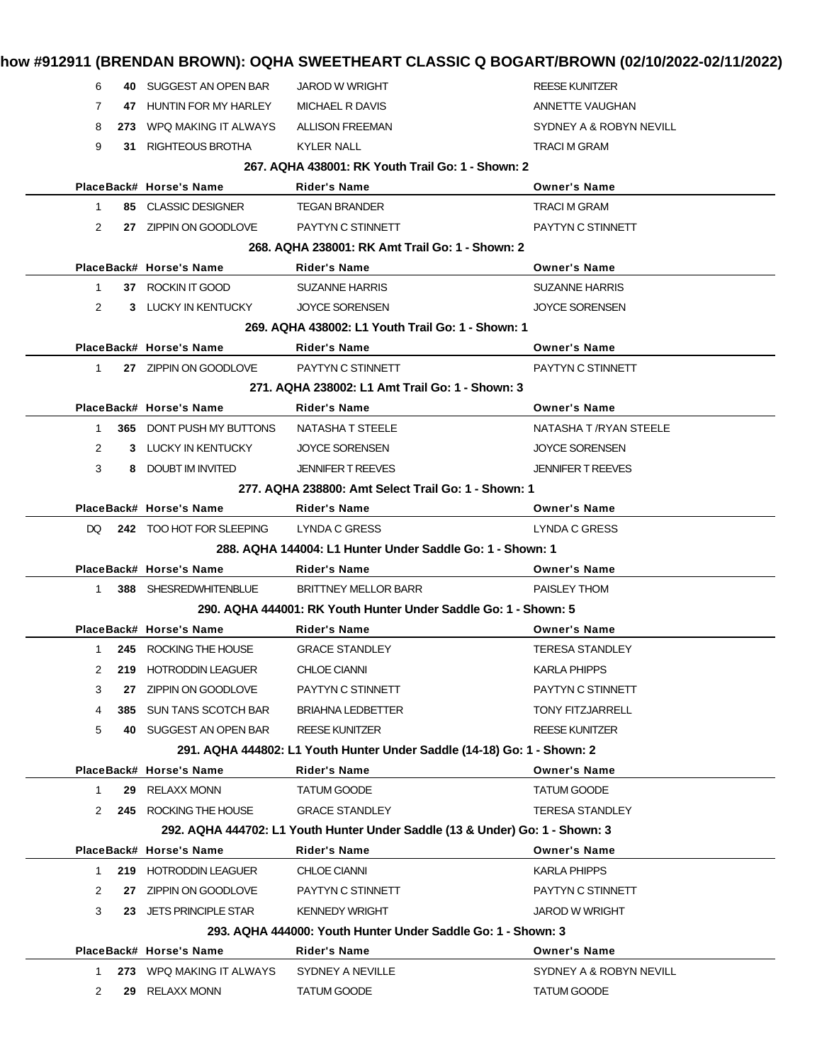|              |           |                                |                                                                              | how #912911 (BRENDAN BROWN): OQHA SWEETHEART CLASSIC Q BOGART/BROWN (02/10/2022-02/11/2022) |
|--------------|-----------|--------------------------------|------------------------------------------------------------------------------|---------------------------------------------------------------------------------------------|
| 6            |           | 40 SUGGEST AN OPEN BAR         | <b>JAROD W WRIGHT</b>                                                        | <b>REESE KUNITZER</b>                                                                       |
| 7            |           | 47 HUNTIN FOR MY HARLEY        | MICHAEL R DAVIS                                                              | ANNETTE VAUGHAN                                                                             |
| 8            |           | 273 WPQ MAKING IT ALWAYS       | <b>ALLISON FREEMAN</b>                                                       | SYDNEY A & ROBYN NEVILL                                                                     |
| 9            |           | <b>31 RIGHTEOUS BROTHA</b>     | KYLER NALL                                                                   | <b>TRACI M GRAM</b>                                                                         |
|              |           |                                | 267, AQHA 438001: RK Youth Trail Go: 1 - Shown: 2                            |                                                                                             |
|              |           | PlaceBack# Horse's Name        | <b>Rider's Name</b>                                                          | <b>Owner's Name</b>                                                                         |
| $\mathbf{1}$ |           | 85 CLASSIC DESIGNER            | <b>TEGAN BRANDER</b>                                                         | <b>TRACI M GRAM</b>                                                                         |
| 2            |           | 27 ZIPPIN ON GOODLOVE          | PAYTYN C STINNETT                                                            | PAYTYN C STINNETT                                                                           |
|              |           |                                | 268. AQHA 238001: RK Amt Trail Go: 1 - Shown: 2                              |                                                                                             |
|              |           | PlaceBack# Horse's Name        | <b>Rider's Name</b>                                                          | <b>Owner's Name</b>                                                                         |
| $\mathbf{1}$ |           | 37 ROCKIN IT GOOD              | <b>SUZANNE HARRIS</b>                                                        | <b>SUZANNE HARRIS</b>                                                                       |
| 2            |           | 3 LUCKY IN KENTUCKY            | <b>JOYCE SORENSEN</b>                                                        | <b>JOYCE SORENSEN</b>                                                                       |
|              |           |                                | 269. AQHA 438002: L1 Youth Trail Go: 1 - Shown: 1                            |                                                                                             |
|              |           | PlaceBack# Horse's Name        | <b>Rider's Name</b>                                                          | <b>Owner's Name</b>                                                                         |
| $\mathbf{1}$ |           | 27 ZIPPIN ON GOODLOVE          | PAYTYN C STINNETT                                                            | PAYTYN C STINNETT                                                                           |
|              |           |                                | 271, AQHA 238002: L1 Amt Trail Go: 1 - Shown: 3                              |                                                                                             |
|              |           | PlaceBack# Horse's Name        | <b>Rider's Name</b>                                                          | <b>Owner's Name</b>                                                                         |
|              | $1 \quad$ | 365 DONT PUSH MY BUTTONS       | NATASHA T STEELE                                                             | NATASHA T /RYAN STEELE                                                                      |
| 2            |           | 3 LUCKY IN KENTUCKY            | <b>JOYCE SORENSEN</b>                                                        | <b>JOYCE SORENSEN</b>                                                                       |
| 3            |           | 8 DOUBT IM INVITED             | <b>JENNIFER T REEVES</b>                                                     | <b>JENNIFER T REEVES</b>                                                                    |
|              |           |                                | 277, AQHA 238800: Amt Select Trail Go: 1 - Shown: 1                          |                                                                                             |
|              |           | PlaceBack# Horse's Name        | <b>Rider's Name</b>                                                          | <b>Owner's Name</b>                                                                         |
|              |           | DQ 242 TOO HOT FOR SLEEPING    | LYNDA C GRESS                                                                | <b>LYNDA C GRESS</b>                                                                        |
|              |           |                                | 288. AQHA 144004: L1 Hunter Under Saddle Go: 1 - Shown: 1                    |                                                                                             |
|              |           | PlaceBack# Horse's Name        | <b>Rider's Name</b>                                                          | <b>Owner's Name</b>                                                                         |
|              |           | 1 388 SHESREDWHITENBLUE        | <b>BRITTNEY MELLOR BARR</b>                                                  | <b>PAISLEY THOM</b>                                                                         |
|              |           |                                | 290, AQHA 444001: RK Youth Hunter Under Saddle Go: 1 - Shown: 5              |                                                                                             |
|              |           | PlaceBack# Horse's Name        | <b>Rider's Name</b>                                                          | <b>Owner's Name</b>                                                                         |
|              |           | 1 245 ROCKING THE HOUSE        | <b>GRACE STANDLEY</b>                                                        | <b>TERESA STANDLEY</b>                                                                      |
| 2            |           | 219 HOTRODDIN LEAGUER          | <b>CHLOE CIANNI</b>                                                          | <b>KARLA PHIPPS</b>                                                                         |
| 3            | 27        | ZIPPIN ON GOODLOVE             | PAYTYN C STINNETT                                                            | PAYTYN C STINNETT                                                                           |
| 4            |           | <b>385 SUN TANS SCOTCH BAR</b> | <b>BRIAHNA LEDBETTER</b>                                                     | <b>TONY FITZJARRELL</b>                                                                     |
| 5            |           | 40 SUGGEST AN OPEN BAR         | <b>REESE KUNITZER</b>                                                        | <b>REESE KUNITZER</b>                                                                       |
|              |           |                                | 291. AQHA 444802: L1 Youth Hunter Under Saddle (14-18) Go: 1 - Shown: 2      |                                                                                             |
|              |           | PlaceBack# Horse's Name        | <b>Rider's Name</b>                                                          | <b>Owner's Name</b>                                                                         |
| 1            |           | 29 RELAXX MONN                 | <b>TATUM GOODE</b>                                                           | <b>TATUM GOODE</b>                                                                          |
| 2            |           | 245 ROCKING THE HOUSE          | <b>GRACE STANDLEY</b>                                                        | <b>TERESA STANDLEY</b>                                                                      |
|              |           |                                | 292. AQHA 444702: L1 Youth Hunter Under Saddle (13 & Under) Go: 1 - Shown: 3 |                                                                                             |
|              |           | PlaceBack# Horse's Name        | <b>Rider's Name</b>                                                          | <b>Owner's Name</b>                                                                         |
| 1            |           | 219 HOTRODDIN LEAGUER          | <b>CHLOE CIANNI</b>                                                          | KARLA PHIPPS                                                                                |
| 2            |           | 27 ZIPPIN ON GOODLOVE          | PAYTYN C STINNETT                                                            | PAYTYN C STINNETT                                                                           |
| 3            |           | 23 JETS PRINCIPLE STAR         | <b>KENNEDY WRIGHT</b>                                                        | <b>JAROD W WRIGHT</b>                                                                       |
|              |           |                                | 293. AQHA 444000: Youth Hunter Under Saddle Go: 1 - Shown: 3                 |                                                                                             |
|              |           | PlaceBack# Horse's Name        | Rider's Name                                                                 | <b>Owner's Name</b>                                                                         |
| 1            |           | 273 WPQ MAKING IT ALWAYS       | SYDNEY A NEVILLE                                                             | SYDNEY A & ROBYN NEVILL                                                                     |
| 2            | 29        | RELAXX MONN                    | TATUM GOODE                                                                  | <b>TATUM GOODE</b>                                                                          |
|              |           |                                |                                                                              |                                                                                             |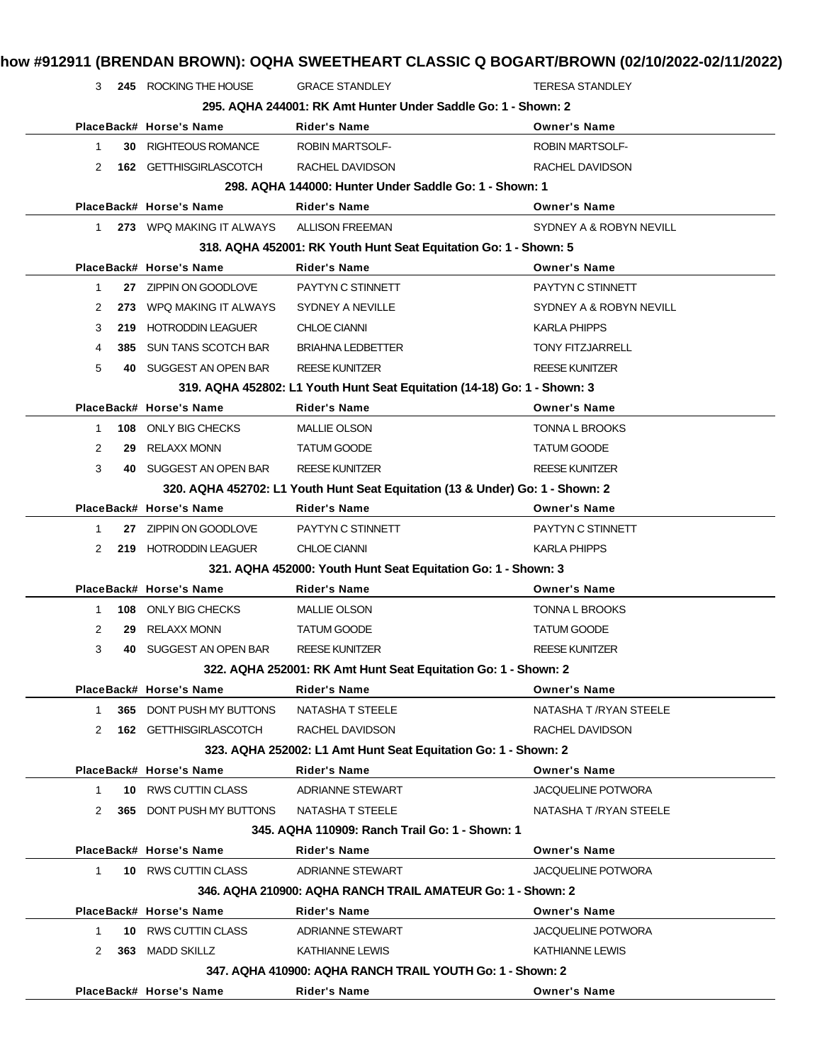|                |      | 3 245 ROCKING THE HOUSE  | <b>GRACE STANDLEY</b>                                                    | <b>TERESA STANDLEY</b>                                                        |
|----------------|------|--------------------------|--------------------------------------------------------------------------|-------------------------------------------------------------------------------|
|                |      |                          | 295. AQHA 244001: RK Amt Hunter Under Saddle Go: 1 - Shown: 2            |                                                                               |
|                |      | PlaceBack# Horse's Name  | <b>Rider's Name</b>                                                      | <b>Owner's Name</b>                                                           |
| 1              | 30 - | <b>RIGHTEOUS ROMANCE</b> | <b>ROBIN MARTSOLF-</b>                                                   | <b>ROBIN MARTSOLF-</b>                                                        |
| 2              |      | 162 GETTHISGIRLASCOTCH   | RACHEL DAVIDSON                                                          | RACHEL DAVIDSON                                                               |
|                |      |                          | 298. AQHA 144000: Hunter Under Saddle Go: 1 - Shown: 1                   |                                                                               |
|                |      | PlaceBack# Horse's Name  | <b>Rider's Name</b>                                                      | <b>Owner's Name</b>                                                           |
| $1 \quad$      |      | 273 WPQ MAKING IT ALWAYS | <b>ALLISON FREEMAN</b>                                                   | SYDNEY A & ROBYN NEVILL                                                       |
|                |      |                          | 318. AQHA 452001: RK Youth Hunt Seat Equitation Go: 1 - Shown: 5         |                                                                               |
|                |      | PlaceBack# Horse's Name  | <b>Rider's Name</b>                                                      | <b>Owner's Name</b>                                                           |
| $\mathbf{1}$   |      | 27 ZIPPIN ON GOODLOVE    | PAYTYN C STINNETT                                                        | PAYTYN C STINNETT                                                             |
| 2              |      | 273 WPQ MAKING IT ALWAYS | SYDNEY A NEVILLE                                                         | SYDNEY A & ROBYN NEVILL                                                       |
| 3              | 219  | <b>HOTRODDIN LEAGUER</b> | <b>CHLOE CIANNI</b>                                                      | <b>KARLA PHIPPS</b>                                                           |
| 4              | 385  | SUN TANS SCOTCH BAR      | <b>BRIAHNA LEDBETTER</b>                                                 | <b>TONY FITZJARRELL</b>                                                       |
| 5              | 40   | SUGGEST AN OPEN BAR      | <b>REESE KUNITZER</b>                                                    | <b>REESE KUNITZER</b>                                                         |
|                |      |                          | 319. AQHA 452802: L1 Youth Hunt Seat Equitation (14-18) Go: 1 - Shown: 3 |                                                                               |
|                |      | PlaceBack# Horse's Name  | <b>Rider's Name</b>                                                      | <b>Owner's Name</b>                                                           |
| $\mathbf{1}$   | 108  | <b>ONLY BIG CHECKS</b>   | <b>MALLIE OLSON</b>                                                      | <b>TONNA L BROOKS</b>                                                         |
| $\overline{2}$ | 29   | <b>RELAXX MONN</b>       | <b>TATUM GOODE</b>                                                       | <b>TATUM GOODE</b>                                                            |
| 3              |      | 40 SUGGEST AN OPEN BAR   | <b>REESE KUNITZER</b>                                                    | <b>REESE KUNITZER</b>                                                         |
|                |      |                          |                                                                          | 320. AQHA 452702: L1 Youth Hunt Seat Equitation (13 & Under) Go: 1 - Shown: 2 |
|                |      | PlaceBack# Horse's Name  | <b>Rider's Name</b>                                                      | <b>Owner's Name</b>                                                           |
| 1.             |      | 27 ZIPPIN ON GOODLOVE    | PAYTYN C STINNETT                                                        | PAYTYN C STINNETT                                                             |
| 2              |      | 219 HOTRODDIN LEAGUER    | <b>CHLOE CIANNI</b>                                                      | <b>KARLA PHIPPS</b>                                                           |
|                |      |                          | 321. AQHA 452000: Youth Hunt Seat Equitation Go: 1 - Shown: 3            |                                                                               |
|                |      | PlaceBack# Horse's Name  | <b>Rider's Name</b>                                                      | <b>Owner's Name</b>                                                           |
| 1.             |      | 108 ONLY BIG CHECKS      | <b>MALLIE OLSON</b>                                                      | <b>TONNA L BROOKS</b>                                                         |
| 2              | 29   | <b>RELAXX MONN</b>       | <b>TATUM GOODE</b>                                                       | TATUM GOODE                                                                   |
| 3              | 40   | SUGGEST AN OPEN BAR      | <b>REESE KUNITZER</b>                                                    | <b>REESE KUNITZER</b>                                                         |
|                |      |                          | 322. AQHA 252001: RK Amt Hunt Seat Equitation Go: 1 - Shown: 2           |                                                                               |
|                |      | PlaceBack# Horse's Name  | <b>Rider's Name</b>                                                      | <b>Owner's Name</b>                                                           |
| 1.             | 365  | DONT PUSH MY BUTTONS     | <b>NATASHA T STEELE</b>                                                  | NATASHA T /RYAN STEELE                                                        |
| 2              |      | 162 GETTHISGIRLASCOTCH   | RACHEL DAVIDSON                                                          | RACHEL DAVIDSON                                                               |
|                |      |                          | 323. AQHA 252002: L1 Amt Hunt Seat Equitation Go: 1 - Shown: 2           |                                                                               |
|                |      | PlaceBack# Horse's Name  | <b>Rider's Name</b>                                                      | <b>Owner's Name</b>                                                           |
| 1.             |      | 10 RWS CUTTIN CLASS      | <b>ADRIANNE STEWART</b>                                                  | <b>JACQUELINE POTWORA</b>                                                     |
| 2              |      | 365 DONT PUSH MY BUTTONS | NATASHA T STEELE                                                         | NATASHA T /RYAN STEELE                                                        |
|                |      |                          | 345, AQHA 110909: Ranch Trail Go: 1 - Shown: 1                           |                                                                               |
|                |      | PlaceBack# Horse's Name  | Rider's Name                                                             | <b>Owner's Name</b>                                                           |
| $\mathbf{1}$   |      | 10 RWS CUTTIN CLASS      | <b>ADRIANNE STEWART</b>                                                  | <b>JACQUELINE POTWORA</b>                                                     |
|                |      |                          | 346. AQHA 210900: AQHA RANCH TRAIL AMATEUR Go: 1 - Shown: 2              |                                                                               |
|                |      | PlaceBack# Horse's Name  | Rider's Name                                                             | <b>Owner's Name</b>                                                           |
| $\mathbf{1}$   |      | 10 RWS CUTTIN CLASS      | ADRIANNE STEWART                                                         | <b>JACQUELINE POTWORA</b>                                                     |
| 2              | 363  | <b>MADD SKILLZ</b>       | <b>KATHIANNE LEWIS</b>                                                   | KATHIANNE LEWIS                                                               |
|                |      |                          | 347. AQHA 410900: AQHA RANCH TRAIL YOUTH Go: 1 - Shown: 2                |                                                                               |
|                |      | PlaceBack# Horse's Name  | <b>Rider's Name</b>                                                      | <b>Owner's Name</b>                                                           |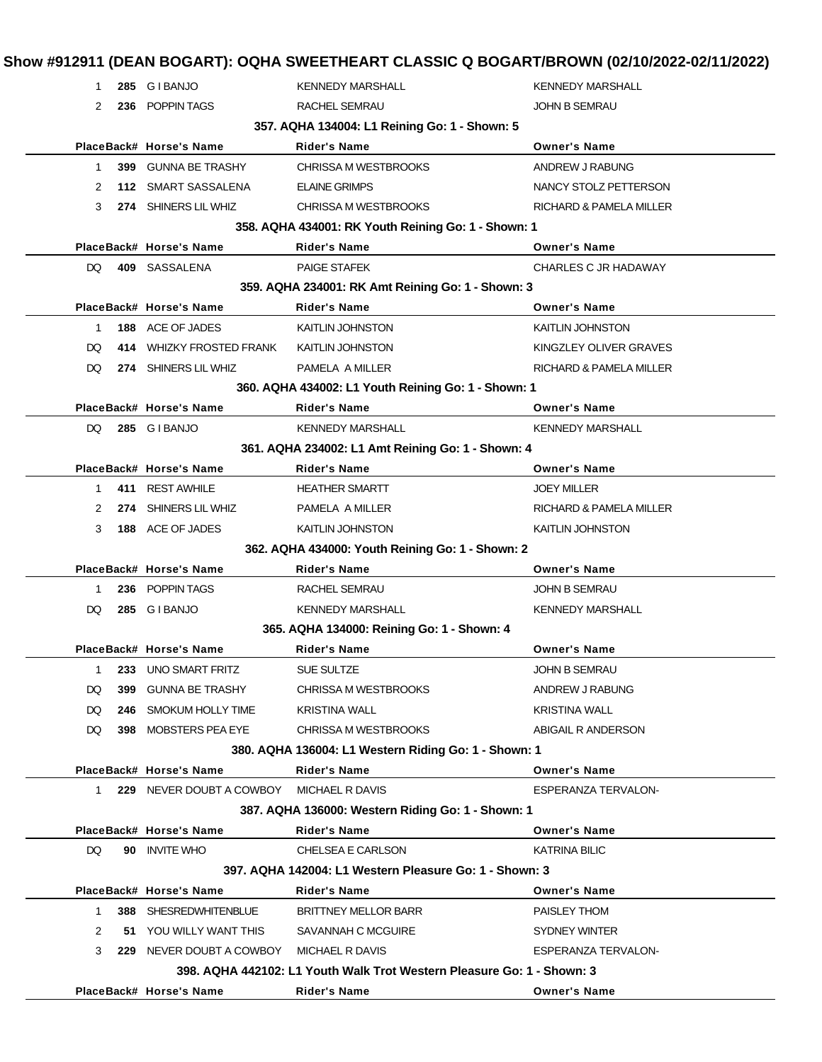| Show #912911 (DEAN BOGART): OQHA SWEETHEART CLASSIC Q BOGART/BROWN (02/10/2022-02/11/2022) |  |  |
|--------------------------------------------------------------------------------------------|--|--|
|--------------------------------------------------------------------------------------------|--|--|

| 1           |     | 285 GIBANJO                              | <b>KENNEDY MARSHALL</b>                                                | <b>KENNEDY MARSHALL</b> |
|-------------|-----|------------------------------------------|------------------------------------------------------------------------|-------------------------|
| 2           |     | 236 POPPIN TAGS                          | RACHEL SEMRAU                                                          | <b>JOHN B SEMRAU</b>    |
|             |     |                                          |                                                                        |                         |
|             |     | PlaceBack# Horse's Name                  | 357. AQHA 134004: L1 Reining Go: 1 - Shown: 5<br><b>Rider's Name</b>   | <b>Owner's Name</b>     |
| $\mathbf 1$ |     | 399 GUNNA BE TRASHY                      | <b>CHRISSA M WESTBROOKS</b>                                            | ANDREW J RABUNG         |
| 2           |     | 112 SMART SASSALENA                      | <b>ELAINE GRIMPS</b>                                                   | NANCY STOLZ PETTERSON   |
| 3           |     | 274 SHINERS LIL WHIZ                     | CHRISSA M WESTBROOKS                                                   | RICHARD & PAMELA MILLER |
|             |     |                                          | 358. AQHA 434001: RK Youth Reining Go: 1 - Shown: 1                    |                         |
|             |     | PlaceBack# Horse's Name                  | <b>Rider's Name</b>                                                    | <b>Owner's Name</b>     |
| DQ.         |     | 409 SASSALENA                            | <b>PAIGE STAFEK</b>                                                    | CHARLES C JR HADAWAY    |
|             |     |                                          | 359. AQHA 234001: RK Amt Reining Go: 1 - Shown: 3                      |                         |
|             |     | PlaceBack# Horse's Name                  | <b>Rider's Name</b>                                                    | <b>Owner's Name</b>     |
| 1.          |     | 188 ACE OF JADES                         | <b>KAITLIN JOHNSTON</b>                                                | <b>KAITLIN JOHNSTON</b> |
| DQ.         |     | 414 WHIZKY FROSTED FRANK                 | KAITLIN JOHNSTON                                                       | KINGZLEY OLIVER GRAVES  |
| DQ.         |     | 274 SHINERS LIL WHIZ                     | PAMELA A MILLER                                                        | RICHARD & PAMELA MILLER |
|             |     |                                          | 360. AQHA 434002: L1 Youth Reining Go: 1 - Shown: 1                    |                         |
|             |     | PlaceBack# Horse's Name                  | <b>Rider's Name</b>                                                    | <b>Owner's Name</b>     |
|             |     | DQ 285 GIBANJO                           | <b>KENNEDY MARSHALL</b>                                                | <b>KENNEDY MARSHALL</b> |
|             |     |                                          | 361. AQHA 234002: L1 Amt Reining Go: 1 - Shown: 4                      |                         |
|             |     | PlaceBack# Horse's Name                  | <b>Rider's Name</b>                                                    | <b>Owner's Name</b>     |
| $\mathbf 1$ |     | 411 REST AWHILE                          | <b>HEATHER SMARTT</b>                                                  | <b>JOEY MILLER</b>      |
| 2           |     | 274 SHINERS LIL WHIZ                     | PAMELA A MILLER                                                        | RICHARD & PAMELA MILLER |
| 3           |     | 188 ACE OF JADES                         | <b>KAITLIN JOHNSTON</b>                                                | KAITLIN JOHNSTON        |
|             |     |                                          | 362. AQHA 434000: Youth Reining Go: 1 - Shown: 2                       |                         |
|             |     | PlaceBack# Horse's Name                  | <b>Rider's Name</b>                                                    | <b>Owner's Name</b>     |
| 1           |     | 236 POPPIN TAGS                          | RACHEL SEMRAU                                                          | <b>JOHN B SEMRAU</b>    |
| DQ.         |     | 285 GIBANJO                              | <b>KENNEDY MARSHALL</b>                                                | <b>KENNEDY MARSHALL</b> |
|             |     |                                          | 365. AQHA 134000: Reining Go: 1 - Shown: 4                             |                         |
|             |     | PlaceBack# Horse's Name                  | <b>Rider's Name</b>                                                    | <b>Owner's Name</b>     |
|             |     | 233 UNO SMART FRITZ                      | SUE SULTZE                                                             | JOHN B SEMRAU           |
| DQ.         | 399 | <b>GUNNA BE TRASHY</b>                   | CHRISSA M WESTBROOKS                                                   | ANDREW J RABUNG         |
| DQ.         |     | 246 SMOKUM HOLLY TIME                    | <b>KRISTINA WALL</b>                                                   | <b>KRISTINA WALL</b>    |
| DQ.         |     | 398 MOBSTERS PEA EYE                     | CHRISSA M WESTBROOKS                                                   | ABIGAIL R ANDERSON      |
|             |     |                                          | 380. AQHA 136004: L1 Western Riding Go: 1 - Shown: 1                   |                         |
|             |     | PlaceBack# Horse's Name                  | <b>Rider's Name</b>                                                    | <b>Owner's Name</b>     |
| $1 \quad$   |     | 229 NEVER DOUBT A COWBOY MICHAEL R DAVIS |                                                                        | ESPERANZA TERVALON-     |
|             |     |                                          | 387. AQHA 136000: Western Riding Go: 1 - Shown: 1                      |                         |
|             |     | PlaceBack# Horse's Name                  | Rider's Name                                                           | <b>Owner's Name</b>     |
| DQ          |     | 90 INVITE WHO                            | CHELSEA E CARLSON                                                      | <b>KATRINA BILIC</b>    |
|             |     |                                          | 397. AQHA 142004: L1 Western Pleasure Go: 1 - Shown: 3                 |                         |
|             |     | PlaceBack# Horse's Name                  | Rider's Name                                                           | <b>Owner's Name</b>     |
| 1           |     | 388 SHESREDWHITENBLUE                    | <b>BRITTNEY MELLOR BARR</b>                                            | PAISLEY THOM            |
| 2           |     | 51 YOU WILLY WANT THIS                   | SAVANNAH C MCGUIRE                                                     | SYDNEY WINTER           |
| 3           |     | 229 NEVER DOUBT A COWBOY                 | MICHAEL R DAVIS                                                        | ESPERANZA TERVALON-     |
|             |     |                                          | 398. AQHA 442102: L1 Youth Walk Trot Western Pleasure Go: 1 - Shown: 3 |                         |
|             |     | PlaceBack# Horse's Name                  | Rider's Name                                                           | <b>Owner's Name</b>     |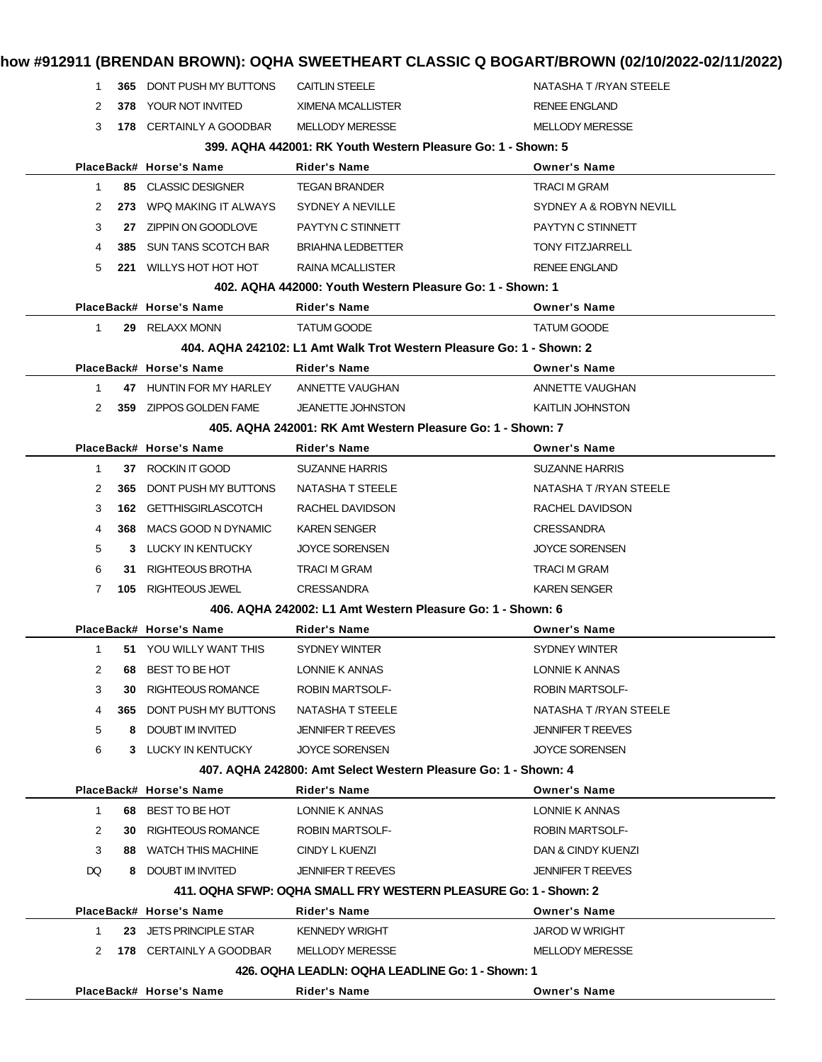|              |     | PlaceBack# Horse's Name         | Rider's Name                                                                                 | <b>Owner's Name</b>                        |
|--------------|-----|---------------------------------|----------------------------------------------------------------------------------------------|--------------------------------------------|
|              |     |                                 | 426. OQHA LEADLN: OQHA LEADLINE Go: 1 - Shown: 1                                             |                                            |
| 2            |     | 178 CERTAINLY A GOODBAR         | <b>MELLODY MERESSE</b>                                                                       | <b>MELLODY MERESSE</b>                     |
| $\mathbf{1}$ |     | 23 JETS PRINCIPLE STAR          | <b>KENNEDY WRIGHT</b>                                                                        | <b>JAROD W WRIGHT</b>                      |
|              |     | PlaceBack# Horse's Name         | Rider's Name                                                                                 | <b>Owner's Name</b>                        |
| DQ           |     | 8 DOUBT IM INVITED              | <b>JENNIFER T REEVES</b><br>411, OQHA SFWP: OQHA SMALL FRY WESTERN PLEASURE Go: 1 - Shown: 2 | <b>JENNIFER T REEVES</b>                   |
| 3            | 88. | <b>WATCH THIS MACHINE</b>       | CINDY L KUENZI                                                                               | DAN & CINDY KUENZI                         |
| 2            | 30  | RIGHTEOUS ROMANCE               | <b>ROBIN MARTSOLF-</b>                                                                       | <b>ROBIN MARTSOLF-</b>                     |
| $\mathbf{1}$ | 68  | BEST TO BE HOT                  | <b>LONNIE K ANNAS</b>                                                                        | LONNIE K ANNAS                             |
|              |     | PlaceBack# Horse's Name         | Rider's Name                                                                                 | <b>Owner's Name</b>                        |
|              |     |                                 | 407, AQHA 242800: Amt Select Western Pleasure Go: 1 - Shown: 4                               |                                            |
| 6            |     | 3 LUCKY IN KENTUCKY             | <b>JOYCE SORENSEN</b>                                                                        | <b>JOYCE SORENSEN</b>                      |
| 5            | 8   | DOUBT IM INVITED                | <b>JENNIFER T REEVES</b>                                                                     | <b>JENNIFER T REEVES</b>                   |
| 4            | 365 | DONT PUSH MY BUTTONS            | NATASHA T STEELE                                                                             | NATASHA T /RYAN STEELE                     |
| 3            | 30  | <b>RIGHTEOUS ROMANCE</b>        | <b>ROBIN MARTSOLF-</b>                                                                       | <b>ROBIN MARTSOLF-</b>                     |
| 2            | 68  | BEST TO BE HOT                  | LONNIE K ANNAS                                                                               | LONNIE K ANNAS                             |
| 1            |     | 51 YOU WILLY WANT THIS          | SYDNEY WINTER                                                                                | <b>SYDNEY WINTER</b>                       |
|              |     | PlaceBack# Horse's Name         | <b>Rider's Name</b>                                                                          | <b>Owner's Name</b>                        |
|              |     |                                 | 406, AQHA 242002: L1 Amt Western Pleasure Go: 1 - Shown: 6                                   |                                            |
| 7            | 105 | RIGHTEOUS JEWEL                 | <b>CRESSANDRA</b>                                                                            | <b>KAREN SENGER</b>                        |
| 6            | 31. | RIGHTEOUS BROTHA                | <b>TRACI M GRAM</b>                                                                          | <b>TRACI M GRAM</b>                        |
| 5            |     | 3 LUCKY IN KENTUCKY             | <b>JOYCE SORENSEN</b>                                                                        | <b>JOYCE SORENSEN</b>                      |
| 4            |     | 368 MACS GOOD N DYNAMIC         | <b>KAREN SENGER</b>                                                                          | <b>CRESSANDRA</b>                          |
| 3            |     | 162 GETTHISGIRLASCOTCH          | RACHEL DAVIDSON                                                                              | RACHEL DAVIDSON                            |
| 2            | 365 | DONT PUSH MY BUTTONS            | NATASHA T STEELE                                                                             | NATASHA T /RYAN STEELE                     |
| $\mathbf 1$  |     | 37 ROCKIN IT GOOD               | <b>SUZANNE HARRIS</b>                                                                        | <b>SUZANNE HARRIS</b>                      |
|              |     | PlaceBack# Horse's Name         | <b>Rider's Name</b>                                                                          | <b>Owner's Name</b>                        |
|              |     |                                 | 405. AQHA 242001: RK Amt Western Pleasure Go: 1 - Shown: 7                                   |                                            |
| 2            |     | 359 ZIPPOS GOLDEN FAME          | <b>JEANETTE JOHNSTON</b>                                                                     | <b>KAITLIN JOHNSTON</b>                    |
| 1            |     | 47 HUNTIN FOR MY HARLEY         | ANNETTE VAUGHAN                                                                              | ANNETTE VAUGHAN                            |
|              |     | PlaceBack# Horse's Name         | <b>Rider's Name</b>                                                                          | <b>Owner's Name</b>                        |
|              |     |                                 | 404. AQHA 242102: L1 Amt Walk Trot Western Pleasure Go: 1 - Shown: 2                         |                                            |
| $\mathbf{1}$ |     | 29 RELAXX MONN                  | <b>TATUM GOODE</b>                                                                           | <b>TATUM GOODE</b>                         |
|              |     | PlaceBack# Horse's Name         | Rider's Name                                                                                 | <b>Owner's Name</b>                        |
|              |     |                                 | 402. AQHA 442000: Youth Western Pleasure Go: 1 - Shown: 1                                    |                                            |
| 5            |     | 221 WILLYS HOT HOT HOT          | RAINA MCALLISTER                                                                             | <b>RENEE ENGLAND</b>                       |
| 4            | 385 | SUN TANS SCOTCH BAR             | <b>BRIAHNA LEDBETTER</b>                                                                     | <b>TONY FITZJARRELL</b>                    |
| 3            |     | 27 ZIPPIN ON GOODLOVE           | PAYTYN C STINNETT                                                                            | PAYTYN C STINNETT                          |
| 2            |     | 273 WPQ MAKING IT ALWAYS        | SYDNEY A NEVILLE                                                                             | SYDNEY A & ROBYN NEVILL                    |
| $\mathbf 1$  |     | 85 CLASSIC DESIGNER             | Rider's Name<br><b>TEGAN BRANDER</b>                                                         | <b>Owner's Name</b><br><b>TRACI M GRAM</b> |
|              |     | PlaceBack# Horse's Name         | 399. AQHA 442001: RK Youth Western Pleasure Go: 1 - Shown: 5                                 |                                            |
| 3            |     | 178 CERTAINLY A GOODBAR         | <b>MELLODY MERESSE</b>                                                                       | <b>MELLODY MERESSE</b>                     |
| 2            |     | 378 YOUR NOT INVITED            | <b>XIMENA MCALLISTER</b>                                                                     | <b>RENEE ENGLAND</b>                       |
|              |     | <b>365 DONT PUSH MY BUTTONS</b> | <b>CAITLIN STEELE</b>                                                                        |                                            |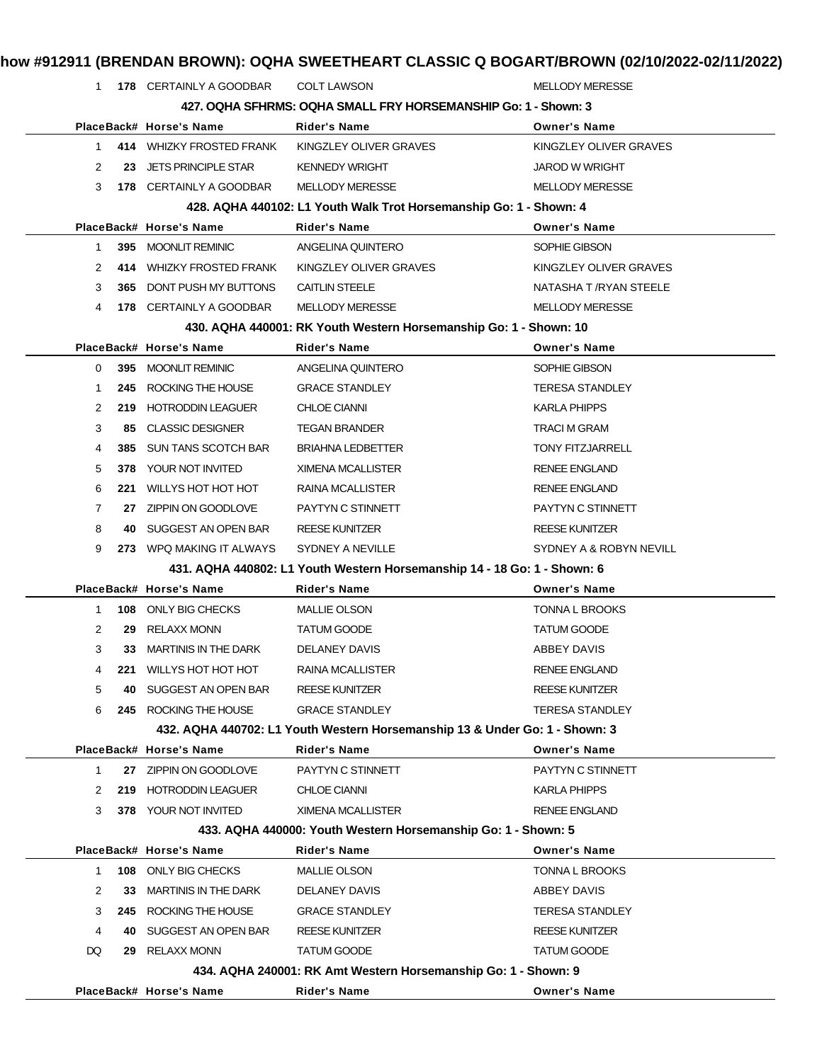| $\mathbf{1}$   |     | 178 CERTAINLY A GOODBAR     | <b>COLT LAWSON</b>                                                          | <b>MELLODY MERESSE</b>  |
|----------------|-----|-----------------------------|-----------------------------------------------------------------------------|-------------------------|
|                |     |                             | 427, OQHA SFHRMS: OQHA SMALL FRY HORSEMANSHIP Go: 1 - Shown: 3              |                         |
|                |     | PlaceBack# Horse's Name     | <b>Rider's Name</b>                                                         | <b>Owner's Name</b>     |
| $\mathbf{1}$   |     | 414 WHIZKY FROSTED FRANK    | KINGZLEY OLIVER GRAVES                                                      | KINGZLEY OLIVER GRAVES  |
| 2              | 23  | <b>JETS PRINCIPLE STAR</b>  | <b>KENNEDY WRIGHT</b>                                                       | <b>JAROD W WRIGHT</b>   |
| 3              |     | 178 CERTAINLY A GOODBAR     | <b>MELLODY MERESSE</b>                                                      | <b>MELLODY MERESSE</b>  |
|                |     |                             | 428. AQHA 440102: L1 Youth Walk Trot Horsemanship Go: 1 - Shown: 4          |                         |
|                |     | PlaceBack# Horse's Name     | Rider's Name                                                                | <b>Owner's Name</b>     |
| $\mathbf{1}$   | 395 | <b>MOONLIT REMINIC</b>      | ANGELINA QUINTERO                                                           | SOPHIE GIBSON           |
| 2              | 414 | WHIZKY FROSTED FRANK        | KINGZLEY OLIVER GRAVES                                                      | KINGZLEY OLIVER GRAVES  |
| 3              | 365 | DONT PUSH MY BUTTONS        | <b>CAITLIN STEELE</b>                                                       | NATASHA T /RYAN STEELE  |
| 4              |     | 178 CERTAINLY A GOODBAR     | <b>MELLODY MERESSE</b>                                                      | <b>MELLODY MERESSE</b>  |
|                |     |                             | 430. AQHA 440001: RK Youth Western Horsemanship Go: 1 - Shown: 10           |                         |
|                |     | PlaceBack# Horse's Name     | <b>Rider's Name</b>                                                         | <b>Owner's Name</b>     |
| 0              |     | 395 MOONLIT REMINIC         | ANGELINA QUINTERO                                                           | SOPHIE GIBSON           |
| $\mathbf{1}$   | 245 | ROCKING THE HOUSE           | <b>GRACE STANDLEY</b>                                                       | <b>TERESA STANDLEY</b>  |
| 2              | 219 | <b>HOTRODDIN LEAGUER</b>    | <b>CHLOE CIANNI</b>                                                         | <b>KARLA PHIPPS</b>     |
| 3              | 85  | <b>CLASSIC DESIGNER</b>     | <b>TEGAN BRANDER</b>                                                        | <b>TRACI M GRAM</b>     |
| 4              | 385 | SUN TANS SCOTCH BAR         | <b>BRIAHNA LEDBETTER</b>                                                    | <b>TONY FITZJARRELL</b> |
| 5              | 378 | YOUR NOT INVITED            | XIMENA MCALLISTER                                                           | <b>RENEE ENGLAND</b>    |
| 6              | 221 | WILLYS HOT HOT HOT          | RAINA MCALLISTER                                                            | <b>RENEE ENGLAND</b>    |
| $\overline{7}$ | 27  | ZIPPIN ON GOODLOVE          | PAYTYN C STINNETT                                                           | PAYTYN C STINNETT       |
| 8              | 40  | SUGGEST AN OPEN BAR         | <b>REESE KUNITZER</b>                                                       | <b>REESE KUNITZER</b>   |
| 9              |     | 273 WPQ MAKING IT ALWAYS    | SYDNEY A NEVILLE                                                            | SYDNEY A & ROBYN NEVILL |
|                |     |                             | 431. AQHA 440802: L1 Youth Western Horsemanship 14 - 18 Go: 1 - Shown: 6    |                         |
|                |     | PlaceBack# Horse's Name     | <b>Rider's Name</b>                                                         | <b>Owner's Name</b>     |
| $\mathbf 1$    |     | 108 ONLY BIG CHECKS         | <b>MALLIE OLSON</b>                                                         | <b>TONNA L BROOKS</b>   |
| $\overline{2}$ | 29  | <b>RELAXX MONN</b>          | TATUM GOODE                                                                 | <b>TATUM GOODE</b>      |
| 3              | 33  | MARTINIS IN THE DARK        | DELANEY DAVIS                                                               | ABBEY DAVIS             |
| 4              | 221 | WILLYS HOT HOT HOT          | RAINA MCALLISTER                                                            | <b>RENEE ENGLAND</b>    |
| 5              | 40  | SUGGEST AN OPEN BAR         | <b>REESE KUNITZER</b>                                                       | <b>REESE KUNITZER</b>   |
| 6              | 245 | ROCKING THE HOUSE           | <b>GRACE STANDLEY</b>                                                       | <b>TERESA STANDLEY</b>  |
|                |     |                             | 432. AQHA 440702: L1 Youth Western Horsemanship 13 & Under Go: 1 - Shown: 3 |                         |
|                |     | PlaceBack# Horse's Name     | <b>Rider's Name</b>                                                         | <b>Owner's Name</b>     |
| 1              | 27  | ZIPPIN ON GOODLOVE          | PAYTYN C STINNETT                                                           | PAYTYN C STINNETT       |
| 2              | 219 | <b>HOTRODDIN LEAGUER</b>    | <b>CHLOE CIANNI</b>                                                         | <b>KARLA PHIPPS</b>     |
| 3              |     | <b>378 YOUR NOT INVITED</b> | <b>XIMENA MCALLISTER</b>                                                    | <b>RENEE ENGLAND</b>    |
|                |     |                             | 433. AQHA 440000: Youth Western Horsemanship Go: 1 - Shown: 5               |                         |
|                |     | PlaceBack# Horse's Name     | Rider's Name                                                                | <b>Owner's Name</b>     |
| $\mathbf{1}$   |     | 108 ONLY BIG CHECKS         | <b>MALLIE OLSON</b>                                                         | <b>TONNA L BROOKS</b>   |
| 2              | 33  | <b>MARTINIS IN THE DARK</b> | DELANEY DAVIS                                                               | ABBEY DAVIS             |
| 3              |     | ROCKING THE HOUSE           | <b>GRACE STANDLEY</b>                                                       |                         |
|                | 245 |                             |                                                                             | <b>TERESA STANDLEY</b>  |
| 4              | 40  | SUGGEST AN OPEN BAR         | <b>REESE KUNITZER</b>                                                       | <b>REESE KUNITZER</b>   |
| DQ             | 29  | <b>RELAXX MONN</b>          | <b>TATUM GOODE</b>                                                          | <b>TATUM GOODE</b>      |
|                |     |                             | 434. AQHA 240001: RK Amt Western Horsemanship Go: 1 - Shown: 9              |                         |
|                |     | PlaceBack# Horse's Name     | Rider's Name                                                                | <b>Owner's Name</b>     |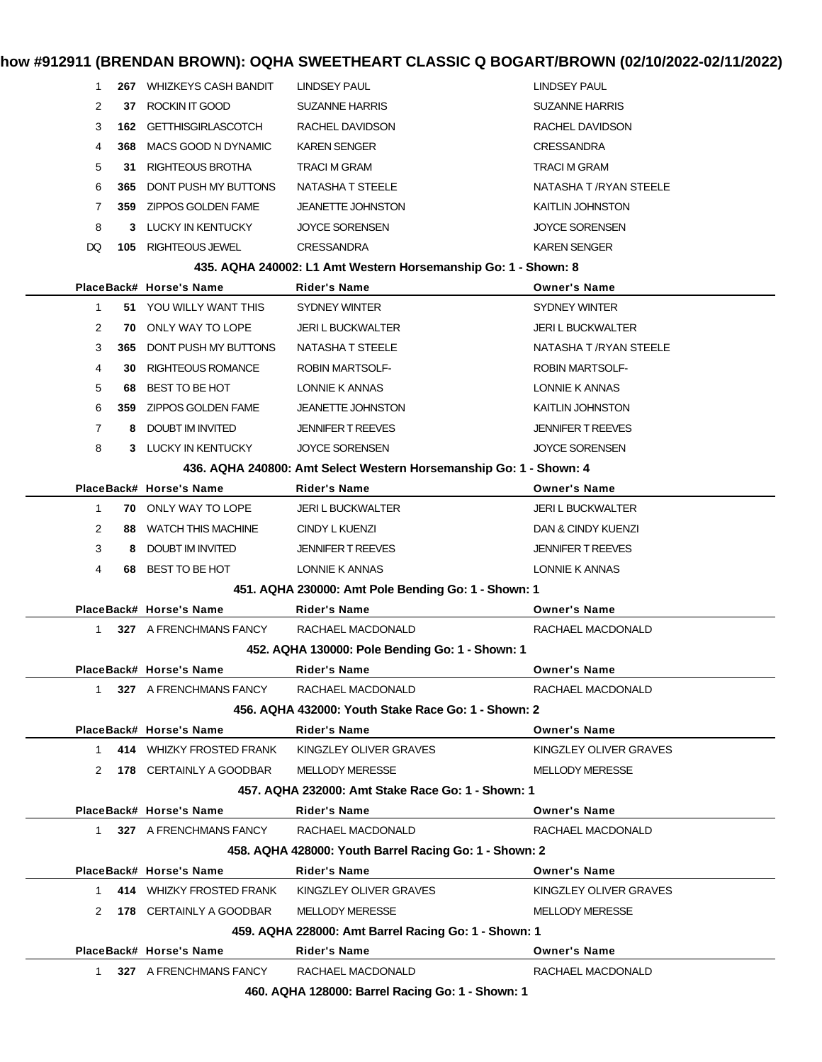| 1              |     | 267 WHIZKEYS CASH BANDIT   | LINDSEY PAUL                                                       | LINDSEY PAUL             |
|----------------|-----|----------------------------|--------------------------------------------------------------------|--------------------------|
| 2              | 37  | ROCKIN IT GOOD             | <b>SUZANNE HARRIS</b>                                              | <b>SUZANNE HARRIS</b>    |
| 3              |     | 162 GETTHISGIRLASCOTCH     | RACHEL DAVIDSON                                                    | RACHEL DAVIDSON          |
| 4              | 368 | MACS GOOD N DYNAMIC        | <b>KAREN SENGER</b>                                                | <b>CRESSANDRA</b>        |
| 5              | 31  | RIGHTEOUS BROTHA           | TRACI M GRAM                                                       | <b>TRACI M GRAM</b>      |
| 6              | 365 | DONT PUSH MY BUTTONS       | NATASHA T STEELE                                                   | NATASHA T / RYAN STEELE  |
| 7              |     | 359 ZIPPOS GOLDEN FAME     | <b>JEANETTE JOHNSTON</b>                                           | <b>KAITLIN JOHNSTON</b>  |
| 8              | 3   | LUCKY IN KENTUCKY          | <b>JOYCE SORENSEN</b>                                              | <b>JOYCE SORENSEN</b>    |
| DQ             | 105 | RIGHTEOUS JEWEL            | <b>CRESSANDRA</b>                                                  | <b>KAREN SENGER</b>      |
|                |     |                            | 435. AQHA 240002: L1 Amt Western Horsemanship Go: 1 - Shown: 8     |                          |
|                |     | PlaceBack# Horse's Name    | <b>Rider's Name</b>                                                | <b>Owner's Name</b>      |
| $\mathbf{1}$   |     | 51 YOU WILLY WANT THIS     | SYDNEY WINTER                                                      | <b>SYDNEY WINTER</b>     |
| 2              | 70  | ONLY WAY TO LOPE           | <b>JERI L BUCKWALTER</b>                                           | <b>JERI L BUCKWALTER</b> |
| 3              | 365 | DONT PUSH MY BUTTONS       | <b>NATASHA T STEELE</b>                                            | NATASHA T / RYAN STEELE  |
| 4              | 30  | RIGHTEOUS ROMANCE          | <b>ROBIN MARTSOLF-</b>                                             | <b>ROBIN MARTSOLF-</b>   |
| 5              | 68  | BEST TO BE HOT             | LONNIE K ANNAS                                                     | LONNIE K ANNAS           |
| 6              |     | 359 ZIPPOS GOLDEN FAME     | <b>JEANETTE JOHNSTON</b>                                           | <b>KAITLIN JOHNSTON</b>  |
| $\overline{7}$ | 8   | <b>DOUBT IM INVITED</b>    | <b>JENNIFER T REEVES</b>                                           | <b>JENNIFER T REEVES</b> |
| 8              |     | 3 LUCKY IN KENTUCKY        | <b>JOYCE SORENSEN</b>                                              | <b>JOYCE SORENSEN</b>    |
|                |     |                            | 436. AQHA 240800: Amt Select Western Horsemanship Go: 1 - Shown: 4 |                          |
|                |     | PlaceBack# Horse's Name    | <b>Rider's Name</b>                                                | <b>Owner's Name</b>      |
| $\mathbf{1}$   |     | <b>70 ONLY WAY TO LOPE</b> | <b>JERI L BUCKWALTER</b>                                           | <b>JERI L BUCKWALTER</b> |
| 2              | 88  | WATCH THIS MACHINE         | CINDY L KUENZI                                                     | DAN & CINDY KUENZI       |
| 3              | 8   | DOUBT IM INVITED           | <b>JENNIFER T REEVES</b>                                           | <b>JENNIFER T REEVES</b> |
| 4              | 68  | BEST TO BE HOT             | LONNIE K ANNAS                                                     | LONNIE K ANNAS           |
|                |     |                            | 451. AQHA 230000: Amt Pole Bending Go: 1 - Shown: 1                |                          |
|                |     | PlaceBack# Horse's Name    | Rider's Name                                                       | <b>Owner's Name</b>      |
| 1              |     | 327 A FRENCHMANS FANCY     | RACHAEL MACDONALD                                                  | RACHAEL MACDONALD        |
|                |     |                            | 452. AQHA 130000: Pole Bending Go: 1 - Shown: 1                    |                          |
|                |     | PlaceBack# Horse's Name    | <b>Rider's Name</b>                                                | <b>Owner's Name</b>      |
|                |     | 1 327 A FRENCHMANS FANCY   | RACHAEL MACDONALD                                                  | RACHAEL MACDONALD        |
|                |     |                            | 456. AQHA 432000: Youth Stake Race Go: 1 - Shown: 2                |                          |
|                |     | PlaceBack# Horse's Name    | <b>Rider's Name</b>                                                | <b>Owner's Name</b>      |
| $1 \quad$      |     | 414 WHIZKY FROSTED FRANK   | KINGZLEY OLIVER GRAVES                                             | KINGZLEY OLIVER GRAVES   |
|                |     | 2 178 CERTAINLY A GOODBAR  | <b>MELLODY MERESSE</b>                                             | <b>MELLODY MERESSE</b>   |
|                |     |                            | 457, AQHA 232000: Amt Stake Race Go: 1 - Shown: 1                  |                          |
|                |     | PlaceBack# Horse's Name    | <b>Rider's Name</b>                                                | <b>Owner's Name</b>      |
|                |     | 1 327 A FRENCHMANS FANCY   | RACHAEL MACDONALD                                                  | RACHAEL MACDONALD        |
|                |     |                            | 458. AQHA 428000: Youth Barrel Racing Go: 1 - Shown: 2             |                          |
|                |     | PlaceBack# Horse's Name    | <b>Rider's Name</b>                                                | <b>Owner's Name</b>      |
| 1              |     | 414 WHIZKY FROSTED FRANK   | KINGZLEY OLIVER GRAVES                                             | KINGZLEY OLIVER GRAVES   |
| 2              |     | 178 CERTAINLY A GOODBAR    | <b>MELLODY MERESSE</b>                                             | <b>MELLODY MERESSE</b>   |
|                |     |                            | 459. AQHA 228000: Amt Barrel Racing Go: 1 - Shown: 1               |                          |
|                |     | PlaceBack# Horse's Name    | <b>Rider's Name</b>                                                | <b>Owner's Name</b>      |
| $1 \quad$      |     | 327 A FRENCHMANS FANCY     | RACHAEL MACDONALD                                                  | RACHAEL MACDONALD        |
|                |     |                            | 460. AQHA 128000: Barrel Racing Go: 1 - Shown: 1                   |                          |

**460. AQHA 128000: Barrel Racing Go: 1 - Shown: 1**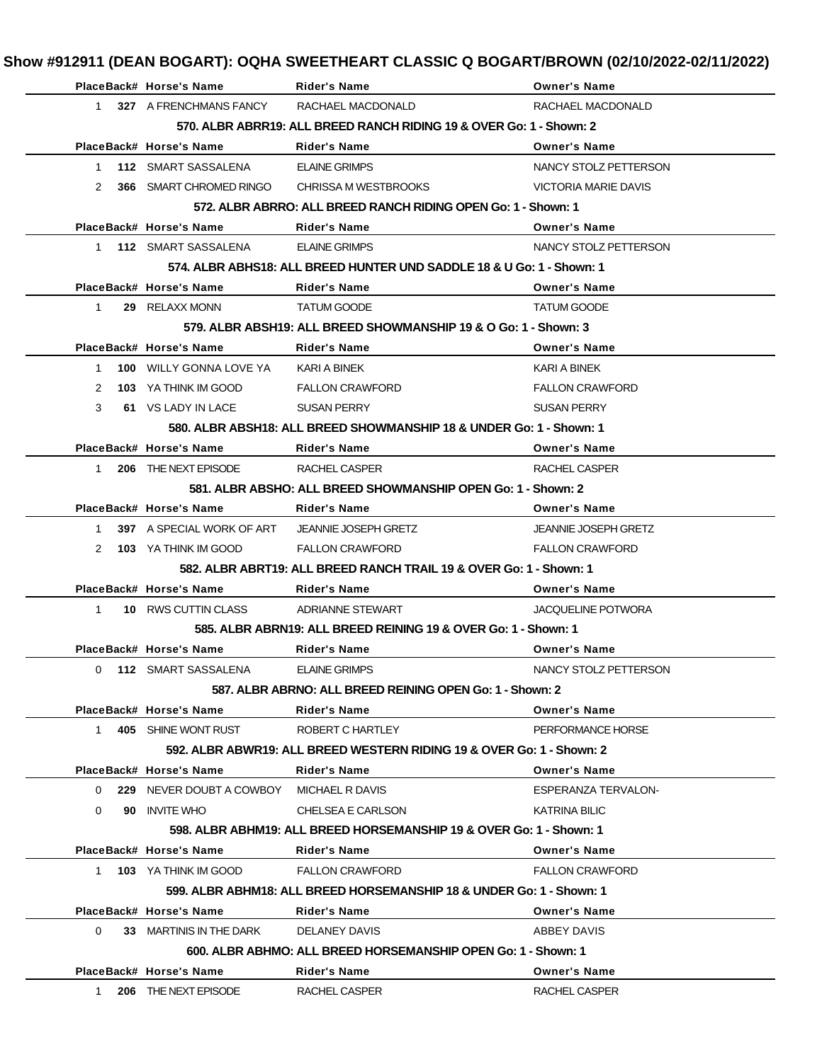|              | PlaceBack# Horse's Name                  | <b>Rider's Name</b>                                                   | <b>Owner's Name</b>         |
|--------------|------------------------------------------|-----------------------------------------------------------------------|-----------------------------|
|              | 1 327 A FRENCHMANS FANCY                 | RACHAEL MACDONALD                                                     | RACHAEL MACDONALD           |
|              |                                          | 570. ALBR ABRR19: ALL BREED RANCH RIDING 19 & OVER Go: 1 - Shown: 2   |                             |
|              | PlaceBack# Horse's Name                  | <b>Rider's Name</b>                                                   | <b>Owner's Name</b>         |
| 1            | 112 SMART SASSALENA                      | <b>ELAINE GRIMPS</b>                                                  | NANCY STOLZ PETTERSON       |
| 2            | 366 SMART CHROMED RINGO                  | CHRISSA M WESTBROOKS                                                  | VICTORIA MARIE DAVIS        |
|              |                                          | 572. ALBR ABRRO: ALL BREED RANCH RIDING OPEN Go: 1 - Shown: 1         |                             |
|              | PlaceBack# Horse's Name                  | <b>Rider's Name</b>                                                   | <b>Owner's Name</b>         |
|              | 1 112 SMART SASSALENA                    | <b>ELAINE GRIMPS</b>                                                  | NANCY STOLZ PETTERSON       |
|              |                                          | 574. ALBR ABHS18: ALL BREED HUNTER UND SADDLE 18 & U Go: 1 - Shown: 1 |                             |
|              | PlaceBack# Horse's Name                  | <b>Rider's Name</b>                                                   | <b>Owner's Name</b>         |
| 1            | 29 RELAXX MONN                           | <b>TATUM GOODE</b>                                                    | <b>TATUM GOODE</b>          |
|              |                                          | 579. ALBR ABSH19: ALL BREED SHOWMANSHIP 19 & O Go: 1 - Shown: 3       |                             |
|              | PlaceBack# Horse's Name                  | <b>Rider's Name</b>                                                   | <b>Owner's Name</b>         |
| $\mathbf{1}$ | <b>100 WILLY GONNA LOVE YA</b>           | KARI A BINEK                                                          | KARI A BINEK                |
|              |                                          |                                                                       |                             |
| 2            | 103 YA THINK IM GOOD                     | <b>FALLON CRAWFORD</b>                                                | <b>FALLON CRAWFORD</b>      |
| 3            | 61 VS LADY IN LACE                       | <b>SUSAN PERRY</b>                                                    | <b>SUSAN PERRY</b>          |
|              |                                          | 580. ALBR ABSH18: ALL BREED SHOWMANSHIP 18 & UNDER Go: 1 - Shown: 1   |                             |
|              | PlaceBack# Horse's Name                  | <b>Rider's Name</b>                                                   | <b>Owner's Name</b>         |
| $1 \quad$    | 206 THE NEXT EPISODE                     | RACHEL CASPER                                                         | RACHEL CASPER               |
|              |                                          | 581. ALBR ABSHO: ALL BREED SHOWMANSHIP OPEN Go: 1 - Shown: 2          |                             |
|              | PlaceBack# Horse's Name                  | <b>Rider's Name</b>                                                   | <b>Owner's Name</b>         |
| 1            | 397 A SPECIAL WORK OF ART                | <b>JEANNIE JOSEPH GRETZ</b>                                           | <b>JEANNIE JOSEPH GRETZ</b> |
| 2            | <b>103</b> YA THINK IM GOOD              | <b>FALLON CRAWFORD</b>                                                | <b>FALLON CRAWFORD</b>      |
|              |                                          | 582, ALBR ABRT19: ALL BREED RANCH TRAIL 19 & OVER Go: 1 - Shown: 1    |                             |
|              | PlaceBack# Horse's Name                  | <b>Rider's Name</b>                                                   | <b>Owner's Name</b>         |
| 1            | 10 RWS CUTTIN CLASS                      | ADRIANNE STEWART                                                      | <b>JACQUELINE POTWORA</b>   |
|              |                                          | 585, ALBR ABRN19: ALL BREED REINING 19 & OVER Go: 1 - Shown: 1        |                             |
|              | PlaceBack# Horse's Name                  | <b>Rider's Name</b>                                                   | <b>Owner's Name</b>         |
| 0            | 112 SMART SASSALENA                      | ELAINE GRIMPS                                                         | NANCY STOLZ PETTERSON       |
|              |                                          | 587, ALBR ABRNO: ALL BREED REINING OPEN Go: 1 - Shown: 2              |                             |
|              | PlaceBack# Horse's Name                  | <b>Rider's Name</b>                                                   | <b>Owner's Name</b>         |
| $1 \quad$    | 405 SHINE WONT RUST                      | ROBERT C HARTLEY                                                      | PERFORMANCE HORSE           |
|              |                                          | 592. ALBR ABWR19: ALL BREED WESTERN RIDING 19 & OVER Go: 1 - Shown: 2 |                             |
|              | PlaceBack# Horse's Name                  | <b>Rider's Name</b>                                                   | <b>Owner's Name</b>         |
| $\Omega$     | 229 NEVER DOUBT A COWBOY MICHAEL R DAVIS |                                                                       | ESPERANZA TERVALON-         |
| 0            | 90 INVITE WHO                            | CHELSEA E CARLSON                                                     | <b>KATRINA BILIC</b>        |
|              |                                          | 598. ALBR ABHM19: ALL BREED HORSEMANSHIP 19 & OVER Go: 1 - Shown: 1   |                             |
|              | PlaceBack# Horse's Name                  | Rider's Name                                                          | <b>Owner's Name</b>         |
|              | 1 103 YA THINK IM GOOD                   | <b>FALLON CRAWFORD</b>                                                | <b>FALLON CRAWFORD</b>      |
|              |                                          | 599. ALBR ABHM18: ALL BREED HORSEMANSHIP 18 & UNDER Go: 1 - Shown: 1  |                             |
|              | PlaceBack# Horse's Name                  | <b>Rider's Name</b>                                                   | <b>Owner's Name</b>         |
| $\Omega$     | 33 MARTINIS IN THE DARK                  | <b>DELANEY DAVIS</b>                                                  | ABBEY DAVIS                 |
|              |                                          |                                                                       |                             |
|              |                                          | 600. ALBR ABHMO: ALL BREED HORSEMANSHIP OPEN Go: 1 - Shown: 1         |                             |
|              | PlaceBack# Horse's Name                  | Rider's Name                                                          | <b>Owner's Name</b>         |
| $1 \quad$    | 206 THE NEXT EPISODE                     | RACHEL CASPER                                                         | RACHEL CASPER               |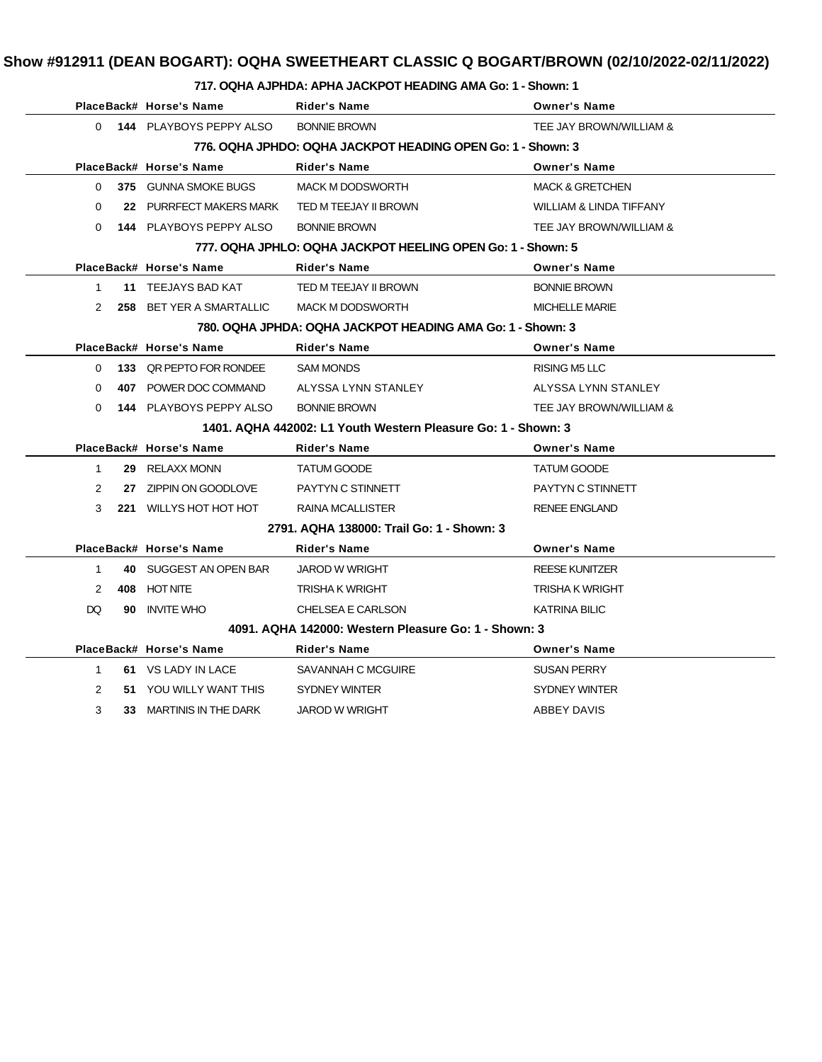#### **717. OQHA AJPHDA: APHA JACKPOT HEADING AMA Go: 1 - Shown: 1**

|              |     | PlaceBack# Horse's Name                                    | <b>Rider's Name</b>                                           | <b>Owner's Name</b>                |
|--------------|-----|------------------------------------------------------------|---------------------------------------------------------------|------------------------------------|
|              |     | 0 144 PLAYBOYS PEPPY ALSO                                  | <b>BONNIE BROWN</b>                                           | TEE JAY BROWN/WILLIAM &            |
|              |     |                                                            | 776, OQHA JPHDO: OQHA JACKPOT HEADING OPEN Go: 1 - Shown: 3   |                                    |
|              |     | PlaceBack# Horse's Name                                    | Rider's Name                                                  | <b>Owner's Name</b>                |
| 0            |     | 375 GUNNA SMOKE BUGS                                       | <b>MACK M DODSWORTH</b>                                       | <b>MACK &amp; GRETCHEN</b>         |
| $\Omega$     |     | 22 PURRFECT MAKERS MARK                                    | TED M TEEJAY II BROWN                                         | <b>WILLIAM &amp; LINDA TIFFANY</b> |
| $\Omega$     |     | <b>144 PLAYBOYS PEPPY ALSO</b>                             | <b>BONNIE BROWN</b>                                           | TEE JAY BROWN/WILLIAM &            |
|              |     |                                                            | 777, OQHA JPHLO: OQHA JACKPOT HEELING OPEN Go: 1 - Shown: 5   |                                    |
|              |     | PlaceBack# Horse's Name                                    | <b>Rider's Name</b>                                           | <b>Owner's Name</b>                |
| $\mathbf{1}$ |     | 11 TEEJAYS BAD KAT                                         | TED M TEEJAY II BROWN                                         | <b>BONNIE BROWN</b>                |
| 2            |     | <b>258 BET YER A SMARTALLIC</b>                            | <b>MACK M DODSWORTH</b>                                       | <b>MICHELLE MARIE</b>              |
|              |     | 780. OQHA JPHDA: OQHA JACKPOT HEADING AMA Go: 1 - Shown: 3 |                                                               |                                    |
|              |     | PlaceBack# Horse's Name                                    | <b>Rider's Name</b>                                           | <b>Owner's Name</b>                |
|              |     | 0 133 QR PEPTO FOR RONDEE                                  | <b>SAM MONDS</b>                                              | <b>RISING M5 LLC</b>               |
| $\Omega$     |     | <b>407 POWER DOC COMMAND</b>                               | ALYSSA LYNN STANLEY                                           | ALYSSA LYNN STANLEY                |
| $\Omega$     |     | <b>144 PLAYBOYS PEPPY ALSO</b>                             | <b>BONNIE BROWN</b>                                           | TEE JAY BROWN/WILLIAM &            |
|              |     |                                                            | 1401. AQHA 442002: L1 Youth Western Pleasure Go: 1 - Shown: 3 |                                    |
|              |     | PlaceBack# Horse's Name                                    | <b>Rider's Name</b>                                           | <b>Owner's Name</b>                |
| $\mathbf{1}$ |     | 29 RELAXX MONN                                             | <b>TATUM GOODE</b>                                            | <b>TATUM GOODE</b>                 |
| 2            |     | 27 ZIPPIN ON GOODLOVE                                      | PAYTYN C STINNETT                                             | PAYTYN C STINNETT                  |
| 3            |     | 221 WILLYS HOT HOT HOT                                     | RAINA MCALLISTER                                              | <b>RENEE ENGLAND</b>               |
|              |     |                                                            | 2791, AQHA 138000: Trail Go: 1 - Shown: 3                     |                                    |
|              |     | PlaceBack# Horse's Name                                    | <b>Rider's Name</b>                                           | <b>Owner's Name</b>                |
| $\mathbf{1}$ |     | 40 SUGGEST AN OPEN BAR                                     | <b>JAROD W WRIGHT</b>                                         | <b>REESE KUNITZER</b>              |
| 2            |     | 408 HOT NITE                                               | TRISHA K WRIGHT                                               | TRISHA K WRIGHT                    |
| <b>DQ</b>    |     | 90 INVITE WHO                                              | CHELSEA E CARLSON                                             | <b>KATRINA BILIC</b>               |
|              |     |                                                            | 4091, AQHA 142000: Western Pleasure Go: 1 - Shown: 3          |                                    |
|              |     | PlaceBack# Horse's Name                                    | <b>Rider's Name</b>                                           | <b>Owner's Name</b>                |
| $\mathbf{1}$ |     | 61 VS LADY IN LACE                                         | SAVANNAH C MCGUIRE                                            | <b>SUSAN PERRY</b>                 |
| 2            |     | 51 YOU WILLY WANT THIS                                     | <b>SYDNEY WINTER</b>                                          | <b>SYDNEY WINTER</b>               |
| 3            | 33. | MARTINIS IN THE DARK                                       | JAROD W WRIGHT                                                | ABBEY DAVIS                        |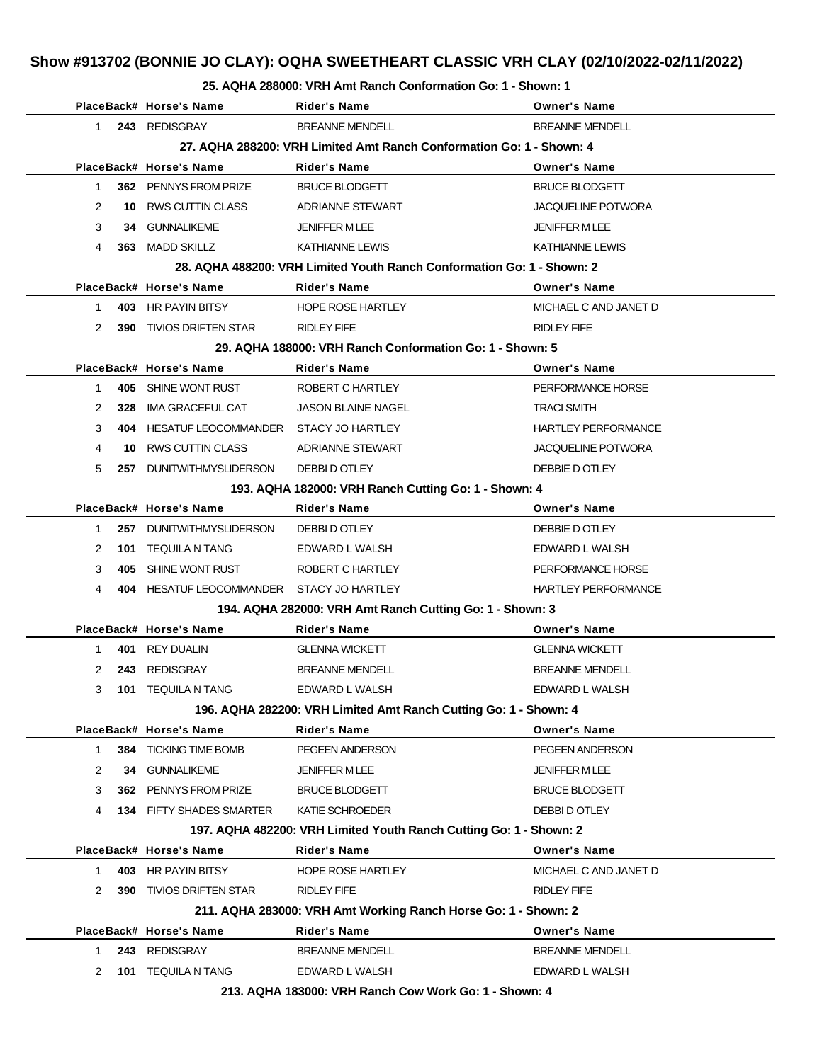## **Show #913702 (BONNIE JO CLAY): OQHA SWEETHEART CLASSIC VRH CLAY (02/10/2022-02/11/2022)**

#### **25. AQHA 288000: VRH Amt Ranch Conformation Go: 1 - Shown: 1**

|              | PlaceBack# Horse's Name                   | Rider's Name                                                           | <b>Owner's Name</b>        |
|--------------|-------------------------------------------|------------------------------------------------------------------------|----------------------------|
| 1            | 243 REDISGRAY                             | <b>BREANNE MENDELL</b>                                                 | <b>BREANNE MENDELL</b>     |
|              |                                           | 27. AQHA 288200: VRH Limited Amt Ranch Conformation Go: 1 - Shown: 4   |                            |
|              | PlaceBack# Horse's Name                   | <b>Rider's Name</b>                                                    | <b>Owner's Name</b>        |
| 1            | 362 PENNYS FROM PRIZE                     | <b>BRUCE BLODGETT</b>                                                  | <b>BRUCE BLODGETT</b>      |
| 2            | 10 RWS CUTTIN CLASS                       | ADRIANNE STEWART                                                       | <b>JACQUELINE POTWORA</b>  |
| 3            | 34 GUNNALIKEME                            | <b>JENIFFER M LEE</b>                                                  | <b>JENIFFER MLEE</b>       |
| 4<br>363     | MADD SKILLZ                               | KATHIANNE LEWIS                                                        | <b>KATHIANNE LEWIS</b>     |
|              |                                           | 28. AQHA 488200: VRH Limited Youth Ranch Conformation Go: 1 - Shown: 2 |                            |
|              | PlaceBack# Horse's Name                   | Rider's Name                                                           | <b>Owner's Name</b>        |
| $\mathbf{1}$ | 403 HR PAYIN BITSY                        | <b>HOPE ROSE HARTLEY</b>                                               | MICHAEL C AND JANET D      |
| 2<br>390     | TIVIOS DRIFTEN STAR                       | <b>RIDLEY FIFE</b>                                                     | RIDLEY FIFE                |
|              |                                           | 29. AQHA 188000: VRH Ranch Conformation Go: 1 - Shown: 5               |                            |
|              | PlaceBack# Horse's Name                   | Rider's Name                                                           | <b>Owner's Name</b>        |
| $\mathbf{1}$ | 405 SHINE WONT RUST                       | ROBERT C HARTLEY                                                       | PERFORMANCE HORSE          |
| 2<br>328     | IMA GRACEFUL CAT                          | <b>JASON BLAINE NAGEL</b>                                              | <b>TRACI SMITH</b>         |
| 3            | 404 HESATUF LEOCOMMANDER STACY JO HARTLEY |                                                                        | <b>HARTLEY PERFORMANCE</b> |
| 4<br>10.     | <b>RWS CUTTIN CLASS</b>                   | <b>ADRIANNE STEWART</b>                                                | <b>JACQUELINE POTWORA</b>  |
| 5            | 257 DUNITWITHMYSLIDERSON                  | DEBBI D OTLEY                                                          | DEBBIE D OTLEY             |
|              |                                           | 193. AQHA 182000: VRH Ranch Cutting Go: 1 - Shown: 4                   |                            |
|              | PlaceBack# Horse's Name                   | <b>Rider's Name</b>                                                    | <b>Owner's Name</b>        |
| 1            | 257 DUNITWITHMYSLIDERSON                  | DEBBI D OTLEY                                                          | DEBBIE D OTLEY             |
| 2            | 101 TEQUILA N TANG                        | EDWARD L WALSH                                                         | EDWARD L WALSH             |
| 3<br>405     | SHINE WONT RUST                           | ROBERT C HARTLEY                                                       | PERFORMANCE HORSE          |
| 4            | 404 HESATUF LEOCOMMANDER STACY JO HARTLEY |                                                                        | <b>HARTLEY PERFORMANCE</b> |
|              |                                           | 194. AQHA 282000: VRH Amt Ranch Cutting Go: 1 - Shown: 3               |                            |
|              | PlaceBack# Horse's Name                   | <b>Rider's Name</b>                                                    | <b>Owner's Name</b>        |
| 1            | 401 REY DUALIN                            | <b>GLENNA WICKETT</b>                                                  | <b>GLENNA WICKETT</b>      |
| 2<br>243     | REDISGRAY                                 | <b>BREANNE MENDELL</b>                                                 | <b>BREANNE MENDELL</b>     |
| 3<br>101     | <b>TEQUILA N TANG</b>                     | EDWARD L WALSH                                                         | EDWARD L WALSH             |
|              |                                           | 196. AQHA 282200: VRH Limited Amt Ranch Cutting Go: 1 - Shown: 4       |                            |
|              | PlaceBack# Horse's Name                   | <b>Rider's Name</b>                                                    | <b>Owner's Name</b>        |
| 1.           | 384 TICKING TIME BOMB                     | PEGEEN ANDERSON                                                        | PEGEEN ANDERSON            |
| 2            | 34 GUNNALIKEME                            | <b>JENIFFER M LEE</b>                                                  | <b>JENIFFER M LEE</b>      |
| 3            | 362 PENNYS FROM PRIZE                     | <b>BRUCE BLODGETT</b>                                                  | <b>BRUCE BLODGETT</b>      |
| 4            | <b>134 FIFTY SHADES SMARTER</b>           | KATIE SCHROEDER                                                        | DEBBI D OTLEY              |
|              |                                           | 197. AQHA 482200: VRH Limited Youth Ranch Cutting Go: 1 - Shown: 2     |                            |
|              | PlaceBack# Horse's Name                   | <b>Rider's Name</b>                                                    | <b>Owner's Name</b>        |
| $\mathbf 1$  | 403 HR PAYIN BITSY                        | <b>HOPE ROSE HARTLEY</b>                                               | MICHAEL C AND JANET D      |
| 2<br>390     | <b>TIVIOS DRIFTEN STAR</b>                | <b>RIDLEY FIFE</b>                                                     | <b>RIDLEY FIFE</b>         |
|              |                                           | 211. AQHA 283000: VRH Amt Working Ranch Horse Go: 1 - Shown: 2         |                            |
|              | PlaceBack# Horse's Name                   | <b>Rider's Name</b>                                                    | <b>Owner's Name</b>        |
| 1.           | 243 REDISGRAY                             | <b>BREANNE MENDELL</b>                                                 | <b>BREANNE MENDELL</b>     |
| 2<br>101     | <b>TEQUILA N TANG</b>                     | EDWARD L WALSH                                                         | EDWARD L WALSH             |
|              |                                           | 213. AQHA 183000: VRH Ranch Cow Work Go: 1 - Shown: 4                  |                            |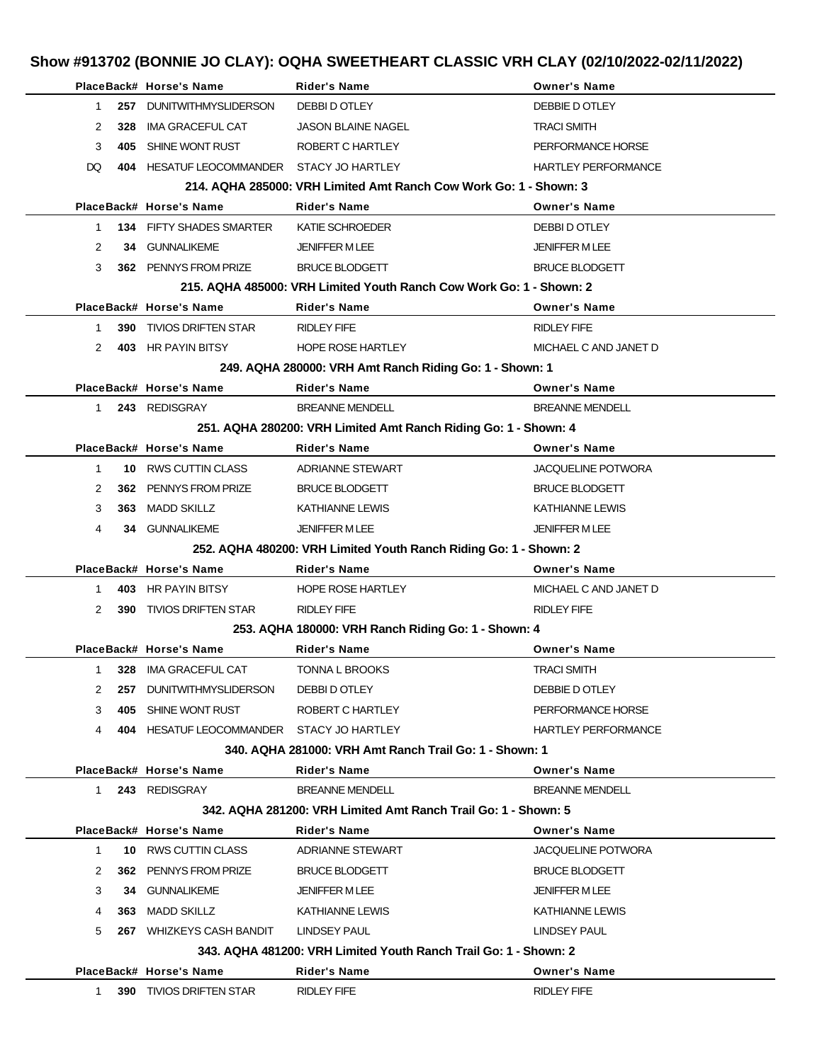# **Show #913702 (BONNIE JO CLAY): OQHA SWEETHEART CLASSIC VRH CLAY (02/10/2022-02/11/2022)**

|                                                        |     | PlaceBack# Horse's Name                   | <b>Rider's Name</b>                                                                      | <b>Owner's Name</b>        |  |
|--------------------------------------------------------|-----|-------------------------------------------|------------------------------------------------------------------------------------------|----------------------------|--|
| 1                                                      |     | 257 DUNITWITHMYSLIDERSON                  | DEBBI D OTLEY                                                                            | DEBBIE D OTLEY             |  |
| 2                                                      | 328 | IMA GRACEFUL CAT                          | <b>JASON BLAINE NAGEL</b>                                                                | <b>TRACI SMITH</b>         |  |
| 3                                                      |     | 405 SHINE WONT RUST                       | ROBERT C HARTLEY                                                                         | PERFORMANCE HORSE          |  |
| DQ.                                                    |     | 404 HESATUF LEOCOMMANDER STACY JO HARTLEY |                                                                                          |                            |  |
|                                                        |     |                                           |                                                                                          | <b>HARTLEY PERFORMANCE</b> |  |
|                                                        |     | PlaceBack# Horse's Name                   | 214, AQHA 285000: VRH Limited Amt Ranch Cow Work Go: 1 - Shown: 3<br><b>Rider's Name</b> | <b>Owner's Name</b>        |  |
|                                                        |     |                                           |                                                                                          |                            |  |
| $\mathbf{1}$                                           |     | <b>134 FIFTY SHADES SMARTER</b>           | KATIE SCHROEDER                                                                          | DEBBI D OTLEY              |  |
| 2                                                      |     | 34 GUNNALIKEME                            | <b>JENIFFER MLEE</b>                                                                     | <b>JENIFFER M LEE</b>      |  |
| 3                                                      |     | 362 PENNYS FROM PRIZE                     | <b>BRUCE BLODGETT</b>                                                                    | <b>BRUCE BLODGETT</b>      |  |
|                                                        |     |                                           | 215, AQHA 485000: VRH Limited Youth Ranch Cow Work Go: 1 - Shown: 2                      |                            |  |
|                                                        |     | PlaceBack# Horse's Name                   | <b>Rider's Name</b>                                                                      | <b>Owner's Name</b>        |  |
| 1                                                      |     | <b>390 TIVIOS DRIFTEN STAR</b>            | RIDLEY FIFE                                                                              | RIDLEY FIFE                |  |
| 2                                                      |     | 403 HR PAYIN BITSY                        | <b>HOPE ROSE HARTLEY</b>                                                                 | MICHAEL C AND JANET D      |  |
|                                                        |     |                                           | 249. AQHA 280000: VRH Amt Ranch Riding Go: 1 - Shown: 1                                  |                            |  |
|                                                        |     | PlaceBack# Horse's Name                   | <b>Rider's Name</b>                                                                      | <b>Owner's Name</b>        |  |
| $\mathbf{1}$                                           |     | 243 REDISGRAY                             | <b>BREANNE MENDELL</b>                                                                   | <b>BREANNE MENDELL</b>     |  |
|                                                        |     |                                           | 251. AQHA 280200: VRH Limited Amt Ranch Riding Go: 1 - Shown: 4                          |                            |  |
|                                                        |     | PlaceBack# Horse's Name                   | <b>Rider's Name</b>                                                                      | <b>Owner's Name</b>        |  |
| $\mathbf 1$                                            |     | 10 RWS CUTTIN CLASS                       | ADRIANNE STEWART                                                                         | <b>JACQUELINE POTWORA</b>  |  |
| 2                                                      |     | 362 PENNYS FROM PRIZE                     | <b>BRUCE BLODGETT</b>                                                                    | <b>BRUCE BLODGETT</b>      |  |
| 3                                                      |     | 363 MADD SKILLZ                           | KATHIANNE LEWIS                                                                          | <b>KATHIANNE LEWIS</b>     |  |
| 4                                                      |     | <b>34 GUNNALIKEME</b>                     | <b>JENIFFER MLEE</b>                                                                     | <b>JENIFFER M LEE</b>      |  |
|                                                        |     |                                           | 252. AQHA 480200: VRH Limited Youth Ranch Riding Go: 1 - Shown: 2                        |                            |  |
|                                                        |     | PlaceBack# Horse's Name                   | <b>Rider's Name</b>                                                                      | <b>Owner's Name</b>        |  |
| 1                                                      |     | 403 HR PAYIN BITSY                        | <b>HOPE ROSE HARTLEY</b>                                                                 | MICHAEL C AND JANET D      |  |
| 2                                                      |     | <b>390 TIVIOS DRIFTEN STAR</b>            | RIDLEY FIFE                                                                              | <b>RIDLEY FIFE</b>         |  |
|                                                        |     |                                           | 253. AQHA 180000: VRH Ranch Riding Go: 1 - Shown: 4                                      |                            |  |
|                                                        |     | PlaceBack# Horse's Name                   | <b>Rider's Name</b>                                                                      | <b>Owner's Name</b>        |  |
|                                                        |     | 1 328 IMA GRACEFUL CAT                    | TONNA L BROOKS                                                                           | TRACI SMITH                |  |
| 2                                                      |     | 257 DUNITWITHMYSLIDERSON DEBBI DOTLEY     |                                                                                          | DEBBIE D OTLEY             |  |
| 3                                                      |     | 405 SHINE WONT RUST                       | ROBERT C HARTLEY                                                                         | PERFORMANCE HORSE          |  |
| 4                                                      |     | 404 HESATUF LEOCOMMANDER STACY JO HARTLEY |                                                                                          | <b>HARTLEY PERFORMANCE</b> |  |
| 340, AQHA 281000: VRH Amt Ranch Trail Go: 1 - Shown: 1 |     |                                           |                                                                                          |                            |  |
|                                                        |     | PlaceBack# Horse's Name                   | <b>Rider's Name</b>                                                                      | <b>Owner's Name</b>        |  |
|                                                        |     | 1 243 REDISGRAY                           | <b>BREANNE MENDELL</b>                                                                   | <b>BREANNE MENDELL</b>     |  |
|                                                        |     |                                           | 342, AQHA 281200: VRH Limited Amt Ranch Trail Go: 1 - Shown: 5                           |                            |  |
|                                                        |     | PlaceBack# Horse's Name                   | <b>Rider's Name</b>                                                                      | <b>Owner's Name</b>        |  |
| $\mathbf{1}$                                           |     | 10 RWS CUTTIN CLASS                       | ADRIANNE STEWART                                                                         | <b>JACQUELINE POTWORA</b>  |  |
| 2                                                      |     | 362 PENNYS FROM PRIZE                     | <b>BRUCE BLODGETT</b>                                                                    | <b>BRUCE BLODGETT</b>      |  |
| 3                                                      |     | <b>34 GUNNALIKEME</b>                     | <b>JENIFFER M LEE</b>                                                                    | <b>JENIFFER M LEE</b>      |  |
|                                                        |     |                                           |                                                                                          |                            |  |
| 4                                                      |     | 363 MADD SKILLZ                           | KATHIANNE LEWIS                                                                          | KATHIANNE LEWIS            |  |
| 5                                                      |     | 267 WHIZKEYS CASH BANDIT LINDSEY PAUL     |                                                                                          | LINDSEY PAUL               |  |
|                                                        |     |                                           | 343, AQHA 481200: VRH Limited Youth Ranch Trail Go: 1 - Shown: 2                         |                            |  |
|                                                        |     | PlaceBack# Horse's Name                   | <b>Rider's Name</b>                                                                      | <b>Owner's Name</b>        |  |
| $1 \quad$                                              |     | <b>390 TIVIOS DRIFTEN STAR</b>            | RIDLEY FIFE                                                                              | RIDLEY FIFE                |  |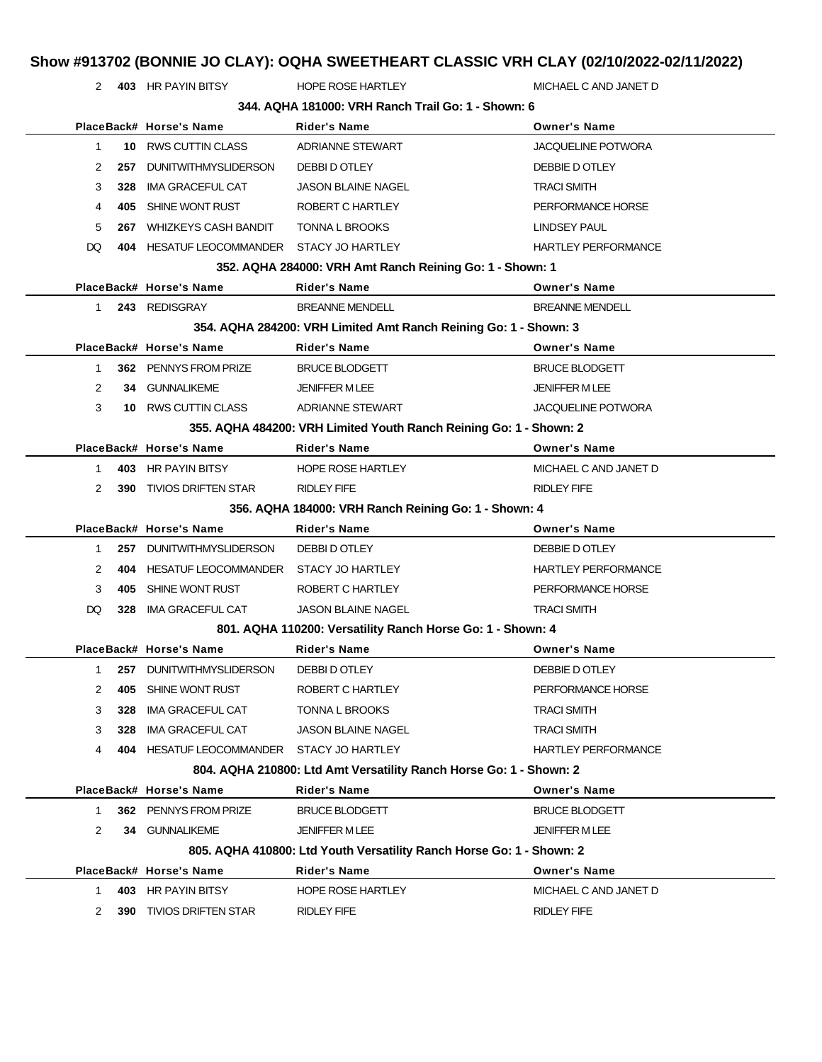# **Show #913702 (BONNIE JO CLAY): OQHA SWEETHEART CLASSIC VRH CLAY (02/10/2022-02/11/2022)**

2 **403** HR PAYIN BITSY HOPE ROSE HARTLEY MICHAEL C AND JANET D

|                | 344, AQHA 181000: VRH Ranch Trail Go: 1 - Shown: 6 |                                           |                                                                      |                            |  |  |
|----------------|----------------------------------------------------|-------------------------------------------|----------------------------------------------------------------------|----------------------------|--|--|
|                |                                                    | PlaceBack# Horse's Name                   | <b>Rider's Name</b>                                                  | <b>Owner's Name</b>        |  |  |
| 1              | 10                                                 | <b>RWS CUTTIN CLASS</b>                   | <b>ADRIANNE STEWART</b>                                              | <b>JACQUELINE POTWORA</b>  |  |  |
| 2              | 257                                                | <b>DUNITWITHMYSLIDERSON</b>               | DEBBI D OTLEY                                                        | DEBBIE D OTLEY             |  |  |
| 3              | 328                                                | <b>IMA GRACEFUL CAT</b>                   | <b>JASON BLAINE NAGEL</b>                                            | <b>TRACI SMITH</b>         |  |  |
| 4              | 405                                                | SHINE WONT RUST                           | ROBERT C HARTLEY                                                     | PERFORMANCE HORSE          |  |  |
| 5              | 267                                                | <b>WHIZKEYS CASH BANDIT</b>               | <b>TONNA L BROOKS</b>                                                | <b>LINDSEY PAUL</b>        |  |  |
| DQ             | 404                                                | HESATUF LEOCOMMANDER STACY JO HARTLEY     |                                                                      | <b>HARTLEY PERFORMANCE</b> |  |  |
|                |                                                    |                                           | 352. AQHA 284000: VRH Amt Ranch Reining Go: 1 - Shown: 1             |                            |  |  |
|                |                                                    | PlaceBack# Horse's Name                   | <b>Rider's Name</b>                                                  | <b>Owner's Name</b>        |  |  |
| 1.             |                                                    | 243 REDISGRAY                             | <b>BREANNE MENDELL</b>                                               | <b>BREANNE MENDELL</b>     |  |  |
|                |                                                    |                                           | 354. AQHA 284200: VRH Limited Amt Ranch Reining Go: 1 - Shown: 3     |                            |  |  |
|                |                                                    | PlaceBack# Horse's Name                   | <b>Rider's Name</b>                                                  | <b>Owner's Name</b>        |  |  |
| $\mathbf 1$    |                                                    | 362 PENNYS FROM PRIZE                     | <b>BRUCE BLODGETT</b>                                                | <b>BRUCE BLODGETT</b>      |  |  |
| $\overline{2}$ |                                                    | 34 GUNNALIKEME                            | <b>JENIFFER M LEE</b>                                                | <b>JENIFFER M LEE</b>      |  |  |
| 3              | 10                                                 | <b>RWS CUTTIN CLASS</b>                   | <b>ADRIANNE STEWART</b>                                              | <b>JACQUELINE POTWORA</b>  |  |  |
|                |                                                    |                                           | 355. AQHA 484200: VRH Limited Youth Ranch Reining Go: 1 - Shown: 2   |                            |  |  |
|                |                                                    | PlaceBack# Horse's Name                   | <b>Rider's Name</b>                                                  | <b>Owner's Name</b>        |  |  |
| 1              |                                                    | 403 HR PAYIN BITSY                        | <b>HOPE ROSE HARTLEY</b>                                             | MICHAEL C AND JANET D      |  |  |
| $\overline{2}$ | 390                                                | <b>TIVIOS DRIFTEN STAR</b>                | <b>RIDLEY FIFE</b>                                                   | <b>RIDLEY FIFE</b>         |  |  |
|                |                                                    |                                           | 356. AQHA 184000: VRH Ranch Reining Go: 1 - Shown: 4                 |                            |  |  |
|                |                                                    | PlaceBack# Horse's Name                   | <b>Rider's Name</b>                                                  | <b>Owner's Name</b>        |  |  |
| 1              | 257                                                | <b>DUNITWITHMYSLIDERSON</b>               | DEBBI D OTLEY                                                        | DEBBIE D OTLEY             |  |  |
| 2              | 404                                                | HESATUF LEOCOMMANDER STACY JO HARTLEY     |                                                                      | <b>HARTLEY PERFORMANCE</b> |  |  |
| 3              | 405                                                | SHINE WONT RUST                           | ROBERT C HARTLEY                                                     | PERFORMANCE HORSE          |  |  |
| DQ             | 328                                                | IMA GRACEFUL CAT                          | <b>JASON BLAINE NAGEL</b>                                            | <b>TRACI SMITH</b>         |  |  |
|                |                                                    |                                           | 801. AQHA 110200: Versatility Ranch Horse Go: 1 - Shown: 4           |                            |  |  |
|                |                                                    | PlaceBack# Horse's Name                   | <b>Rider's Name</b>                                                  | <b>Owner's Name</b>        |  |  |
| 1              | 257                                                | <b>DUNITWITHMYSLIDERSON</b>               | DEBBI D OTLEY                                                        | DEBBIE D OTLEY             |  |  |
| 2              | 405                                                | SHINE WONT RUST                           | ROBERT C HARTLEY                                                     | PERFORMANCE HORSE          |  |  |
| 3              | 328                                                | <b>IMA GRACEFUL CAT</b>                   | TONNA L BROOKS                                                       | <b>TRACI SMITH</b>         |  |  |
| 3              | 328                                                | IMA GRACEFUL CAT                          | <b>JASON BLAINE NAGEL</b>                                            | <b>TRACI SMITH</b>         |  |  |
| 4              |                                                    | 404 HESATUF LEOCOMMANDER STACY JO HARTLEY |                                                                      | <b>HARTLEY PERFORMANCE</b> |  |  |
|                |                                                    |                                           | 804. AQHA 210800: Ltd Amt Versatility Ranch Horse Go: 1 - Shown: 2   |                            |  |  |
|                |                                                    | PlaceBack# Horse's Name                   | <b>Rider's Name</b>                                                  | <b>Owner's Name</b>        |  |  |
| 1.             |                                                    | 362 PENNYS FROM PRIZE                     | <b>BRUCE BLODGETT</b>                                                | <b>BRUCE BLODGETT</b>      |  |  |
| 2              |                                                    | 34 GUNNALIKEME                            | <b>JENIFFER MLEE</b>                                                 | <b>JENIFFER MLEE</b>       |  |  |
|                |                                                    |                                           | 805. AQHA 410800: Ltd Youth Versatility Ranch Horse Go: 1 - Shown: 2 |                            |  |  |
|                |                                                    | PlaceBack# Horse's Name                   | <b>Rider's Name</b>                                                  | <b>Owner's Name</b>        |  |  |
| 1.             |                                                    | 403 HR PAYIN BITSY                        | <b>HOPE ROSE HARTLEY</b>                                             | MICHAEL C AND JANET D      |  |  |
| 2              |                                                    | <b>390 TIVIOS DRIFTEN STAR</b>            | RIDLEY FIFE                                                          | <b>RIDLEY FIFE</b>         |  |  |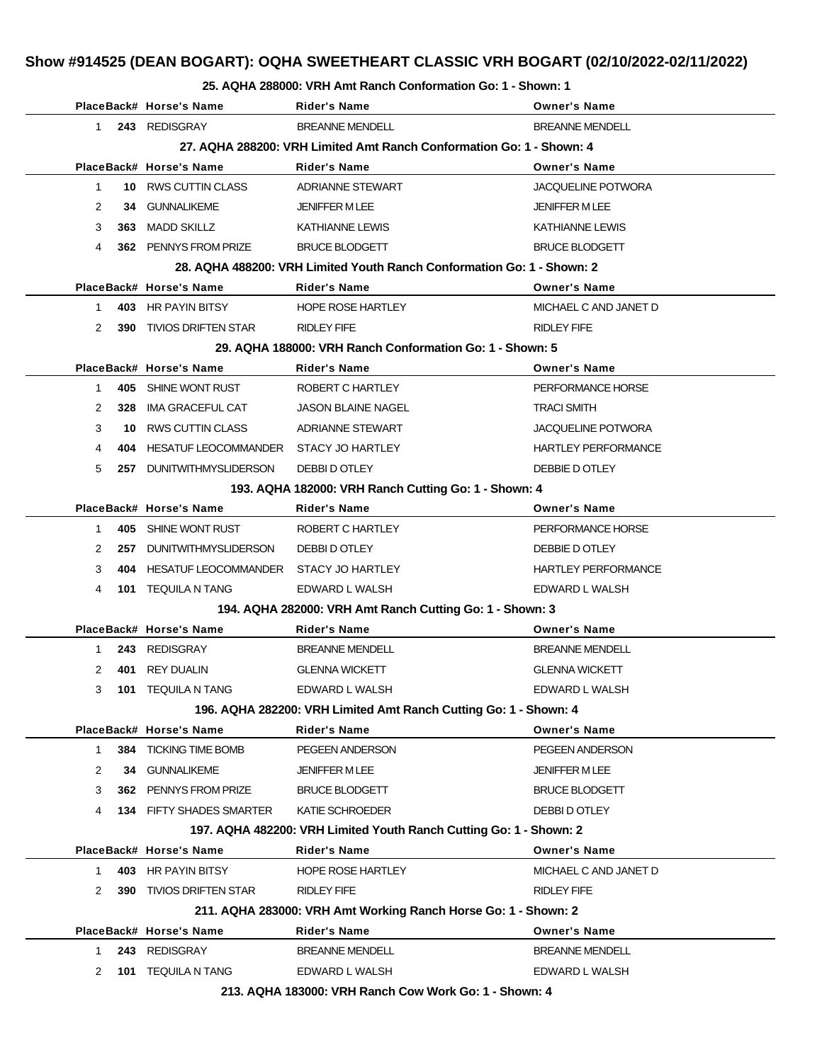#### **25. AQHA 288000: VRH Amt Ranch Conformation Go: 1 - Shown: 1**

|             |     | PlaceBack# Horse's Name                  | <b>Rider's Name</b>                                                    | <b>Owner's Name</b>        |
|-------------|-----|------------------------------------------|------------------------------------------------------------------------|----------------------------|
| 1           |     | 243 REDISGRAY                            | <b>BREANNE MENDELL</b>                                                 | <b>BREANNE MENDELL</b>     |
|             |     |                                          | 27. AQHA 288200: VRH Limited Amt Ranch Conformation Go: 1 - Shown: 4   |                            |
|             |     | PlaceBack# Horse's Name                  | <b>Rider's Name</b>                                                    | <b>Owner's Name</b>        |
| $\mathbf 1$ |     | 10 RWS CUTTIN CLASS                      | ADRIANNE STEWART                                                       | <b>JACQUELINE POTWORA</b>  |
| 2           | 34  | <b>GUNNALIKEME</b>                       | <b>JENIFFER M LEE</b>                                                  | <b>JENIFFER M LEE</b>      |
| 3           |     | 363 MADD SKILLZ                          | KATHIANNE LEWIS                                                        | KATHIANNE LEWIS            |
| 4           |     | 362 PENNYS FROM PRIZE                    | <b>BRUCE BLODGETT</b>                                                  | <b>BRUCE BLODGETT</b>      |
|             |     |                                          | 28. AQHA 488200: VRH Limited Youth Ranch Conformation Go: 1 - Shown: 2 |                            |
|             |     | PlaceBack# Horse's Name                  | <b>Rider's Name</b>                                                    | <b>Owner's Name</b>        |
| $1 \quad$   |     | 403 HR PAYIN BITSY                       | HOPE ROSE HARTLEY                                                      | MICHAEL C AND JANET D      |
| 2           |     | <b>390 TIVIOS DRIFTEN STAR</b>           | RIDLEY FIFE                                                            | RIDLEY FIFE                |
|             |     |                                          | 29. AQHA 188000: VRH Ranch Conformation Go: 1 - Shown: 5               |                            |
|             |     | PlaceBack# Horse's Name                  | <b>Rider's Name</b>                                                    | <b>Owner's Name</b>        |
| 1           |     | 405 SHINE WONT RUST                      | ROBERT C HARTLEY                                                       | PERFORMANCE HORSE          |
| 2           | 328 | IMA GRACEFUL CAT                         | <b>JASON BLAINE NAGEL</b>                                              | <b>TRACI SMITH</b>         |
| 3           |     | 10 RWS CUTTIN CLASS                      | ADRIANNE STEWART                                                       | <b>JACQUELINE POTWORA</b>  |
| 4           | 404 | HESATUF LEOCOMMANDER STACY JO HARTLEY    |                                                                        | <b>HARTLEY PERFORMANCE</b> |
| 5           |     | 257 DUNITWITHMYSLIDERSON                 | DEBBI D OTLEY                                                          | DEBBIE D OTLEY             |
|             |     |                                          | 193. AQHA 182000: VRH Ranch Cutting Go: 1 - Shown: 4                   |                            |
|             |     | PlaceBack# Horse's Name                  | <b>Rider's Name</b>                                                    | <b>Owner's Name</b>        |
| 1           |     | 405 SHINE WONT RUST                      | ROBERT C HARTLEY                                                       | PERFORMANCE HORSE          |
| 2           |     | 257 DUNITWITHMYSLIDERSON                 | DEBBI D OTLEY                                                          | DEBBIE D OTLEY             |
| 3           | 404 | HESATUF LEOCOMMANDER    STACY JO HARTLEY |                                                                        | <b>HARTLEY PERFORMANCE</b> |
| 4           |     | <b>101 TEQUILA N TANG</b>                | EDWARD L WALSH                                                         | EDWARD L WALSH             |
|             |     |                                          | 194. AQHA 282000: VRH Amt Ranch Cutting Go: 1 - Shown: 3               |                            |
|             |     | PlaceBack# Horse's Name                  | <b>Rider's Name</b>                                                    | <b>Owner's Name</b>        |
| 1           |     | 243 REDISGRAY                            | <b>BREANNE MENDELL</b>                                                 | <b>BREANNE MENDELL</b>     |
| 2           |     | 401 REY DUALIN                           | <b>GLENNA WICKETT</b>                                                  | <b>GLENNA WICKETT</b>      |
| 3           |     | <b>101 TEQUILA N TANG</b>                | EDWARD L WALSH                                                         | EDWARD L WALSH             |
|             |     |                                          | 196. AQHA 282200: VRH Limited Amt Ranch Cutting Go: 1 - Shown: 4       |                            |
|             |     | PlaceBack# Horse's Name                  | <b>Rider's Name</b>                                                    | <b>Owner's Name</b>        |
| 1           | 384 | TICKING TIME BOMB                        | PEGEEN ANDERSON                                                        | PEGEEN ANDERSON            |
| 2           |     | 34 GUNNALIKEME                           | JENIFFER M LEE                                                         | JENIFFER M LEE             |
| 3           |     | 362 PENNYS FROM PRIZE                    | <b>BRUCE BLODGETT</b>                                                  | <b>BRUCE BLODGETT</b>      |
| 4           |     | <b>134 FIFTY SHADES SMARTER</b>          | KATIE SCHROEDER                                                        | DEBBI D OTLEY              |
|             |     |                                          | 197. AQHA 482200: VRH Limited Youth Ranch Cutting Go: 1 - Shown: 2     |                            |
|             |     | PlaceBack# Horse's Name                  | <b>Rider's Name</b>                                                    | <b>Owner's Name</b>        |
| 1           |     | 403 HR PAYIN BITSY                       | HOPE ROSE HARTLEY                                                      | MICHAEL C AND JANET D      |
| 2           | 390 | <b>TIVIOS DRIFTEN STAR</b>               | RIDLEY FIFE                                                            | RIDLEY FIFE                |
|             |     |                                          | 211. AQHA 283000: VRH Amt Working Ranch Horse Go: 1 - Shown: 2         |                            |
|             |     | PlaceBack# Horse's Name                  | <b>Rider's Name</b>                                                    | <b>Owner's Name</b>        |
| 1           |     | 243 REDISGRAY                            | <b>BREANNE MENDELL</b>                                                 | <b>BREANNE MENDELL</b>     |
| 2           | 101 | <b>TEQUILA N TANG</b>                    | EDWARD L WALSH                                                         | EDWARD L WALSH             |
|             |     |                                          | 213. AQHA 183000: VRH Ranch Cow Work Go: 1 - Shown: 4                  |                            |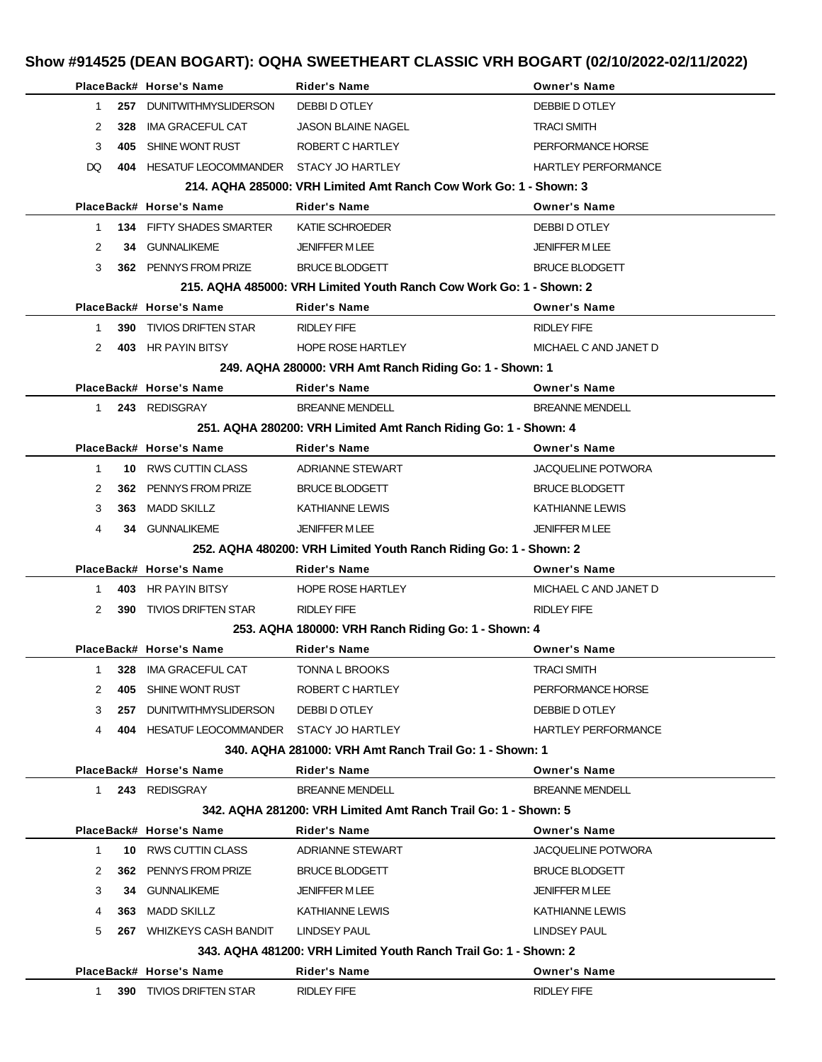|              |     | PlaceBack# Horse's Name                   | <b>Rider's Name</b>                                                 | <b>Owner's Name</b>        |
|--------------|-----|-------------------------------------------|---------------------------------------------------------------------|----------------------------|
| $\mathbf 1$  | 257 | <b>DUNITWITHMYSLIDERSON</b>               | DEBBI D OTLEY                                                       | DEBBIE D OTLEY             |
| 2            | 328 | IMA GRACEFUL CAT                          | <b>JASON BLAINE NAGEL</b>                                           | <b>TRACI SMITH</b>         |
| 3            |     | 405 SHINE WONT RUST                       | ROBERT C HARTLEY                                                    | PERFORMANCE HORSE          |
| DQ.          |     | 404 HESATUF LEOCOMMANDER STACY JO HARTLEY |                                                                     | <b>HARTLEY PERFORMANCE</b> |
|              |     |                                           | 214, AQHA 285000: VRH Limited Amt Ranch Cow Work Go: 1 - Shown: 3   |                            |
|              |     | PlaceBack# Horse's Name                   | <b>Rider's Name</b>                                                 | <b>Owner's Name</b>        |
| 1            |     | 134 FIFTY SHADES SMARTER                  | KATIE SCHROEDER                                                     | <b>DEBBI D OTLEY</b>       |
| 2            |     | 34 GUNNALIKEME                            | <b>JENIFFER M LEE</b>                                               | <b>JENIFFER M LEE</b>      |
| 3            |     | 362 PENNYS FROM PRIZE                     | <b>BRUCE BLODGETT</b>                                               | <b>BRUCE BLODGETT</b>      |
|              |     |                                           | 215. AQHA 485000: VRH Limited Youth Ranch Cow Work Go: 1 - Shown: 2 |                            |
|              |     | PlaceBack# Horse's Name                   | <b>Rider's Name</b>                                                 | <b>Owner's Name</b>        |
| $\mathbf 1$  |     | <b>390 TIVIOS DRIFTEN STAR</b>            | <b>RIDLEY FIFE</b>                                                  | <b>RIDLEY FIFE</b>         |
| 2            |     | 403 HR PAYIN BITSY                        | <b>HOPE ROSE HARTLEY</b>                                            | MICHAEL C AND JANET D      |
|              |     |                                           | 249. AQHA 280000: VRH Amt Ranch Riding Go: 1 - Shown: 1             |                            |
|              |     | PlaceBack# Horse's Name                   | <b>Rider's Name</b>                                                 | <b>Owner's Name</b>        |
| $1 \quad$    |     | 243 REDISGRAY                             | <b>BREANNE MENDELL</b>                                              | <b>BREANNE MENDELL</b>     |
|              |     |                                           | 251. AQHA 280200: VRH Limited Amt Ranch Riding Go: 1 - Shown: 4     |                            |
|              |     | PlaceBack# Horse's Name                   | <b>Rider's Name</b>                                                 | <b>Owner's Name</b>        |
| $\mathbf 1$  |     | 10 RWS CUTTIN CLASS                       | <b>ADRIANNE STEWART</b>                                             | <b>JACQUELINE POTWORA</b>  |
| 2            |     | 362 PENNYS FROM PRIZE                     | <b>BRUCE BLODGETT</b>                                               | <b>BRUCE BLODGETT</b>      |
| 3            |     | 363 MADD SKILLZ                           | <b>KATHIANNE LEWIS</b>                                              | <b>KATHIANNE LEWIS</b>     |
| 4            |     | 34 GUNNALIKEME                            | <b>JENIFFER M LEE</b>                                               | <b>JENIFFER MLEE</b>       |
|              |     |                                           | 252. AQHA 480200: VRH Limited Youth Ranch Riding Go: 1 - Shown: 2   |                            |
|              |     | PlaceBack# Horse's Name                   | <b>Rider's Name</b>                                                 | <b>Owner's Name</b>        |
| 1            |     | 403 HR PAYIN BITSY                        | <b>HOPE ROSE HARTLEY</b>                                            | MICHAEL C AND JANET D      |
| 2            |     | <b>390 TIVIOS DRIFTEN STAR</b>            | <b>RIDLEY FIFE</b>                                                  | <b>RIDLEY FIFE</b>         |
|              |     |                                           | 253. AQHA 180000: VRH Ranch Riding Go: 1 - Shown: 4                 |                            |
|              |     | PlaceBack# Horse's Name                   | <b>Rider's Name</b>                                                 | <b>Owner's Name</b>        |
| $1 \quad$    |     | 328 IMA GRACEFUL CAT                      | <b>TONNA L BROOKS</b>                                               | TRACI SMITH                |
| 2            |     | 405 SHINE WONT RUST                       | ROBERT C HARTLEY                                                    | PERFORMANCE HORSE          |
| 3            |     | 257 DUNITWITHMYSLIDERSON                  | DEBBI D OTLEY                                                       | DEBBIE D OTLEY             |
| 4            |     | 404 HESATUF LEOCOMMANDER STACY JO HARTLEY |                                                                     | <b>HARTLEY PERFORMANCE</b> |
|              |     |                                           | 340. AQHA 281000: VRH Amt Ranch Trail Go: 1 - Shown: 1              |                            |
|              |     | PlaceBack# Horse's Name                   | <b>Rider's Name</b>                                                 | <b>Owner's Name</b>        |
|              |     | 1 243 REDISGRAY                           | <b>BREANNE MENDELL</b>                                              | <b>BREANNE MENDELL</b>     |
|              |     |                                           | 342, AQHA 281200: VRH Limited Amt Ranch Trail Go: 1 - Shown: 5      |                            |
|              |     | PlaceBack# Horse's Name                   | <b>Rider's Name</b>                                                 | <b>Owner's Name</b>        |
| $\mathbf{1}$ |     | 10 RWS CUTTIN CLASS                       | ADRIANNE STEWART                                                    | <b>JACQUELINE POTWORA</b>  |
| 2            |     | 362 PENNYS FROM PRIZE                     | <b>BRUCE BLODGETT</b>                                               | <b>BRUCE BLODGETT</b>      |
| 3            |     | <b>34 GUNNALIKEME</b>                     | <b>JENIFFER M LEE</b>                                               | <b>JENIFFER M LEE</b>      |
| 4            |     | 363 MADD SKILLZ                           | KATHIANNE LEWIS                                                     | KATHIANNE LEWIS            |
| 5            |     | 267 WHIZKEYS CASH BANDIT                  | LINDSEY PAUL                                                        | LINDSEY PAUL               |
|              |     |                                           | 343. AQHA 481200: VRH Limited Youth Ranch Trail Go: 1 - Shown: 2    |                            |
|              |     | PlaceBack# Horse's Name                   | Rider's Name                                                        | <b>Owner's Name</b>        |
| $1 \quad$    |     | 390 TIVIOS DRIFTEN STAR                   | RIDLEY FIFE                                                         | RIDLEY FIFE                |
|              |     |                                           |                                                                     |                            |